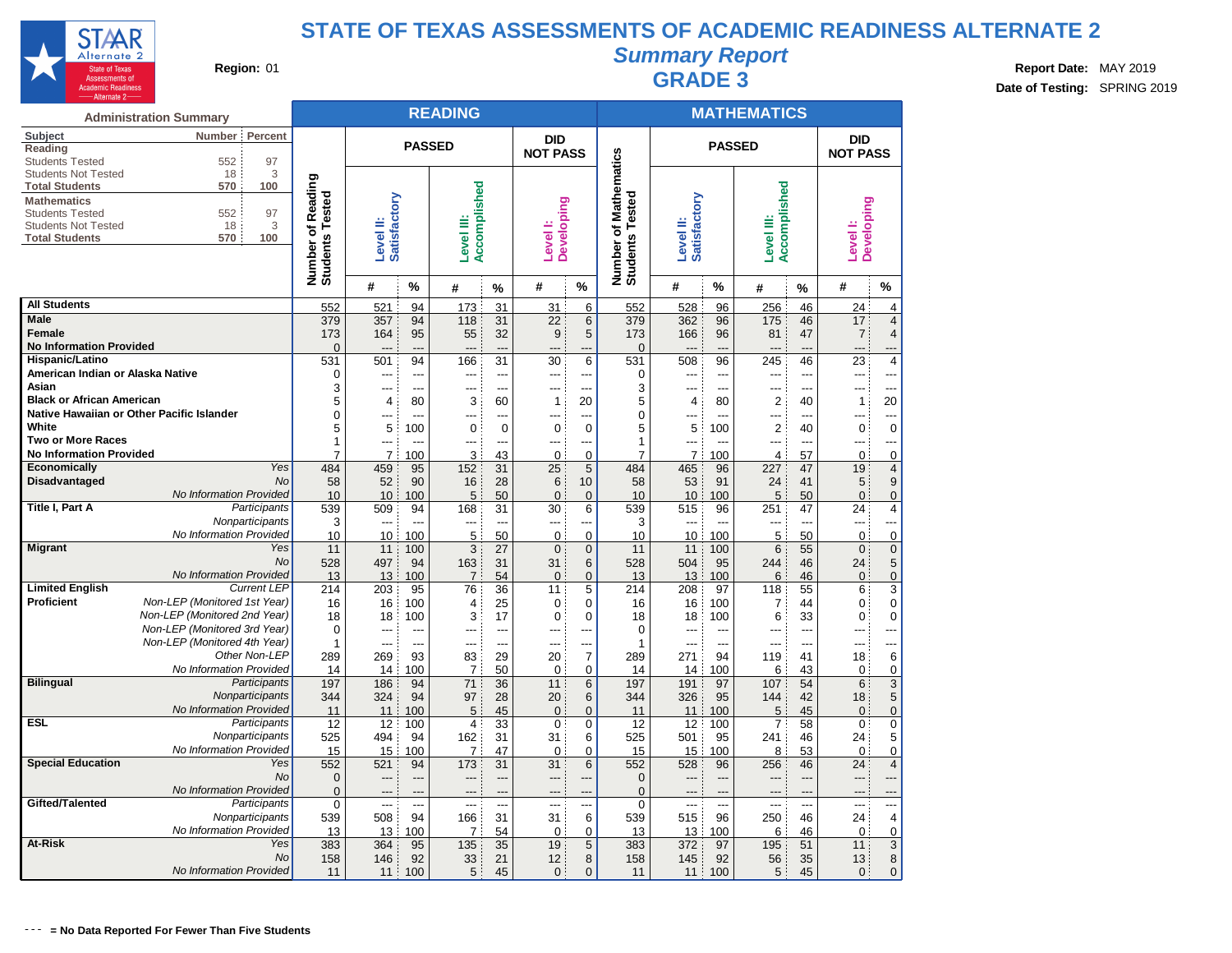

### **Summary Report Region:** 01 **Region:** 01 **Region:** 01 **Report Date:** MAY 2019 **GRADE** 3 **Report Date:** MAY 2019

**Date of Testing:** SPRING 2019

|                                                                               |                                           |                           |                           |                | <b>READING</b>             |                |                                           |                     |                                                      |                                  |                | <b>MATHEMATICS</b>         |           |                                 |                         |
|-------------------------------------------------------------------------------|-------------------------------------------|---------------------------|---------------------------|----------------|----------------------------|----------------|-------------------------------------------|---------------------|------------------------------------------------------|----------------------------------|----------------|----------------------------|-----------|---------------------------------|-------------------------|
|                                                                               | <b>Administration Summary</b>             |                           |                           |                |                            |                |                                           |                     |                                                      |                                  |                |                            |           |                                 |                         |
| Subject<br>Reading<br><b>Students Tested</b>                                  | Number Percent<br>552<br>97               |                           |                           |                | <b>PASSED</b>              |                | <b>DID</b><br><b>NOT PASS</b>             |                     |                                                      |                                  | <b>PASSED</b>  |                            |           | <b>DID</b><br><b>NOT PASS</b>   |                         |
| <b>Students Not Tested</b><br><b>Total Students</b><br><b>Mathematics</b>     | 3<br>18<br>570<br>100                     | Reading                   |                           |                |                            |                |                                           |                     |                                                      |                                  |                |                            |           |                                 |                         |
| <b>Students Tested</b><br><b>Students Not Tested</b><br><b>Total Students</b> | 552<br>97<br>3<br>18<br>570<br>100        | ested<br>৳                | Satisfactory<br>Level II: |                | Accomplished<br>Level III: |                | <b>Developing</b><br>Level <sup>1</sup> : |                     | of Mathematics<br>Number of Mathe<br>Students Tested | <b>Satisfactory</b><br>Level II: |                | Accomplished<br>Level III: |           | <b>Developing</b><br>Level I:   |                         |
|                                                                               |                                           | <b>Students</b><br>Number |                           |                |                            |                |                                           |                     |                                                      |                                  |                |                            |           |                                 |                         |
|                                                                               |                                           |                           | #                         | %              | #                          | %              | #                                         | $\%$                |                                                      | #                                | %              | #                          | $\%$      | #                               | %                       |
| <b>All Students</b>                                                           |                                           | 552                       | 521                       | 94             | 173                        | 31             | 31                                        | 6                   | 552                                                  | 528                              | 96             | 256                        | 46        | 24                              | 4                       |
| <b>Male</b>                                                                   |                                           | 379                       | 357                       | 94             | 118                        | 31             | 22                                        | 6                   | 379                                                  | 362                              | 96             | 175                        | 46        | 17                              | $\overline{4}$          |
| Female                                                                        |                                           | 173                       | 164                       | 95             | 55                         | 32             | 9                                         | 5                   | 173                                                  | 166                              | 96             | 81                         | 47        | 7:                              | $\overline{\mathbf{4}}$ |
| <b>No Information Provided</b><br>Hispanic/Latino                             |                                           | $\overline{0}$            |                           |                | ---                        | $---$<br>31    |                                           |                     | $\mathbf 0$                                          | ---                              |                | $\overline{\phantom{a}}$   | ---       | ---                             | ---                     |
| American Indian or Alaska Native                                              |                                           | 531<br>$\mathbf 0$        | 501<br>---                | 94<br>---      | 166<br>---                 | $\overline{a}$ | 30<br>---                                 | 6<br>---            | 531<br>$\Omega$                                      | 508<br>---                       | 96<br>---      | 245<br>---                 | 46<br>--- | 23<br>---                       | 4<br>---                |
| Asian                                                                         |                                           | 3                         | $---$                     | ---            | ---                        | ---            | ---                                       | ---                 | 3                                                    | ---                              | ---            | $---$                      | ---       | $---$                           | ---                     |
| <b>Black or African American</b>                                              |                                           | 5                         | 4                         | 80             | 3                          | 60             | 1                                         | 20                  | 5                                                    | $\overline{4}$                   | 80             | $\overline{2}$             | 40        | $\mathbf{1}$                    | 20                      |
|                                                                               | Native Hawaiian or Other Pacific Islander | $\mathbf 0$               |                           | $\overline{a}$ |                            | $---$          | ---                                       | ---                 | $\Omega$                                             | ---                              | $\overline{a}$ | ---                        | ---       |                                 | ---                     |
| White                                                                         |                                           | 5                         | 5                         | 100            | 0                          | 0              | 0                                         | $\mathbf 0$         | 5                                                    | 5                                | 100            | $\overline{2}$             | 40        | 0                               | $\mathbf 0$             |
| <b>Two or More Races</b>                                                      |                                           | $\mathbf{1}$              | ---                       |                | ---                        | $\overline{a}$ | ---                                       | $\overline{a}$      | 1                                                    | ---                              |                | ---                        | ---       |                                 | ---                     |
| <b>No Information Provided</b>                                                |                                           | $\overline{7}$            | $\overline{7}$            | 100            | 3                          | 43             | $\mathbf 0$                               | $\mathbf 0$         | $\overline{7}$                                       | $\overline{7}$                   | 100            | 4                          | 57        | $\mathbf 0$                     | $\overline{0}$          |
| Economically                                                                  | Yes                                       | 484                       | 459                       | 95             | 152                        | 31             | 25                                        | 5                   | 484                                                  | 465                              | 96             | 227                        | 47        | 19                              | $\overline{\mathbf{4}}$ |
| <b>Disadvantaged</b>                                                          | <b>No</b>                                 | 58                        | 52                        | 90             | 16                         | 28             | 6                                         | 10                  | 58                                                   | 53                               | 91             | 24                         | 41        | 5 <sub>5</sub>                  | 9                       |
| <b>Title I, Part A</b>                                                        | No Information Provided<br>Participants   | 10<br>539                 | 10<br>509                 | 100<br>94      | 5                          | 50<br>31       | $\mathbf 0$<br>30                         | $\mathbf 0$         | 10<br>539                                            | 10                               | 100            | 5                          | 50<br>47  | 0<br>24                         | $\mathbf 0$<br>4        |
|                                                                               | Nonparticipants                           | 3                         | $\overline{\phantom{a}}$  | $\overline{a}$ | 168<br>---                 | $\overline{a}$ | ---                                       | 6<br>$---$          | 3                                                    | 515<br>$---$                     | 96<br>$\sim$   | 251<br>$\overline{a}$      | ---       | $---$                           | ---                     |
|                                                                               | No Information Provided                   | 10                        | 10                        | 100            | 5                          | 50             | $\mathbf 0$                               | $\mathbf 0$         | 10                                                   | 10                               | 100            | 5                          | 50        | $\mathbf 0$                     | 0                       |
| <b>Migrant</b>                                                                | Yes                                       | 11                        | 11                        | 100            | 3                          | 27             | $\mathbf{0}$                              | $\mathbf 0$         | 11                                                   | 11                               | 100            | 6                          | 55        | $\mathbf{0}$                    | $\mathbf 0$             |
|                                                                               | No                                        | 528                       | 497                       | 94             | 163                        | 31             | 31                                        | 6                   | 528                                                  | 504                              | 95             | 244                        | 46        | 24 <sup>2</sup>                 | 5                       |
|                                                                               | No Information Provided                   | 13                        | 13                        | 100            | $\overline{7}$             | 54             | $\mathbf 0$                               | 0                   | 13                                                   | 13                               | 100            | 6                          | 46        | 0                               | $\mathbf 0$             |
| <b>Limited English</b>                                                        | <b>Current LEP</b>                        | 214                       | 203                       | 95             | 76                         | 36             | 11                                        | 5                   | 214                                                  | 208                              | 97             | 118                        | 55        | 6                               | 3                       |
| <b>Proficient</b>                                                             | Non-LEP (Monitored 1st Year)              | 16                        | 16                        | 100            | 4                          | 25             | 0                                         | $\Omega$            | 16                                                   | 16                               | 100            | 7                          | 44        | 0                               | 0                       |
|                                                                               | Non-LEP (Monitored 2nd Year)              | 18                        | 18                        | 100            | 3                          | 17             | $\mathbf 0$                               | $\mathbf 0$         | 18                                                   | 18                               | 100            | 6                          | 33        | 0                               | $\overline{0}$          |
|                                                                               | Non-LEP (Monitored 3rd Year)              | $\mathbf 0$               | $\overline{a}$            | ---            | ---                        | ---            | ---                                       |                     | $\Omega$                                             |                                  |                |                            | ---       |                                 |                         |
|                                                                               | Non-LEP (Monitored 4th Year)              | $\mathbf{1}$              | $\overline{\phantom{a}}$  | $\overline{a}$ | ---                        | $\overline{a}$ | ---                                       | $\overline{a}$      | 1                                                    | $---$                            | $---$          | $---$                      | ---       | $---$                           | ---                     |
|                                                                               | Other Non-LEP                             | 289                       | 269                       | 93             | 83                         | 29             | 20                                        | $\overline{7}$      | 289                                                  | 271                              | 94             | 119                        | 41        | 18                              | 6                       |
| <b>Bilingual</b>                                                              | No Information Provided<br>Participants   | 14<br>197                 | 14                        | 100            | 7<br>71                    | 50             | 0                                         | 0                   | 14<br>197                                            | 14                               | 100            | 6                          | 43        | $\mathbf{0}$                    | 0<br>3                  |
|                                                                               | Nonparticipants                           | 344                       | 186<br>324                | 94<br>94       | 97                         | 36<br>28       | 11<br>20                                  | 6<br>6              | 344                                                  | 191<br>326                       | 97<br>95       | 107<br>144                 | 54<br>42  | 6<br>18 <sup>1</sup>            | 5                       |
|                                                                               | No Information Provided                   | 11                        | 11                        | 100            | 5                          | 45             | $\mathbf{0}$                              | $\overline{0}$      | 11                                                   | 11                               | 100            | 5                          | 45        | $\overline{0}$                  | $\overline{0}$          |
| ESL                                                                           | <b>Participants</b>                       | 12                        | 12                        | 100            | 4                          | 33             | $\Omega$                                  | 0                   | 12                                                   | 12 <sup>2</sup>                  | 100            | $\overline{7}$             | 58        | $\Omega$                        | 0                       |
|                                                                               | Nonparticipants                           | 525                       | 494                       | 94             | 162                        | 31             | 31                                        | 6                   | 525                                                  | 501                              | 95             | 241                        | 46        | 24                              | 5                       |
|                                                                               | No Information Provided                   | 15                        | 15                        | 100            | $\overline{7}$             | 47             | 0                                         | 0                   | 15                                                   | 15                               | 100            | 8                          | 53        | 0                               | $\mathbf 0$             |
| <b>Special Education</b>                                                      | Yes                                       | 552                       | 521                       | 94             | 173                        | 31             | 31                                        | 6                   | 552                                                  | 528                              | 96             | 256                        | 46        | 24                              | $\overline{\mathbf{4}}$ |
|                                                                               | <b>No</b>                                 | $\overline{0}$            | ---                       | ---            | ---                        | ---            | ---                                       | ---                 | $\overline{0}$                                       | ---                              | ---            | ---                        | ---       | ---                             | ---                     |
|                                                                               | No Information Provided                   | $\Omega$                  | $---$                     | ---            | ---                        | $\overline{a}$ | ---                                       | $---$               | $\Omega$                                             | ---                              | $\overline{a}$ | $---$                      | ---       | $---$                           | ---                     |
| Gifted/Talented                                                               | Participants                              | $\mathbf 0$               | $\overline{a}$            | ---            | ---                        | $\overline{a}$ | ---                                       | ---                 | 0                                                    | $\qquad \qquad \cdots$           | $\overline{a}$ | $\qquad \qquad \cdots$     | ---       | $---$                           | ---                     |
|                                                                               | Nonparticipants                           | 539                       | 508                       | 94             | 166                        | 31             | 31                                        | 6                   | 539                                                  | 515                              | 96             | 250                        | 46        | 24                              | 4                       |
|                                                                               | No Information Provided                   | 13                        | 13                        | 100            | 7                          | 54             | 0                                         | $\mathbf 0$         | 13                                                   | 13 <sup>3</sup>                  | 100            | 6                          | 46        | $\mathbf 0$                     | 0                       |
| At-Risk                                                                       | Yes<br>No                                 | 383                       | 364                       | 95             | 135                        | 35             | 19                                        | 5                   | 383                                                  | 372                              | 97             | 195                        | 51        | 11                              | $\overline{3}$          |
|                                                                               | No Information Provided                   | 158<br>11                 | 146<br>11                 | 92<br>100      | 33<br>5                    | 21<br>45       | 12<br>$\mathbf{0}$                        | 8<br>$\overline{0}$ | 158<br>11                                            | 145<br>11                        | 92<br>100      | 56<br>5                    | 35<br>45  | 13 <sub>1</sub><br>$\mathbf{0}$ | 8<br>$\overline{0}$     |
|                                                                               |                                           |                           |                           |                |                            |                |                                           |                     |                                                      |                                  |                |                            |           |                                 |                         |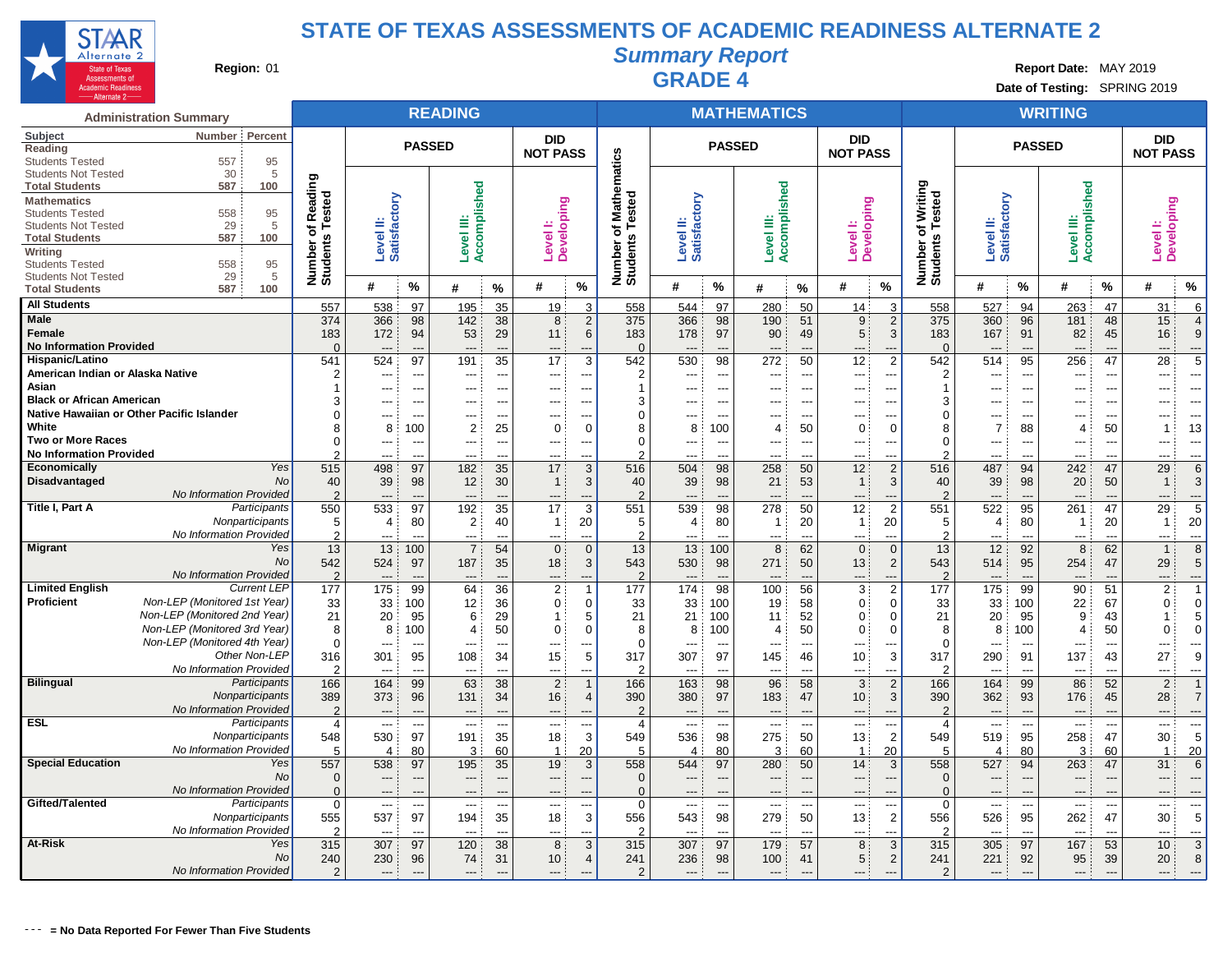

**Summary Report**

**Region:** 01 **Region:** 01 **Region:** 01 **Report Date:** MAY 2019 **GRADE** 4 **Report Date:** MAY 2019

**Date of Testing:** SPRING 2019

| Number Percent<br><b>DID</b><br><b>DID</b><br>DID<br><b>PASSED</b><br><b>PASSED</b><br><b>PASSED</b><br>athematics<br><b>NOT PASS</b><br><b>NOT PASS</b><br><b>NOT PASS</b><br><b>Students Tested</b><br>557<br>95<br>5<br>30<br>Reading<br>Writing<br>Accomplished<br>Accomplished<br>Accomplished<br>587<br>100<br>Tested<br>Number of Writin<br>Students Tested<br>ested<br>Level II:<br>Satisfactory<br>Level II:<br>Satisfactory<br>Level II:<br>Satisfactory<br>Developing<br><b>Developing</b><br>Level I:<br>Developing<br>558<br>95<br>Σ<br>Level III:<br>≝<br>Ξ<br>4<br>29<br>Level <sup>1</sup> :<br>5<br>৳<br>⊢<br>৳<br>Level<br>Level<br>Level<br>587<br>100<br>Number of<br>Students<br>Number of<br>Students<br>558<br>95<br>29<br>5<br>$\%$<br>$\%$<br>$\%$<br>$\%$<br>#<br>%<br>#<br>#<br>$\%$<br>#<br>%<br>#<br>#<br>#<br>%<br>#<br>#<br>%<br>587<br>100<br>50<br>47<br>557<br>538<br>97<br>195<br>35<br>3<br>544<br>97<br>280<br>3<br>558<br>527<br>94<br>263<br>31<br>6<br>19<br>558<br>14<br>$\overline{2}$<br>38<br>375<br>98<br>96<br>374<br>366<br>98<br>142<br>8<br>366<br>190<br>51<br>9<br>$\overline{2}$<br>375<br>360<br>181<br>48<br>15<br>$\overline{4}$<br>183<br>172<br>94<br>53<br>29<br>6<br>183<br>178<br>97<br>90<br>49<br>5<br>3<br>183<br>167<br>91<br>82<br>45<br>16<br>9<br>11<br><b>No Information Provided</b><br>$\Omega$<br>$\Omega$<br>$\mathbf 0$<br>$---$<br>$\overline{a}$<br>$\overline{a}$<br>$\overline{a}$<br>$\overline{\phantom{a}}$<br>---<br>$---$<br>---<br>---<br>---<br>$---$<br>5<br>524<br>35<br>3<br>542<br>50<br>2<br>542<br>541<br>97<br>191<br>17<br>530<br>98<br>272<br>12<br>514<br>95<br>256<br>47<br>28<br>American Indian or Alaska Native<br>$\overline{2}$<br>$\overline{2}$<br>2<br>---<br>---<br>---<br>---<br>$\overline{a}$<br>---<br>$\overline{\phantom{a}}$<br>---<br>---<br>$\overline{a}$<br>---<br>$\overline{a}$<br>---<br>$\overline{a}$<br>---<br>Asian<br>$\overline{1}$<br>$\mathbf{1}$<br>---<br>---<br>$\overline{\phantom{a}}$<br>---<br>---<br>---<br>3<br>3<br>Я<br>$\overline{a}$<br>---<br>---<br>---<br>$\overline{\phantom{a}}$<br>---<br>$\overline{a}$<br>---<br>---<br>---<br>$\overline{\phantom{a}}$<br>---<br>---<br>$---$<br>$---$<br>---<br>$---$<br>$\overline{0}$<br>$\mathbf 0$<br>---<br>---<br>$\overline{\phantom{a}}$<br>---<br>---<br>---<br>$---$<br>---<br>---<br>$\overline{a}$<br>$---$<br>White<br>100<br>25<br>50<br>50<br>8<br>2<br>0<br>8<br>100<br>$\overline{4}$<br>$\Omega$<br>$\Omega$<br>8<br>7<br>88<br>13<br>$\cap$<br>8<br>4<br>-1<br>$\overline{0}$<br>$\mathbf 0$<br>0<br>$\overline{\phantom{a}}$<br>$---$<br>$\overline{a}$<br>---<br>$\overline{\phantom{a}}$<br>$---$<br>$---$<br>---<br>---<br>$---$<br>---<br>$---$<br>$\overline{\phantom{a}}$<br>$---$<br>$---$<br>---<br>$\overline{a}$<br>$\overline{\phantom{a}}$<br>2<br>$\mathcal{P}$<br>---<br>$\overline{a}$<br>---<br>$\overline{a}$<br>$---$<br>$\overline{a}$<br>$---$<br>$\overline{\phantom{a}}$<br>---<br>$\overline{a}$<br>$\overline{a}$<br>$\overline{a}$<br>$---$<br>$-$<br>$---$<br>$---$<br>---<br>$\overline{a}$<br>Yes<br>182<br>12<br>$\overline{2}$<br>29<br><b>Economically</b><br>515<br>498<br>97<br>35<br>17<br>3<br>516<br>504<br>98<br>258<br>50<br>516<br>487<br>94<br>242<br>47<br>6<br>Disadvantaged<br><b>No</b><br>39<br>98<br>12<br>30<br>40<br>39<br>98<br>21<br>53<br>40<br>39<br>98<br>20<br>50<br>40<br>3<br>$\mathbf{1}$<br>3<br>$\overline{1}$<br>3<br>$\mathbf{1}$<br>No Information Provided<br>$\overline{2}$<br>$\overline{2}$<br>$\overline{2}$<br>$\overline{a}$<br>---<br>$\overline{a}$<br>---<br>---<br>---<br>---<br>---<br>$\overline{a}$<br>3<br>50<br>$\overline{2}$<br>5<br>Participants<br>550<br>533<br>97<br>192<br>35<br>17<br>551<br>539<br>98<br>278<br>12<br>551<br>522<br>95<br>261<br>47<br>29<br>Nonparticipants<br>20<br>5<br>4<br>80<br>$\overline{2}$<br>40<br>20<br>5<br>80<br>20<br>20<br>5<br>80<br>20<br>$\overline{1}$<br>$\mathbf{1}$<br>4<br>$\overline{1}$<br>$\mathbf{1}$<br>4<br>-1<br>No Information Provided<br>$\overline{2}$<br>$\overline{2}$<br>2<br>$\overline{a}$<br>$\overline{a}$<br>$\overline{\phantom{a}}$<br>$\overline{a}$<br>$\overline{a}$<br>$\overline{a}$<br>$\overline{a}$<br>$---$<br>$\overline{a}$<br>$\overline{\phantom{a}}$<br>$\overline{a}$<br>$\overline{a}$<br>$---$<br>$\overline{a}$<br>$\overline{a}$<br>$---$<br>---<br>$---$<br>13<br>13<br>Yes<br>13<br>100<br>$\overline{7}$<br>54<br>$\mathbf 0$<br>$\mathbf 0$<br>13<br>100<br>8<br>62<br>$\mathbf 0$<br>$\mathbf 0$<br>13<br>12<br>92<br>8<br>62<br>$\overline{1}$<br>8<br>No<br>542<br>524<br>97<br>18<br>543<br>13<br>2<br>543<br>95<br>29<br>5<br>187<br>35<br>3<br>530<br>98<br>271<br>50<br>514<br>254<br>47<br>No Information Provided<br>$\overline{2}$<br>$\overline{2}$<br>$\overline{2}$<br>---<br>---<br>---<br>$\overline{a}$<br>---<br>---<br><b>Limited English</b><br><b>Current LEP</b><br>$\overline{2}$<br>$\overline{2}$<br>177<br>175<br>99<br>64<br>36<br>$\overline{2}$<br>177<br>174<br>98<br>56<br>3<br>177<br>175<br>99<br>90<br>51<br>100<br>-1<br>Non-LEP (Monitored 1st Year)<br>33<br>12<br>36<br>0<br>33<br>33<br>33<br>33<br>100<br>22<br>67<br>33<br>100<br>0<br>100<br>19<br>58<br>0:<br>0<br>0<br>$\mathbf 0$<br>Non-LEP (Monitored 2nd Year)<br>21<br>20<br>20<br>95<br>29<br>5<br>21<br>21<br>100<br>52<br>$\mathbf 0$<br>21<br>95<br>9<br>43<br>5<br>6<br>1<br>11<br>$\Omega$<br>$\mathbf{1}$<br>Non-LEP (Monitored 3rd Year)<br>100<br>50<br>0<br>8<br>50<br>100<br>50<br>8<br>8<br>$\mathbf 0$<br>8<br>100<br>$\overline{4}$<br>0:<br>0<br>8<br>4<br>0<br>$\mathbf 0$<br>4<br>8<br>Non-LEP (Monitored 4th Year)<br>$\Omega$<br>$\mathbf 0$<br>$\mathbf 0$<br>$\overline{a}$<br>$\overline{a}$<br>---<br>$---$<br>$\overline{a}$<br>$\overline{a}$<br>$\overline{a}$<br>$---$<br>$\overline{a}$<br>$-$<br>---<br>$\overline{a}$<br>$---$<br>$\overline{a}$<br>$---$<br>$\overline{\phantom{a}}$<br>$---$<br>Other Non-LEP<br>9<br>301<br>95<br>108<br>34<br>15<br>5<br>317<br>307<br>97<br>46<br>10<br>3<br>317<br>290<br>91<br>137<br>43<br>27<br>316<br>145<br>No Information Provided<br>2<br>$\mathcal{P}$<br>$\mathcal{P}$<br>$\overline{a}$<br>---<br>---<br>$\overline{a}$<br>$\qquad \qquad \cdots$<br>---<br>---<br>---<br>---<br>$\overline{a}$<br>---<br>$\overline{\phantom{a}}$<br>$\overline{a}$<br>---<br>---<br>---<br>---<br>Participants<br>99<br>38<br>$\overline{2}$<br>52<br>$\overline{2}$<br>166<br>164<br>63<br>166<br>163<br>98<br>96<br>58<br>3<br>$\overline{2}$<br>166<br>164<br>99<br>86<br>$\overline{1}$<br>Nonparticipants<br>93<br>389<br>373<br>96<br>34<br>16<br>390<br>380<br>97<br>47<br>10 <sub>3</sub><br>3<br>390<br>362<br>45<br>28<br>$\overline{7}$<br>131<br>$\overline{4}$<br>183<br>176<br>No Information Provided<br>$\overline{2}$<br>$\overline{2}$<br>$\overline{2}$<br>$\overline{\phantom{a}}$<br>$---$<br>$---$<br>$\overline{a}$<br>$\overline{a}$<br>$---$<br>$---$<br>$\overline{\phantom{a}}$<br>$\overline{a}$<br>$\overline{\phantom{a}}$<br>---<br>$\overline{\phantom{a}}$<br>$---$<br>$\overline{\phantom{a}}$<br>$---$<br>$-$<br>---<br>$---$<br>Participants<br>$\overline{4}$<br>$\overline{4}$<br>$\overline{4}$<br>$\overline{a}$<br>$\overline{\phantom{a}}$<br>$\overline{\phantom{a}}$<br>$---$<br>$\overline{\phantom{a}}$<br>$---$<br>$\overline{\phantom{a}}$<br>$---$<br>$---$<br>---<br>$---$<br>$---$<br>$\overline{\phantom{a}}$<br>---<br>$---$<br>---<br>$---$<br>$\overline{\phantom{a}}$<br>Nonparticipants<br>5<br>530<br>97<br>35<br>18<br>3<br>549<br>98<br>275<br>50<br>13<br>$\overline{2}$<br>549<br>95<br>258<br>47<br>30<br>548<br>191<br>536<br>519<br>No Information Provided<br>20<br>5<br>$\overline{4}$<br>80<br>3<br>60<br>$\mathbf{1}$<br>5<br>$\overline{4}$<br>80<br>3<br>60<br>20<br>5<br>$\overline{4}$<br>80<br>3<br>60<br>20<br>$\mathbf{1}$<br>$\overline{1}$<br><b>Special Education</b><br>Yes<br>557<br>538<br>97<br>195<br>35<br>19<br>3<br>558<br>544<br>97<br>280<br>50<br>14<br>3<br>558<br>527<br>94<br>263<br>47<br>31<br>6<br>No<br>$\mathbf{0}$<br>$\Omega$<br>$\Omega$<br>---<br>$\overline{\phantom{a}}$<br>---<br>$\overline{\phantom{a}}$<br>---<br>---<br>---<br>---<br>---<br>---<br>---<br>$\overline{\phantom{a}}$<br>---<br>---<br>$---$<br>No Information Provided<br>$\mathbf{0}$<br>$\Omega$<br>$\Omega$<br>$\overline{a}$<br>---<br>---<br>---<br>---<br>---<br>---<br>$\overline{\phantom{a}}$<br>$\overline{\phantom{a}}$<br>$\overline{a}$<br>---<br>$---$<br>$---$<br>---<br>$---$<br>---<br>---<br>Gifted/Talented<br>$\mathbf 0$<br>Participants<br>$\mathbf 0$<br>$\mathbf 0$<br>$\overline{\phantom{a}}$<br>---<br>---<br>---<br>---<br>---<br>$\overline{\phantom{a}}$<br>---<br>$\hspace{0.05cm} \ldots$<br>$---$<br>$\overline{\phantom{a}}$<br>$\qquad \qquad -\qquad$<br>$\overline{\phantom{a}}$<br>$\qquad \qquad \cdots$<br>$\overline{a}$<br>---<br>$\overline{\phantom{a}}$<br>$---$<br>5<br>Nonparticipants<br>555<br>537<br>97<br>194<br>35<br>18<br>3<br>556<br>543<br>98<br>279<br>50<br>13<br>$\overline{c}$<br>556<br>526<br>95<br>262<br>47<br>30<br>No Information Provided<br>$\overline{2}$<br>$\overline{2}$<br>$\overline{2}$<br>$\overline{a}$<br>$\overline{a}$<br>---<br>$---$<br>$\overline{a}$<br>$---$<br>$---$<br>$\overline{\phantom{a}}$<br>$---$<br>$\overline{a}$<br>$---$<br>$\overline{a}$<br>$---$<br>$---$<br>$---$<br>$---$<br>$\overline{a}$<br>$\overline{a}$<br>315<br>307<br>97<br>120<br>38<br>8<br>315<br>307<br>97<br>179<br>57<br>315<br>97<br>53<br>10<br>3<br>Yes<br>3<br>8<br>3<br>305<br>167<br>No<br>240<br>230<br>96<br>74<br>31<br>241<br>236<br>98<br>100<br>5:<br>2<br>241<br>221<br>92<br>95<br>39<br>20<br>10 <sup>°</sup><br>$\overline{4}$<br>41<br>8 | <b>Administration Summary</b>                                              |  | <b>READING</b> |  |  |  | <b>MATHEMATICS</b> |  |  | <b>WRITING</b> |  |  |
|-----------------------------------------------------------------------------------------------------------------------------------------------------------------------------------------------------------------------------------------------------------------------------------------------------------------------------------------------------------------------------------------------------------------------------------------------------------------------------------------------------------------------------------------------------------------------------------------------------------------------------------------------------------------------------------------------------------------------------------------------------------------------------------------------------------------------------------------------------------------------------------------------------------------------------------------------------------------------------------------------------------------------------------------------------------------------------------------------------------------------------------------------------------------------------------------------------------------------------------------------------------------------------------------------------------------------------------------------------------------------------------------------------------------------------------------------------------------------------------------------------------------------------------------------------------------------------------------------------------------------------------------------------------------------------------------------------------------------------------------------------------------------------------------------------------------------------------------------------------------------------------------------------------------------------------------------------------------------------------------------------------------------------------------------------------------------------------------------------------------------------------------------------------------------------------------------------------------------------------------------------------------------------------------------------------------------------------------------------------------------------------------------------------------------------------------------------------------------------------------------------------------------------------------------------------------------------------------------------------------------------------------------------------------------------------------------------------------------------------------------------------------------------------------------------------------------------------------------------------------------------------------------------------------------------------------------------------------------------------------------------------------------------------------------------------------------------------------------------------------------------------------------------------------------------------------------------------------------------------------------------------------------------------------------------------------------------------------------------------------------------------------------------------------------------------------------------------------------------------------------------------------------------------------------------------------------------------------------------------------------------------------------------------------------------------------------------------------------------------------------------------------------------------------------------------------------------------------------------------------------------------------------------------------------------------------------------------------------------------------------------------------------------------------------------------------------------------------------------------------------------------------------------------------------------------------------------------------------------------------------------------------------------------------------------------------------------------------------------------------------------------------------------------------------------------------------------------------------------------------------------------------------------------------------------------------------------------------------------------------------------------------------------------------------------------------------------------------------------------------------------------------------------------------------------------------------------------------------------------------------------------------------------------------------------------------------------------------------------------------------------------------------------------------------------------------------------------------------------------------------------------------------------------------------------------------------------------------------------------------------------------------------------------------------------------------------------------------------------------------------------------------------------------------------------------------------------------------------------------------------------------------------------------------------------------------------------------------------------------------------------------------------------------------------------------------------------------------------------------------------------------------------------------------------------------------------------------------------------------------------------------------------------------------------------------------------------------------------------------------------------------------------------------------------------------------------------------------------------------------------------------------------------------------------------------------------------------------------------------------------------------------------------------------------------------------------------------------------------------------------------------------------------------------------------------------------------------------------------------------------------------------------------------------------------------------------------------------------------------------------------------------------------------------------------------------------------------------------------------------------------------------------------------------------------------------------------------------------------------------------------------------------------------------------------------------------------------------------------------------------------------------------------------------------------------------------------------------------------------------------------------------------------------------------------------------------------------------------------------------------------------------------------------------------------------------------------------------------------------------------------------------------------------------------------------------------------------------------------------------------------------------------------------------------------------------------------------------------------------------------------------------------------------------------------------------------------------------------------------------------------------------------------------------------------------------------------------------------------------------------------------------------------------------------------------------------------------------------------------------------------------------------------------------------------------------------------------------------------------------------------------------------------------------------------------------------------------------------------------------------------------------------------------------------------------------------------------------------------------------------------------------------------------------------------------------------------------------------------------------------------------------------------------------------------------------------------------------------------------------------------------------------------------------------------------------------------------------------------------------------------------------------------------------------------------------------------------------------------------------------------------------------------------------------------------------------------------------------------------------------------------------------------------------------------------------------------------------------------------------------------------------------------------------------------------------------------------------------------------------------------------------------------------------------------------------------------------------------------------------------------------------------------------------------------------------------------------------------------------------------------------------------------------------------------------------------------------------------------------------------------------------------------------------------------------------------------------------------------------------------------------------------------------------------------------------------------------------------------------------|----------------------------------------------------------------------------|--|----------------|--|--|--|--------------------|--|--|----------------|--|--|
|                                                                                                                                                                                                                                                                                                                                                                                                                                                                                                                                                                                                                                                                                                                                                                                                                                                                                                                                                                                                                                                                                                                                                                                                                                                                                                                                                                                                                                                                                                                                                                                                                                                                                                                                                                                                                                                                                                                                                                                                                                                                                                                                                                                                                                                                                                                                                                                                                                                                                                                                                                                                                                                                                                                                                                                                                                                                                                                                                                                                                                                                                                                                                                                                                                                                                                                                                                                                                                                                                                                                                                                                                                                                                                                                                                                                                                                                                                                                                                                                                                                                                                                                                                                                                                                                                                                                                                                                                                                                                                                                                                                                                                                                                                                                                                                                                                                                                                                                                                                                                                                                                                                                                                                                                                                                                                                                                                                                                                                                                                                                                                                                                                                                                                                                                                                                                                                                                                                                                                                                                                                                                                                                                                                                                                                                                                                                                                                                                                                                                                                                                                                                                                                                                                                                                                                                                                                                                                                                                                                                                                                                                                                                                                                                                                                                                                                                                                                                                                                                                                                                                                                                                                                                                                                                                                                                                                                                                                                                                                                                                                                                                                                                                                                                                                                                                                                                                                                                                                                                                                                                                                                                                                                                                                                                                                                                                                                                                                                                                                                                                                                                                                                                                                                                                                                                                                                                                                                                                                                                                                                                                                                                                                                                                                                                                                                                                                                                 | Subject<br>Reading                                                         |  |                |  |  |  |                    |  |  |                |  |  |
|                                                                                                                                                                                                                                                                                                                                                                                                                                                                                                                                                                                                                                                                                                                                                                                                                                                                                                                                                                                                                                                                                                                                                                                                                                                                                                                                                                                                                                                                                                                                                                                                                                                                                                                                                                                                                                                                                                                                                                                                                                                                                                                                                                                                                                                                                                                                                                                                                                                                                                                                                                                                                                                                                                                                                                                                                                                                                                                                                                                                                                                                                                                                                                                                                                                                                                                                                                                                                                                                                                                                                                                                                                                                                                                                                                                                                                                                                                                                                                                                                                                                                                                                                                                                                                                                                                                                                                                                                                                                                                                                                                                                                                                                                                                                                                                                                                                                                                                                                                                                                                                                                                                                                                                                                                                                                                                                                                                                                                                                                                                                                                                                                                                                                                                                                                                                                                                                                                                                                                                                                                                                                                                                                                                                                                                                                                                                                                                                                                                                                                                                                                                                                                                                                                                                                                                                                                                                                                                                                                                                                                                                                                                                                                                                                                                                                                                                                                                                                                                                                                                                                                                                                                                                                                                                                                                                                                                                                                                                                                                                                                                                                                                                                                                                                                                                                                                                                                                                                                                                                                                                                                                                                                                                                                                                                                                                                                                                                                                                                                                                                                                                                                                                                                                                                                                                                                                                                                                                                                                                                                                                                                                                                                                                                                                                                                                                                                                                 | <b>Students Not Tested</b><br><b>Total Students</b>                        |  |                |  |  |  |                    |  |  |                |  |  |
|                                                                                                                                                                                                                                                                                                                                                                                                                                                                                                                                                                                                                                                                                                                                                                                                                                                                                                                                                                                                                                                                                                                                                                                                                                                                                                                                                                                                                                                                                                                                                                                                                                                                                                                                                                                                                                                                                                                                                                                                                                                                                                                                                                                                                                                                                                                                                                                                                                                                                                                                                                                                                                                                                                                                                                                                                                                                                                                                                                                                                                                                                                                                                                                                                                                                                                                                                                                                                                                                                                                                                                                                                                                                                                                                                                                                                                                                                                                                                                                                                                                                                                                                                                                                                                                                                                                                                                                                                                                                                                                                                                                                                                                                                                                                                                                                                                                                                                                                                                                                                                                                                                                                                                                                                                                                                                                                                                                                                                                                                                                                                                                                                                                                                                                                                                                                                                                                                                                                                                                                                                                                                                                                                                                                                                                                                                                                                                                                                                                                                                                                                                                                                                                                                                                                                                                                                                                                                                                                                                                                                                                                                                                                                                                                                                                                                                                                                                                                                                                                                                                                                                                                                                                                                                                                                                                                                                                                                                                                                                                                                                                                                                                                                                                                                                                                                                                                                                                                                                                                                                                                                                                                                                                                                                                                                                                                                                                                                                                                                                                                                                                                                                                                                                                                                                                                                                                                                                                                                                                                                                                                                                                                                                                                                                                                                                                                                                                                 | <b>Mathematics</b><br><b>Students Tested</b><br><b>Students Not Tested</b> |  |                |  |  |  |                    |  |  |                |  |  |
|                                                                                                                                                                                                                                                                                                                                                                                                                                                                                                                                                                                                                                                                                                                                                                                                                                                                                                                                                                                                                                                                                                                                                                                                                                                                                                                                                                                                                                                                                                                                                                                                                                                                                                                                                                                                                                                                                                                                                                                                                                                                                                                                                                                                                                                                                                                                                                                                                                                                                                                                                                                                                                                                                                                                                                                                                                                                                                                                                                                                                                                                                                                                                                                                                                                                                                                                                                                                                                                                                                                                                                                                                                                                                                                                                                                                                                                                                                                                                                                                                                                                                                                                                                                                                                                                                                                                                                                                                                                                                                                                                                                                                                                                                                                                                                                                                                                                                                                                                                                                                                                                                                                                                                                                                                                                                                                                                                                                                                                                                                                                                                                                                                                                                                                                                                                                                                                                                                                                                                                                                                                                                                                                                                                                                                                                                                                                                                                                                                                                                                                                                                                                                                                                                                                                                                                                                                                                                                                                                                                                                                                                                                                                                                                                                                                                                                                                                                                                                                                                                                                                                                                                                                                                                                                                                                                                                                                                                                                                                                                                                                                                                                                                                                                                                                                                                                                                                                                                                                                                                                                                                                                                                                                                                                                                                                                                                                                                                                                                                                                                                                                                                                                                                                                                                                                                                                                                                                                                                                                                                                                                                                                                                                                                                                                                                                                                                                                                 | <b>Total Students</b><br>Writing<br><b>Students Tested</b>                 |  |                |  |  |  |                    |  |  |                |  |  |
|                                                                                                                                                                                                                                                                                                                                                                                                                                                                                                                                                                                                                                                                                                                                                                                                                                                                                                                                                                                                                                                                                                                                                                                                                                                                                                                                                                                                                                                                                                                                                                                                                                                                                                                                                                                                                                                                                                                                                                                                                                                                                                                                                                                                                                                                                                                                                                                                                                                                                                                                                                                                                                                                                                                                                                                                                                                                                                                                                                                                                                                                                                                                                                                                                                                                                                                                                                                                                                                                                                                                                                                                                                                                                                                                                                                                                                                                                                                                                                                                                                                                                                                                                                                                                                                                                                                                                                                                                                                                                                                                                                                                                                                                                                                                                                                                                                                                                                                                                                                                                                                                                                                                                                                                                                                                                                                                                                                                                                                                                                                                                                                                                                                                                                                                                                                                                                                                                                                                                                                                                                                                                                                                                                                                                                                                                                                                                                                                                                                                                                                                                                                                                                                                                                                                                                                                                                                                                                                                                                                                                                                                                                                                                                                                                                                                                                                                                                                                                                                                                                                                                                                                                                                                                                                                                                                                                                                                                                                                                                                                                                                                                                                                                                                                                                                                                                                                                                                                                                                                                                                                                                                                                                                                                                                                                                                                                                                                                                                                                                                                                                                                                                                                                                                                                                                                                                                                                                                                                                                                                                                                                                                                                                                                                                                                                                                                                                                                 | <b>Students Not Tested</b><br><b>Total Students</b>                        |  |                |  |  |  |                    |  |  |                |  |  |
|                                                                                                                                                                                                                                                                                                                                                                                                                                                                                                                                                                                                                                                                                                                                                                                                                                                                                                                                                                                                                                                                                                                                                                                                                                                                                                                                                                                                                                                                                                                                                                                                                                                                                                                                                                                                                                                                                                                                                                                                                                                                                                                                                                                                                                                                                                                                                                                                                                                                                                                                                                                                                                                                                                                                                                                                                                                                                                                                                                                                                                                                                                                                                                                                                                                                                                                                                                                                                                                                                                                                                                                                                                                                                                                                                                                                                                                                                                                                                                                                                                                                                                                                                                                                                                                                                                                                                                                                                                                                                                                                                                                                                                                                                                                                                                                                                                                                                                                                                                                                                                                                                                                                                                                                                                                                                                                                                                                                                                                                                                                                                                                                                                                                                                                                                                                                                                                                                                                                                                                                                                                                                                                                                                                                                                                                                                                                                                                                                                                                                                                                                                                                                                                                                                                                                                                                                                                                                                                                                                                                                                                                                                                                                                                                                                                                                                                                                                                                                                                                                                                                                                                                                                                                                                                                                                                                                                                                                                                                                                                                                                                                                                                                                                                                                                                                                                                                                                                                                                                                                                                                                                                                                                                                                                                                                                                                                                                                                                                                                                                                                                                                                                                                                                                                                                                                                                                                                                                                                                                                                                                                                                                                                                                                                                                                                                                                                                                                 | <b>All Students</b>                                                        |  |                |  |  |  |                    |  |  |                |  |  |
|                                                                                                                                                                                                                                                                                                                                                                                                                                                                                                                                                                                                                                                                                                                                                                                                                                                                                                                                                                                                                                                                                                                                                                                                                                                                                                                                                                                                                                                                                                                                                                                                                                                                                                                                                                                                                                                                                                                                                                                                                                                                                                                                                                                                                                                                                                                                                                                                                                                                                                                                                                                                                                                                                                                                                                                                                                                                                                                                                                                                                                                                                                                                                                                                                                                                                                                                                                                                                                                                                                                                                                                                                                                                                                                                                                                                                                                                                                                                                                                                                                                                                                                                                                                                                                                                                                                                                                                                                                                                                                                                                                                                                                                                                                                                                                                                                                                                                                                                                                                                                                                                                                                                                                                                                                                                                                                                                                                                                                                                                                                                                                                                                                                                                                                                                                                                                                                                                                                                                                                                                                                                                                                                                                                                                                                                                                                                                                                                                                                                                                                                                                                                                                                                                                                                                                                                                                                                                                                                                                                                                                                                                                                                                                                                                                                                                                                                                                                                                                                                                                                                                                                                                                                                                                                                                                                                                                                                                                                                                                                                                                                                                                                                                                                                                                                                                                                                                                                                                                                                                                                                                                                                                                                                                                                                                                                                                                                                                                                                                                                                                                                                                                                                                                                                                                                                                                                                                                                                                                                                                                                                                                                                                                                                                                                                                                                                                                                                 | Male<br>Female                                                             |  |                |  |  |  |                    |  |  |                |  |  |
|                                                                                                                                                                                                                                                                                                                                                                                                                                                                                                                                                                                                                                                                                                                                                                                                                                                                                                                                                                                                                                                                                                                                                                                                                                                                                                                                                                                                                                                                                                                                                                                                                                                                                                                                                                                                                                                                                                                                                                                                                                                                                                                                                                                                                                                                                                                                                                                                                                                                                                                                                                                                                                                                                                                                                                                                                                                                                                                                                                                                                                                                                                                                                                                                                                                                                                                                                                                                                                                                                                                                                                                                                                                                                                                                                                                                                                                                                                                                                                                                                                                                                                                                                                                                                                                                                                                                                                                                                                                                                                                                                                                                                                                                                                                                                                                                                                                                                                                                                                                                                                                                                                                                                                                                                                                                                                                                                                                                                                                                                                                                                                                                                                                                                                                                                                                                                                                                                                                                                                                                                                                                                                                                                                                                                                                                                                                                                                                                                                                                                                                                                                                                                                                                                                                                                                                                                                                                                                                                                                                                                                                                                                                                                                                                                                                                                                                                                                                                                                                                                                                                                                                                                                                                                                                                                                                                                                                                                                                                                                                                                                                                                                                                                                                                                                                                                                                                                                                                                                                                                                                                                                                                                                                                                                                                                                                                                                                                                                                                                                                                                                                                                                                                                                                                                                                                                                                                                                                                                                                                                                                                                                                                                                                                                                                                                                                                                                                                 | Hispanic/Latino                                                            |  |                |  |  |  |                    |  |  |                |  |  |
|                                                                                                                                                                                                                                                                                                                                                                                                                                                                                                                                                                                                                                                                                                                                                                                                                                                                                                                                                                                                                                                                                                                                                                                                                                                                                                                                                                                                                                                                                                                                                                                                                                                                                                                                                                                                                                                                                                                                                                                                                                                                                                                                                                                                                                                                                                                                                                                                                                                                                                                                                                                                                                                                                                                                                                                                                                                                                                                                                                                                                                                                                                                                                                                                                                                                                                                                                                                                                                                                                                                                                                                                                                                                                                                                                                                                                                                                                                                                                                                                                                                                                                                                                                                                                                                                                                                                                                                                                                                                                                                                                                                                                                                                                                                                                                                                                                                                                                                                                                                                                                                                                                                                                                                                                                                                                                                                                                                                                                                                                                                                                                                                                                                                                                                                                                                                                                                                                                                                                                                                                                                                                                                                                                                                                                                                                                                                                                                                                                                                                                                                                                                                                                                                                                                                                                                                                                                                                                                                                                                                                                                                                                                                                                                                                                                                                                                                                                                                                                                                                                                                                                                                                                                                                                                                                                                                                                                                                                                                                                                                                                                                                                                                                                                                                                                                                                                                                                                                                                                                                                                                                                                                                                                                                                                                                                                                                                                                                                                                                                                                                                                                                                                                                                                                                                                                                                                                                                                                                                                                                                                                                                                                                                                                                                                                                                                                                                                                 |                                                                            |  |                |  |  |  |                    |  |  |                |  |  |
|                                                                                                                                                                                                                                                                                                                                                                                                                                                                                                                                                                                                                                                                                                                                                                                                                                                                                                                                                                                                                                                                                                                                                                                                                                                                                                                                                                                                                                                                                                                                                                                                                                                                                                                                                                                                                                                                                                                                                                                                                                                                                                                                                                                                                                                                                                                                                                                                                                                                                                                                                                                                                                                                                                                                                                                                                                                                                                                                                                                                                                                                                                                                                                                                                                                                                                                                                                                                                                                                                                                                                                                                                                                                                                                                                                                                                                                                                                                                                                                                                                                                                                                                                                                                                                                                                                                                                                                                                                                                                                                                                                                                                                                                                                                                                                                                                                                                                                                                                                                                                                                                                                                                                                                                                                                                                                                                                                                                                                                                                                                                                                                                                                                                                                                                                                                                                                                                                                                                                                                                                                                                                                                                                                                                                                                                                                                                                                                                                                                                                                                                                                                                                                                                                                                                                                                                                                                                                                                                                                                                                                                                                                                                                                                                                                                                                                                                                                                                                                                                                                                                                                                                                                                                                                                                                                                                                                                                                                                                                                                                                                                                                                                                                                                                                                                                                                                                                                                                                                                                                                                                                                                                                                                                                                                                                                                                                                                                                                                                                                                                                                                                                                                                                                                                                                                                                                                                                                                                                                                                                                                                                                                                                                                                                                                                                                                                                                                                 | <b>Black or African American</b>                                           |  |                |  |  |  |                    |  |  |                |  |  |
|                                                                                                                                                                                                                                                                                                                                                                                                                                                                                                                                                                                                                                                                                                                                                                                                                                                                                                                                                                                                                                                                                                                                                                                                                                                                                                                                                                                                                                                                                                                                                                                                                                                                                                                                                                                                                                                                                                                                                                                                                                                                                                                                                                                                                                                                                                                                                                                                                                                                                                                                                                                                                                                                                                                                                                                                                                                                                                                                                                                                                                                                                                                                                                                                                                                                                                                                                                                                                                                                                                                                                                                                                                                                                                                                                                                                                                                                                                                                                                                                                                                                                                                                                                                                                                                                                                                                                                                                                                                                                                                                                                                                                                                                                                                                                                                                                                                                                                                                                                                                                                                                                                                                                                                                                                                                                                                                                                                                                                                                                                                                                                                                                                                                                                                                                                                                                                                                                                                                                                                                                                                                                                                                                                                                                                                                                                                                                                                                                                                                                                                                                                                                                                                                                                                                                                                                                                                                                                                                                                                                                                                                                                                                                                                                                                                                                                                                                                                                                                                                                                                                                                                                                                                                                                                                                                                                                                                                                                                                                                                                                                                                                                                                                                                                                                                                                                                                                                                                                                                                                                                                                                                                                                                                                                                                                                                                                                                                                                                                                                                                                                                                                                                                                                                                                                                                                                                                                                                                                                                                                                                                                                                                                                                                                                                                                                                                                                                                 | Native Hawaiian or Other Pacific Islander                                  |  |                |  |  |  |                    |  |  |                |  |  |
|                                                                                                                                                                                                                                                                                                                                                                                                                                                                                                                                                                                                                                                                                                                                                                                                                                                                                                                                                                                                                                                                                                                                                                                                                                                                                                                                                                                                                                                                                                                                                                                                                                                                                                                                                                                                                                                                                                                                                                                                                                                                                                                                                                                                                                                                                                                                                                                                                                                                                                                                                                                                                                                                                                                                                                                                                                                                                                                                                                                                                                                                                                                                                                                                                                                                                                                                                                                                                                                                                                                                                                                                                                                                                                                                                                                                                                                                                                                                                                                                                                                                                                                                                                                                                                                                                                                                                                                                                                                                                                                                                                                                                                                                                                                                                                                                                                                                                                                                                                                                                                                                                                                                                                                                                                                                                                                                                                                                                                                                                                                                                                                                                                                                                                                                                                                                                                                                                                                                                                                                                                                                                                                                                                                                                                                                                                                                                                                                                                                                                                                                                                                                                                                                                                                                                                                                                                                                                                                                                                                                                                                                                                                                                                                                                                                                                                                                                                                                                                                                                                                                                                                                                                                                                                                                                                                                                                                                                                                                                                                                                                                                                                                                                                                                                                                                                                                                                                                                                                                                                                                                                                                                                                                                                                                                                                                                                                                                                                                                                                                                                                                                                                                                                                                                                                                                                                                                                                                                                                                                                                                                                                                                                                                                                                                                                                                                                                                                 | <b>Two or More Races</b>                                                   |  |                |  |  |  |                    |  |  |                |  |  |
|                                                                                                                                                                                                                                                                                                                                                                                                                                                                                                                                                                                                                                                                                                                                                                                                                                                                                                                                                                                                                                                                                                                                                                                                                                                                                                                                                                                                                                                                                                                                                                                                                                                                                                                                                                                                                                                                                                                                                                                                                                                                                                                                                                                                                                                                                                                                                                                                                                                                                                                                                                                                                                                                                                                                                                                                                                                                                                                                                                                                                                                                                                                                                                                                                                                                                                                                                                                                                                                                                                                                                                                                                                                                                                                                                                                                                                                                                                                                                                                                                                                                                                                                                                                                                                                                                                                                                                                                                                                                                                                                                                                                                                                                                                                                                                                                                                                                                                                                                                                                                                                                                                                                                                                                                                                                                                                                                                                                                                                                                                                                                                                                                                                                                                                                                                                                                                                                                                                                                                                                                                                                                                                                                                                                                                                                                                                                                                                                                                                                                                                                                                                                                                                                                                                                                                                                                                                                                                                                                                                                                                                                                                                                                                                                                                                                                                                                                                                                                                                                                                                                                                                                                                                                                                                                                                                                                                                                                                                                                                                                                                                                                                                                                                                                                                                                                                                                                                                                                                                                                                                                                                                                                                                                                                                                                                                                                                                                                                                                                                                                                                                                                                                                                                                                                                                                                                                                                                                                                                                                                                                                                                                                                                                                                                                                                                                                                                                                 | <b>No Information Provided</b>                                             |  |                |  |  |  |                    |  |  |                |  |  |
|                                                                                                                                                                                                                                                                                                                                                                                                                                                                                                                                                                                                                                                                                                                                                                                                                                                                                                                                                                                                                                                                                                                                                                                                                                                                                                                                                                                                                                                                                                                                                                                                                                                                                                                                                                                                                                                                                                                                                                                                                                                                                                                                                                                                                                                                                                                                                                                                                                                                                                                                                                                                                                                                                                                                                                                                                                                                                                                                                                                                                                                                                                                                                                                                                                                                                                                                                                                                                                                                                                                                                                                                                                                                                                                                                                                                                                                                                                                                                                                                                                                                                                                                                                                                                                                                                                                                                                                                                                                                                                                                                                                                                                                                                                                                                                                                                                                                                                                                                                                                                                                                                                                                                                                                                                                                                                                                                                                                                                                                                                                                                                                                                                                                                                                                                                                                                                                                                                                                                                                                                                                                                                                                                                                                                                                                                                                                                                                                                                                                                                                                                                                                                                                                                                                                                                                                                                                                                                                                                                                                                                                                                                                                                                                                                                                                                                                                                                                                                                                                                                                                                                                                                                                                                                                                                                                                                                                                                                                                                                                                                                                                                                                                                                                                                                                                                                                                                                                                                                                                                                                                                                                                                                                                                                                                                                                                                                                                                                                                                                                                                                                                                                                                                                                                                                                                                                                                                                                                                                                                                                                                                                                                                                                                                                                                                                                                                                                                 |                                                                            |  |                |  |  |  |                    |  |  |                |  |  |
|                                                                                                                                                                                                                                                                                                                                                                                                                                                                                                                                                                                                                                                                                                                                                                                                                                                                                                                                                                                                                                                                                                                                                                                                                                                                                                                                                                                                                                                                                                                                                                                                                                                                                                                                                                                                                                                                                                                                                                                                                                                                                                                                                                                                                                                                                                                                                                                                                                                                                                                                                                                                                                                                                                                                                                                                                                                                                                                                                                                                                                                                                                                                                                                                                                                                                                                                                                                                                                                                                                                                                                                                                                                                                                                                                                                                                                                                                                                                                                                                                                                                                                                                                                                                                                                                                                                                                                                                                                                                                                                                                                                                                                                                                                                                                                                                                                                                                                                                                                                                                                                                                                                                                                                                                                                                                                                                                                                                                                                                                                                                                                                                                                                                                                                                                                                                                                                                                                                                                                                                                                                                                                                                                                                                                                                                                                                                                                                                                                                                                                                                                                                                                                                                                                                                                                                                                                                                                                                                                                                                                                                                                                                                                                                                                                                                                                                                                                                                                                                                                                                                                                                                                                                                                                                                                                                                                                                                                                                                                                                                                                                                                                                                                                                                                                                                                                                                                                                                                                                                                                                                                                                                                                                                                                                                                                                                                                                                                                                                                                                                                                                                                                                                                                                                                                                                                                                                                                                                                                                                                                                                                                                                                                                                                                                                                                                                                                                                 |                                                                            |  |                |  |  |  |                    |  |  |                |  |  |
|                                                                                                                                                                                                                                                                                                                                                                                                                                                                                                                                                                                                                                                                                                                                                                                                                                                                                                                                                                                                                                                                                                                                                                                                                                                                                                                                                                                                                                                                                                                                                                                                                                                                                                                                                                                                                                                                                                                                                                                                                                                                                                                                                                                                                                                                                                                                                                                                                                                                                                                                                                                                                                                                                                                                                                                                                                                                                                                                                                                                                                                                                                                                                                                                                                                                                                                                                                                                                                                                                                                                                                                                                                                                                                                                                                                                                                                                                                                                                                                                                                                                                                                                                                                                                                                                                                                                                                                                                                                                                                                                                                                                                                                                                                                                                                                                                                                                                                                                                                                                                                                                                                                                                                                                                                                                                                                                                                                                                                                                                                                                                                                                                                                                                                                                                                                                                                                                                                                                                                                                                                                                                                                                                                                                                                                                                                                                                                                                                                                                                                                                                                                                                                                                                                                                                                                                                                                                                                                                                                                                                                                                                                                                                                                                                                                                                                                                                                                                                                                                                                                                                                                                                                                                                                                                                                                                                                                                                                                                                                                                                                                                                                                                                                                                                                                                                                                                                                                                                                                                                                                                                                                                                                                                                                                                                                                                                                                                                                                                                                                                                                                                                                                                                                                                                                                                                                                                                                                                                                                                                                                                                                                                                                                                                                                                                                                                                                                                 | Title I, Part A                                                            |  |                |  |  |  |                    |  |  |                |  |  |
|                                                                                                                                                                                                                                                                                                                                                                                                                                                                                                                                                                                                                                                                                                                                                                                                                                                                                                                                                                                                                                                                                                                                                                                                                                                                                                                                                                                                                                                                                                                                                                                                                                                                                                                                                                                                                                                                                                                                                                                                                                                                                                                                                                                                                                                                                                                                                                                                                                                                                                                                                                                                                                                                                                                                                                                                                                                                                                                                                                                                                                                                                                                                                                                                                                                                                                                                                                                                                                                                                                                                                                                                                                                                                                                                                                                                                                                                                                                                                                                                                                                                                                                                                                                                                                                                                                                                                                                                                                                                                                                                                                                                                                                                                                                                                                                                                                                                                                                                                                                                                                                                                                                                                                                                                                                                                                                                                                                                                                                                                                                                                                                                                                                                                                                                                                                                                                                                                                                                                                                                                                                                                                                                                                                                                                                                                                                                                                                                                                                                                                                                                                                                                                                                                                                                                                                                                                                                                                                                                                                                                                                                                                                                                                                                                                                                                                                                                                                                                                                                                                                                                                                                                                                                                                                                                                                                                                                                                                                                                                                                                                                                                                                                                                                                                                                                                                                                                                                                                                                                                                                                                                                                                                                                                                                                                                                                                                                                                                                                                                                                                                                                                                                                                                                                                                                                                                                                                                                                                                                                                                                                                                                                                                                                                                                                                                                                                                                                 |                                                                            |  |                |  |  |  |                    |  |  |                |  |  |
|                                                                                                                                                                                                                                                                                                                                                                                                                                                                                                                                                                                                                                                                                                                                                                                                                                                                                                                                                                                                                                                                                                                                                                                                                                                                                                                                                                                                                                                                                                                                                                                                                                                                                                                                                                                                                                                                                                                                                                                                                                                                                                                                                                                                                                                                                                                                                                                                                                                                                                                                                                                                                                                                                                                                                                                                                                                                                                                                                                                                                                                                                                                                                                                                                                                                                                                                                                                                                                                                                                                                                                                                                                                                                                                                                                                                                                                                                                                                                                                                                                                                                                                                                                                                                                                                                                                                                                                                                                                                                                                                                                                                                                                                                                                                                                                                                                                                                                                                                                                                                                                                                                                                                                                                                                                                                                                                                                                                                                                                                                                                                                                                                                                                                                                                                                                                                                                                                                                                                                                                                                                                                                                                                                                                                                                                                                                                                                                                                                                                                                                                                                                                                                                                                                                                                                                                                                                                                                                                                                                                                                                                                                                                                                                                                                                                                                                                                                                                                                                                                                                                                                                                                                                                                                                                                                                                                                                                                                                                                                                                                                                                                                                                                                                                                                                                                                                                                                                                                                                                                                                                                                                                                                                                                                                                                                                                                                                                                                                                                                                                                                                                                                                                                                                                                                                                                                                                                                                                                                                                                                                                                                                                                                                                                                                                                                                                                                                                 | <b>Migrant</b>                                                             |  |                |  |  |  |                    |  |  |                |  |  |
|                                                                                                                                                                                                                                                                                                                                                                                                                                                                                                                                                                                                                                                                                                                                                                                                                                                                                                                                                                                                                                                                                                                                                                                                                                                                                                                                                                                                                                                                                                                                                                                                                                                                                                                                                                                                                                                                                                                                                                                                                                                                                                                                                                                                                                                                                                                                                                                                                                                                                                                                                                                                                                                                                                                                                                                                                                                                                                                                                                                                                                                                                                                                                                                                                                                                                                                                                                                                                                                                                                                                                                                                                                                                                                                                                                                                                                                                                                                                                                                                                                                                                                                                                                                                                                                                                                                                                                                                                                                                                                                                                                                                                                                                                                                                                                                                                                                                                                                                                                                                                                                                                                                                                                                                                                                                                                                                                                                                                                                                                                                                                                                                                                                                                                                                                                                                                                                                                                                                                                                                                                                                                                                                                                                                                                                                                                                                                                                                                                                                                                                                                                                                                                                                                                                                                                                                                                                                                                                                                                                                                                                                                                                                                                                                                                                                                                                                                                                                                                                                                                                                                                                                                                                                                                                                                                                                                                                                                                                                                                                                                                                                                                                                                                                                                                                                                                                                                                                                                                                                                                                                                                                                                                                                                                                                                                                                                                                                                                                                                                                                                                                                                                                                                                                                                                                                                                                                                                                                                                                                                                                                                                                                                                                                                                                                                                                                                                                                 |                                                                            |  |                |  |  |  |                    |  |  |                |  |  |
|                                                                                                                                                                                                                                                                                                                                                                                                                                                                                                                                                                                                                                                                                                                                                                                                                                                                                                                                                                                                                                                                                                                                                                                                                                                                                                                                                                                                                                                                                                                                                                                                                                                                                                                                                                                                                                                                                                                                                                                                                                                                                                                                                                                                                                                                                                                                                                                                                                                                                                                                                                                                                                                                                                                                                                                                                                                                                                                                                                                                                                                                                                                                                                                                                                                                                                                                                                                                                                                                                                                                                                                                                                                                                                                                                                                                                                                                                                                                                                                                                                                                                                                                                                                                                                                                                                                                                                                                                                                                                                                                                                                                                                                                                                                                                                                                                                                                                                                                                                                                                                                                                                                                                                                                                                                                                                                                                                                                                                                                                                                                                                                                                                                                                                                                                                                                                                                                                                                                                                                                                                                                                                                                                                                                                                                                                                                                                                                                                                                                                                                                                                                                                                                                                                                                                                                                                                                                                                                                                                                                                                                                                                                                                                                                                                                                                                                                                                                                                                                                                                                                                                                                                                                                                                                                                                                                                                                                                                                                                                                                                                                                                                                                                                                                                                                                                                                                                                                                                                                                                                                                                                                                                                                                                                                                                                                                                                                                                                                                                                                                                                                                                                                                                                                                                                                                                                                                                                                                                                                                                                                                                                                                                                                                                                                                                                                                                                                                 |                                                                            |  |                |  |  |  |                    |  |  |                |  |  |
|                                                                                                                                                                                                                                                                                                                                                                                                                                                                                                                                                                                                                                                                                                                                                                                                                                                                                                                                                                                                                                                                                                                                                                                                                                                                                                                                                                                                                                                                                                                                                                                                                                                                                                                                                                                                                                                                                                                                                                                                                                                                                                                                                                                                                                                                                                                                                                                                                                                                                                                                                                                                                                                                                                                                                                                                                                                                                                                                                                                                                                                                                                                                                                                                                                                                                                                                                                                                                                                                                                                                                                                                                                                                                                                                                                                                                                                                                                                                                                                                                                                                                                                                                                                                                                                                                                                                                                                                                                                                                                                                                                                                                                                                                                                                                                                                                                                                                                                                                                                                                                                                                                                                                                                                                                                                                                                                                                                                                                                                                                                                                                                                                                                                                                                                                                                                                                                                                                                                                                                                                                                                                                                                                                                                                                                                                                                                                                                                                                                                                                                                                                                                                                                                                                                                                                                                                                                                                                                                                                                                                                                                                                                                                                                                                                                                                                                                                                                                                                                                                                                                                                                                                                                                                                                                                                                                                                                                                                                                                                                                                                                                                                                                                                                                                                                                                                                                                                                                                                                                                                                                                                                                                                                                                                                                                                                                                                                                                                                                                                                                                                                                                                                                                                                                                                                                                                                                                                                                                                                                                                                                                                                                                                                                                                                                                                                                                                                                 | <b>Proficient</b>                                                          |  |                |  |  |  |                    |  |  |                |  |  |
|                                                                                                                                                                                                                                                                                                                                                                                                                                                                                                                                                                                                                                                                                                                                                                                                                                                                                                                                                                                                                                                                                                                                                                                                                                                                                                                                                                                                                                                                                                                                                                                                                                                                                                                                                                                                                                                                                                                                                                                                                                                                                                                                                                                                                                                                                                                                                                                                                                                                                                                                                                                                                                                                                                                                                                                                                                                                                                                                                                                                                                                                                                                                                                                                                                                                                                                                                                                                                                                                                                                                                                                                                                                                                                                                                                                                                                                                                                                                                                                                                                                                                                                                                                                                                                                                                                                                                                                                                                                                                                                                                                                                                                                                                                                                                                                                                                                                                                                                                                                                                                                                                                                                                                                                                                                                                                                                                                                                                                                                                                                                                                                                                                                                                                                                                                                                                                                                                                                                                                                                                                                                                                                                                                                                                                                                                                                                                                                                                                                                                                                                                                                                                                                                                                                                                                                                                                                                                                                                                                                                                                                                                                                                                                                                                                                                                                                                                                                                                                                                                                                                                                                                                                                                                                                                                                                                                                                                                                                                                                                                                                                                                                                                                                                                                                                                                                                                                                                                                                                                                                                                                                                                                                                                                                                                                                                                                                                                                                                                                                                                                                                                                                                                                                                                                                                                                                                                                                                                                                                                                                                                                                                                                                                                                                                                                                                                                                                                 |                                                                            |  |                |  |  |  |                    |  |  |                |  |  |
|                                                                                                                                                                                                                                                                                                                                                                                                                                                                                                                                                                                                                                                                                                                                                                                                                                                                                                                                                                                                                                                                                                                                                                                                                                                                                                                                                                                                                                                                                                                                                                                                                                                                                                                                                                                                                                                                                                                                                                                                                                                                                                                                                                                                                                                                                                                                                                                                                                                                                                                                                                                                                                                                                                                                                                                                                                                                                                                                                                                                                                                                                                                                                                                                                                                                                                                                                                                                                                                                                                                                                                                                                                                                                                                                                                                                                                                                                                                                                                                                                                                                                                                                                                                                                                                                                                                                                                                                                                                                                                                                                                                                                                                                                                                                                                                                                                                                                                                                                                                                                                                                                                                                                                                                                                                                                                                                                                                                                                                                                                                                                                                                                                                                                                                                                                                                                                                                                                                                                                                                                                                                                                                                                                                                                                                                                                                                                                                                                                                                                                                                                                                                                                                                                                                                                                                                                                                                                                                                                                                                                                                                                                                                                                                                                                                                                                                                                                                                                                                                                                                                                                                                                                                                                                                                                                                                                                                                                                                                                                                                                                                                                                                                                                                                                                                                                                                                                                                                                                                                                                                                                                                                                                                                                                                                                                                                                                                                                                                                                                                                                                                                                                                                                                                                                                                                                                                                                                                                                                                                                                                                                                                                                                                                                                                                                                                                                                                                 |                                                                            |  |                |  |  |  |                    |  |  |                |  |  |
|                                                                                                                                                                                                                                                                                                                                                                                                                                                                                                                                                                                                                                                                                                                                                                                                                                                                                                                                                                                                                                                                                                                                                                                                                                                                                                                                                                                                                                                                                                                                                                                                                                                                                                                                                                                                                                                                                                                                                                                                                                                                                                                                                                                                                                                                                                                                                                                                                                                                                                                                                                                                                                                                                                                                                                                                                                                                                                                                                                                                                                                                                                                                                                                                                                                                                                                                                                                                                                                                                                                                                                                                                                                                                                                                                                                                                                                                                                                                                                                                                                                                                                                                                                                                                                                                                                                                                                                                                                                                                                                                                                                                                                                                                                                                                                                                                                                                                                                                                                                                                                                                                                                                                                                                                                                                                                                                                                                                                                                                                                                                                                                                                                                                                                                                                                                                                                                                                                                                                                                                                                                                                                                                                                                                                                                                                                                                                                                                                                                                                                                                                                                                                                                                                                                                                                                                                                                                                                                                                                                                                                                                                                                                                                                                                                                                                                                                                                                                                                                                                                                                                                                                                                                                                                                                                                                                                                                                                                                                                                                                                                                                                                                                                                                                                                                                                                                                                                                                                                                                                                                                                                                                                                                                                                                                                                                                                                                                                                                                                                                                                                                                                                                                                                                                                                                                                                                                                                                                                                                                                                                                                                                                                                                                                                                                                                                                                                                                 |                                                                            |  |                |  |  |  |                    |  |  |                |  |  |
|                                                                                                                                                                                                                                                                                                                                                                                                                                                                                                                                                                                                                                                                                                                                                                                                                                                                                                                                                                                                                                                                                                                                                                                                                                                                                                                                                                                                                                                                                                                                                                                                                                                                                                                                                                                                                                                                                                                                                                                                                                                                                                                                                                                                                                                                                                                                                                                                                                                                                                                                                                                                                                                                                                                                                                                                                                                                                                                                                                                                                                                                                                                                                                                                                                                                                                                                                                                                                                                                                                                                                                                                                                                                                                                                                                                                                                                                                                                                                                                                                                                                                                                                                                                                                                                                                                                                                                                                                                                                                                                                                                                                                                                                                                                                                                                                                                                                                                                                                                                                                                                                                                                                                                                                                                                                                                                                                                                                                                                                                                                                                                                                                                                                                                                                                                                                                                                                                                                                                                                                                                                                                                                                                                                                                                                                                                                                                                                                                                                                                                                                                                                                                                                                                                                                                                                                                                                                                                                                                                                                                                                                                                                                                                                                                                                                                                                                                                                                                                                                                                                                                                                                                                                                                                                                                                                                                                                                                                                                                                                                                                                                                                                                                                                                                                                                                                                                                                                                                                                                                                                                                                                                                                                                                                                                                                                                                                                                                                                                                                                                                                                                                                                                                                                                                                                                                                                                                                                                                                                                                                                                                                                                                                                                                                                                                                                                                                                                 |                                                                            |  |                |  |  |  |                    |  |  |                |  |  |
|                                                                                                                                                                                                                                                                                                                                                                                                                                                                                                                                                                                                                                                                                                                                                                                                                                                                                                                                                                                                                                                                                                                                                                                                                                                                                                                                                                                                                                                                                                                                                                                                                                                                                                                                                                                                                                                                                                                                                                                                                                                                                                                                                                                                                                                                                                                                                                                                                                                                                                                                                                                                                                                                                                                                                                                                                                                                                                                                                                                                                                                                                                                                                                                                                                                                                                                                                                                                                                                                                                                                                                                                                                                                                                                                                                                                                                                                                                                                                                                                                                                                                                                                                                                                                                                                                                                                                                                                                                                                                                                                                                                                                                                                                                                                                                                                                                                                                                                                                                                                                                                                                                                                                                                                                                                                                                                                                                                                                                                                                                                                                                                                                                                                                                                                                                                                                                                                                                                                                                                                                                                                                                                                                                                                                                                                                                                                                                                                                                                                                                                                                                                                                                                                                                                                                                                                                                                                                                                                                                                                                                                                                                                                                                                                                                                                                                                                                                                                                                                                                                                                                                                                                                                                                                                                                                                                                                                                                                                                                                                                                                                                                                                                                                                                                                                                                                                                                                                                                                                                                                                                                                                                                                                                                                                                                                                                                                                                                                                                                                                                                                                                                                                                                                                                                                                                                                                                                                                                                                                                                                                                                                                                                                                                                                                                                                                                                                                                 | <b>Bilingual</b>                                                           |  |                |  |  |  |                    |  |  |                |  |  |
|                                                                                                                                                                                                                                                                                                                                                                                                                                                                                                                                                                                                                                                                                                                                                                                                                                                                                                                                                                                                                                                                                                                                                                                                                                                                                                                                                                                                                                                                                                                                                                                                                                                                                                                                                                                                                                                                                                                                                                                                                                                                                                                                                                                                                                                                                                                                                                                                                                                                                                                                                                                                                                                                                                                                                                                                                                                                                                                                                                                                                                                                                                                                                                                                                                                                                                                                                                                                                                                                                                                                                                                                                                                                                                                                                                                                                                                                                                                                                                                                                                                                                                                                                                                                                                                                                                                                                                                                                                                                                                                                                                                                                                                                                                                                                                                                                                                                                                                                                                                                                                                                                                                                                                                                                                                                                                                                                                                                                                                                                                                                                                                                                                                                                                                                                                                                                                                                                                                                                                                                                                                                                                                                                                                                                                                                                                                                                                                                                                                                                                                                                                                                                                                                                                                                                                                                                                                                                                                                                                                                                                                                                                                                                                                                                                                                                                                                                                                                                                                                                                                                                                                                                                                                                                                                                                                                                                                                                                                                                                                                                                                                                                                                                                                                                                                                                                                                                                                                                                                                                                                                                                                                                                                                                                                                                                                                                                                                                                                                                                                                                                                                                                                                                                                                                                                                                                                                                                                                                                                                                                                                                                                                                                                                                                                                                                                                                                                                 |                                                                            |  |                |  |  |  |                    |  |  |                |  |  |
|                                                                                                                                                                                                                                                                                                                                                                                                                                                                                                                                                                                                                                                                                                                                                                                                                                                                                                                                                                                                                                                                                                                                                                                                                                                                                                                                                                                                                                                                                                                                                                                                                                                                                                                                                                                                                                                                                                                                                                                                                                                                                                                                                                                                                                                                                                                                                                                                                                                                                                                                                                                                                                                                                                                                                                                                                                                                                                                                                                                                                                                                                                                                                                                                                                                                                                                                                                                                                                                                                                                                                                                                                                                                                                                                                                                                                                                                                                                                                                                                                                                                                                                                                                                                                                                                                                                                                                                                                                                                                                                                                                                                                                                                                                                                                                                                                                                                                                                                                                                                                                                                                                                                                                                                                                                                                                                                                                                                                                                                                                                                                                                                                                                                                                                                                                                                                                                                                                                                                                                                                                                                                                                                                                                                                                                                                                                                                                                                                                                                                                                                                                                                                                                                                                                                                                                                                                                                                                                                                                                                                                                                                                                                                                                                                                                                                                                                                                                                                                                                                                                                                                                                                                                                                                                                                                                                                                                                                                                                                                                                                                                                                                                                                                                                                                                                                                                                                                                                                                                                                                                                                                                                                                                                                                                                                                                                                                                                                                                                                                                                                                                                                                                                                                                                                                                                                                                                                                                                                                                                                                                                                                                                                                                                                                                                                                                                                                                                 | <b>ESL</b>                                                                 |  |                |  |  |  |                    |  |  |                |  |  |
|                                                                                                                                                                                                                                                                                                                                                                                                                                                                                                                                                                                                                                                                                                                                                                                                                                                                                                                                                                                                                                                                                                                                                                                                                                                                                                                                                                                                                                                                                                                                                                                                                                                                                                                                                                                                                                                                                                                                                                                                                                                                                                                                                                                                                                                                                                                                                                                                                                                                                                                                                                                                                                                                                                                                                                                                                                                                                                                                                                                                                                                                                                                                                                                                                                                                                                                                                                                                                                                                                                                                                                                                                                                                                                                                                                                                                                                                                                                                                                                                                                                                                                                                                                                                                                                                                                                                                                                                                                                                                                                                                                                                                                                                                                                                                                                                                                                                                                                                                                                                                                                                                                                                                                                                                                                                                                                                                                                                                                                                                                                                                                                                                                                                                                                                                                                                                                                                                                                                                                                                                                                                                                                                                                                                                                                                                                                                                                                                                                                                                                                                                                                                                                                                                                                                                                                                                                                                                                                                                                                                                                                                                                                                                                                                                                                                                                                                                                                                                                                                                                                                                                                                                                                                                                                                                                                                                                                                                                                                                                                                                                                                                                                                                                                                                                                                                                                                                                                                                                                                                                                                                                                                                                                                                                                                                                                                                                                                                                                                                                                                                                                                                                                                                                                                                                                                                                                                                                                                                                                                                                                                                                                                                                                                                                                                                                                                                                                                 |                                                                            |  |                |  |  |  |                    |  |  |                |  |  |
|                                                                                                                                                                                                                                                                                                                                                                                                                                                                                                                                                                                                                                                                                                                                                                                                                                                                                                                                                                                                                                                                                                                                                                                                                                                                                                                                                                                                                                                                                                                                                                                                                                                                                                                                                                                                                                                                                                                                                                                                                                                                                                                                                                                                                                                                                                                                                                                                                                                                                                                                                                                                                                                                                                                                                                                                                                                                                                                                                                                                                                                                                                                                                                                                                                                                                                                                                                                                                                                                                                                                                                                                                                                                                                                                                                                                                                                                                                                                                                                                                                                                                                                                                                                                                                                                                                                                                                                                                                                                                                                                                                                                                                                                                                                                                                                                                                                                                                                                                                                                                                                                                                                                                                                                                                                                                                                                                                                                                                                                                                                                                                                                                                                                                                                                                                                                                                                                                                                                                                                                                                                                                                                                                                                                                                                                                                                                                                                                                                                                                                                                                                                                                                                                                                                                                                                                                                                                                                                                                                                                                                                                                                                                                                                                                                                                                                                                                                                                                                                                                                                                                                                                                                                                                                                                                                                                                                                                                                                                                                                                                                                                                                                                                                                                                                                                                                                                                                                                                                                                                                                                                                                                                                                                                                                                                                                                                                                                                                                                                                                                                                                                                                                                                                                                                                                                                                                                                                                                                                                                                                                                                                                                                                                                                                                                                                                                                                                                 |                                                                            |  |                |  |  |  |                    |  |  |                |  |  |
|                                                                                                                                                                                                                                                                                                                                                                                                                                                                                                                                                                                                                                                                                                                                                                                                                                                                                                                                                                                                                                                                                                                                                                                                                                                                                                                                                                                                                                                                                                                                                                                                                                                                                                                                                                                                                                                                                                                                                                                                                                                                                                                                                                                                                                                                                                                                                                                                                                                                                                                                                                                                                                                                                                                                                                                                                                                                                                                                                                                                                                                                                                                                                                                                                                                                                                                                                                                                                                                                                                                                                                                                                                                                                                                                                                                                                                                                                                                                                                                                                                                                                                                                                                                                                                                                                                                                                                                                                                                                                                                                                                                                                                                                                                                                                                                                                                                                                                                                                                                                                                                                                                                                                                                                                                                                                                                                                                                                                                                                                                                                                                                                                                                                                                                                                                                                                                                                                                                                                                                                                                                                                                                                                                                                                                                                                                                                                                                                                                                                                                                                                                                                                                                                                                                                                                                                                                                                                                                                                                                                                                                                                                                                                                                                                                                                                                                                                                                                                                                                                                                                                                                                                                                                                                                                                                                                                                                                                                                                                                                                                                                                                                                                                                                                                                                                                                                                                                                                                                                                                                                                                                                                                                                                                                                                                                                                                                                                                                                                                                                                                                                                                                                                                                                                                                                                                                                                                                                                                                                                                                                                                                                                                                                                                                                                                                                                                                                                 |                                                                            |  |                |  |  |  |                    |  |  |                |  |  |
|                                                                                                                                                                                                                                                                                                                                                                                                                                                                                                                                                                                                                                                                                                                                                                                                                                                                                                                                                                                                                                                                                                                                                                                                                                                                                                                                                                                                                                                                                                                                                                                                                                                                                                                                                                                                                                                                                                                                                                                                                                                                                                                                                                                                                                                                                                                                                                                                                                                                                                                                                                                                                                                                                                                                                                                                                                                                                                                                                                                                                                                                                                                                                                                                                                                                                                                                                                                                                                                                                                                                                                                                                                                                                                                                                                                                                                                                                                                                                                                                                                                                                                                                                                                                                                                                                                                                                                                                                                                                                                                                                                                                                                                                                                                                                                                                                                                                                                                                                                                                                                                                                                                                                                                                                                                                                                                                                                                                                                                                                                                                                                                                                                                                                                                                                                                                                                                                                                                                                                                                                                                                                                                                                                                                                                                                                                                                                                                                                                                                                                                                                                                                                                                                                                                                                                                                                                                                                                                                                                                                                                                                                                                                                                                                                                                                                                                                                                                                                                                                                                                                                                                                                                                                                                                                                                                                                                                                                                                                                                                                                                                                                                                                                                                                                                                                                                                                                                                                                                                                                                                                                                                                                                                                                                                                                                                                                                                                                                                                                                                                                                                                                                                                                                                                                                                                                                                                                                                                                                                                                                                                                                                                                                                                                                                                                                                                                                                                 |                                                                            |  |                |  |  |  |                    |  |  |                |  |  |
|                                                                                                                                                                                                                                                                                                                                                                                                                                                                                                                                                                                                                                                                                                                                                                                                                                                                                                                                                                                                                                                                                                                                                                                                                                                                                                                                                                                                                                                                                                                                                                                                                                                                                                                                                                                                                                                                                                                                                                                                                                                                                                                                                                                                                                                                                                                                                                                                                                                                                                                                                                                                                                                                                                                                                                                                                                                                                                                                                                                                                                                                                                                                                                                                                                                                                                                                                                                                                                                                                                                                                                                                                                                                                                                                                                                                                                                                                                                                                                                                                                                                                                                                                                                                                                                                                                                                                                                                                                                                                                                                                                                                                                                                                                                                                                                                                                                                                                                                                                                                                                                                                                                                                                                                                                                                                                                                                                                                                                                                                                                                                                                                                                                                                                                                                                                                                                                                                                                                                                                                                                                                                                                                                                                                                                                                                                                                                                                                                                                                                                                                                                                                                                                                                                                                                                                                                                                                                                                                                                                                                                                                                                                                                                                                                                                                                                                                                                                                                                                                                                                                                                                                                                                                                                                                                                                                                                                                                                                                                                                                                                                                                                                                                                                                                                                                                                                                                                                                                                                                                                                                                                                                                                                                                                                                                                                                                                                                                                                                                                                                                                                                                                                                                                                                                                                                                                                                                                                                                                                                                                                                                                                                                                                                                                                                                                                                                                                                 |                                                                            |  |                |  |  |  |                    |  |  |                |  |  |
|                                                                                                                                                                                                                                                                                                                                                                                                                                                                                                                                                                                                                                                                                                                                                                                                                                                                                                                                                                                                                                                                                                                                                                                                                                                                                                                                                                                                                                                                                                                                                                                                                                                                                                                                                                                                                                                                                                                                                                                                                                                                                                                                                                                                                                                                                                                                                                                                                                                                                                                                                                                                                                                                                                                                                                                                                                                                                                                                                                                                                                                                                                                                                                                                                                                                                                                                                                                                                                                                                                                                                                                                                                                                                                                                                                                                                                                                                                                                                                                                                                                                                                                                                                                                                                                                                                                                                                                                                                                                                                                                                                                                                                                                                                                                                                                                                                                                                                                                                                                                                                                                                                                                                                                                                                                                                                                                                                                                                                                                                                                                                                                                                                                                                                                                                                                                                                                                                                                                                                                                                                                                                                                                                                                                                                                                                                                                                                                                                                                                                                                                                                                                                                                                                                                                                                                                                                                                                                                                                                                                                                                                                                                                                                                                                                                                                                                                                                                                                                                                                                                                                                                                                                                                                                                                                                                                                                                                                                                                                                                                                                                                                                                                                                                                                                                                                                                                                                                                                                                                                                                                                                                                                                                                                                                                                                                                                                                                                                                                                                                                                                                                                                                                                                                                                                                                                                                                                                                                                                                                                                                                                                                                                                                                                                                                                                                                                                                                 |                                                                            |  |                |  |  |  |                    |  |  |                |  |  |
|                                                                                                                                                                                                                                                                                                                                                                                                                                                                                                                                                                                                                                                                                                                                                                                                                                                                                                                                                                                                                                                                                                                                                                                                                                                                                                                                                                                                                                                                                                                                                                                                                                                                                                                                                                                                                                                                                                                                                                                                                                                                                                                                                                                                                                                                                                                                                                                                                                                                                                                                                                                                                                                                                                                                                                                                                                                                                                                                                                                                                                                                                                                                                                                                                                                                                                                                                                                                                                                                                                                                                                                                                                                                                                                                                                                                                                                                                                                                                                                                                                                                                                                                                                                                                                                                                                                                                                                                                                                                                                                                                                                                                                                                                                                                                                                                                                                                                                                                                                                                                                                                                                                                                                                                                                                                                                                                                                                                                                                                                                                                                                                                                                                                                                                                                                                                                                                                                                                                                                                                                                                                                                                                                                                                                                                                                                                                                                                                                                                                                                                                                                                                                                                                                                                                                                                                                                                                                                                                                                                                                                                                                                                                                                                                                                                                                                                                                                                                                                                                                                                                                                                                                                                                                                                                                                                                                                                                                                                                                                                                                                                                                                                                                                                                                                                                                                                                                                                                                                                                                                                                                                                                                                                                                                                                                                                                                                                                                                                                                                                                                                                                                                                                                                                                                                                                                                                                                                                                                                                                                                                                                                                                                                                                                                                                                                                                                                                                 | At-Risk                                                                    |  |                |  |  |  |                    |  |  |                |  |  |
| No Information Provided<br>$\overline{2}$<br>$\mathcal{P}$<br>$\overline{2}$<br>---<br>---<br>---<br>$\overline{\phantom{a}}$<br>---<br>--<br>---<br>---<br>---                                                                                                                                                                                                                                                                                                                                                                                                                                                                                                                                                                                                                                                                                                                                                                                                                                                                                                                                                                                                                                                                                                                                                                                                                                                                                                                                                                                                                                                                                                                                                                                                                                                                                                                                                                                                                                                                                                                                                                                                                                                                                                                                                                                                                                                                                                                                                                                                                                                                                                                                                                                                                                                                                                                                                                                                                                                                                                                                                                                                                                                                                                                                                                                                                                                                                                                                                                                                                                                                                                                                                                                                                                                                                                                                                                                                                                                                                                                                                                                                                                                                                                                                                                                                                                                                                                                                                                                                                                                                                                                                                                                                                                                                                                                                                                                                                                                                                                                                                                                                                                                                                                                                                                                                                                                                                                                                                                                                                                                                                                                                                                                                                                                                                                                                                                                                                                                                                                                                                                                                                                                                                                                                                                                                                                                                                                                                                                                                                                                                                                                                                                                                                                                                                                                                                                                                                                                                                                                                                                                                                                                                                                                                                                                                                                                                                                                                                                                                                                                                                                                                                                                                                                                                                                                                                                                                                                                                                                                                                                                                                                                                                                                                                                                                                                                                                                                                                                                                                                                                                                                                                                                                                                                                                                                                                                                                                                                                                                                                                                                                                                                                                                                                                                                                                                                                                                                                                                                                                                                                                                                                                                                                                                                                                                 |                                                                            |  |                |  |  |  |                    |  |  |                |  |  |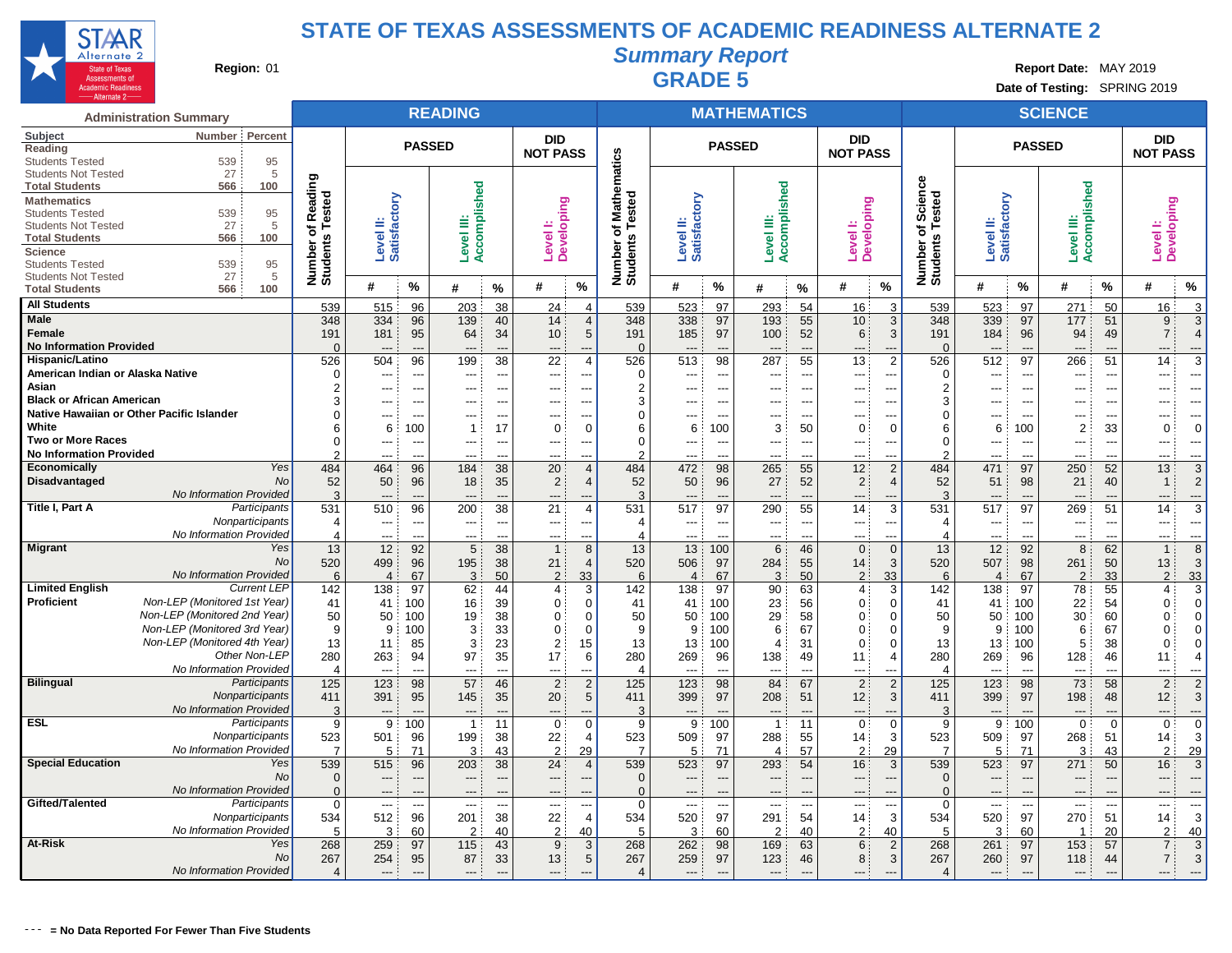

**Summary Report**

**Region:** 01 **Region:** 01 **Region:** 01 **Report Date:** MAY 2019 **GRADE** 5 **Report Date:** MAY 2019 **GRADE** 5

**Date of Testing:** SPRING 2019

|                                             | <b>Administration Summary</b>                                |                       |                           |                          | <b>READING</b>           |                          |                                                                      |                          |                     |                           |                                            | <b>MATHEMATICS</b>       |                          |                                                      |                                    |                           |                       | <b>SCIENCE</b> |                                 |                                     |                          |
|---------------------------------------------|--------------------------------------------------------------|-----------------------|---------------------------|--------------------------|--------------------------|--------------------------|----------------------------------------------------------------------|--------------------------|---------------------|---------------------------|--------------------------------------------|--------------------------|--------------------------|------------------------------------------------------|------------------------------------|---------------------------|-----------------------|----------------|---------------------------------|-------------------------------------|--------------------------|
| <b>Subject</b><br>Reading                   | Number<br>Percent                                            |                       |                           | <b>PASSED</b>            |                          |                          | <b>DID</b><br><b>NOT PASS</b>                                        |                          |                     |                           | <b>PASSED</b>                              |                          |                          | <b>DID</b><br><b>NOT PASS</b>                        |                                    |                           | <b>PASSED</b>         |                |                                 | <b>DID</b><br><b>NOT PASS</b>       |                          |
| <b>Students Tested</b>                      | 539<br>95                                                    |                       |                           |                          |                          |                          |                                                                      | athematics               |                     |                           |                                            |                          |                          |                                                      |                                    |                           |                       |                |                                 |                                     |                          |
| <b>Students Not Tested</b>                  | 27<br>5<br>100                                               |                       |                           |                          |                          |                          |                                                                      |                          |                     |                           |                                            |                          |                          |                                                      |                                    |                           |                       |                |                                 |                                     |                          |
| <b>Total Students</b><br><b>Mathematics</b> | 566                                                          | Reading               |                           |                          | Accomplished             |                          |                                                                      |                          |                     |                           |                                            | Accomplished             |                          |                                                      | Science                            |                           |                       | Accomplished   |                                 |                                     |                          |
| <b>Students Tested</b>                      | 539<br>95                                                    | ested                 |                           |                          |                          |                          |                                                                      |                          | ested               |                           |                                            |                          |                          |                                                      |                                    |                           |                       |                |                                 |                                     |                          |
| <b>Students Not Tested</b>                  | 27<br>5                                                      | ⊢                     |                           |                          | ≝                        |                          |                                                                      | Ź.                       | ⊢                   |                           |                                            | ≝                        |                          |                                                      |                                    |                           |                       |                |                                 |                                     |                          |
| <b>Total Students</b>                       | 566<br>100                                                   | ৳                     |                           |                          |                          |                          |                                                                      | ৳                        |                     |                           |                                            |                          |                          |                                                      |                                    |                           |                       |                |                                 |                                     |                          |
| <b>Science</b>                              |                                                              | Number of<br>Students | Level II:<br>Satisfactory |                          | <b>Level</b>             |                          | Level I:<br>Developing                                               | Number of<br>Students    |                     | Level II:<br>Satisfactory |                                            | Level                    |                          | Level I:<br>Developing                               | Number of Scien<br>Students Tested | Level II:<br>Satisfactory |                       | Level III:     |                                 | <b>Developing</b><br>Level I:       |                          |
| <b>Students Tested</b>                      | 539<br>95                                                    |                       |                           |                          |                          |                          |                                                                      |                          |                     |                           |                                            |                          |                          |                                                      |                                    |                           |                       |                |                                 |                                     |                          |
| <b>Students Not Tested</b>                  | 27<br>5                                                      |                       |                           |                          |                          |                          |                                                                      |                          |                     |                           |                                            |                          |                          |                                                      |                                    | #                         |                       |                |                                 |                                     |                          |
| <b>Total Students</b>                       | 566<br>100                                                   |                       | #                         | %                        | #                        | %                        | $\%$<br>#                                                            |                          |                     | #                         | %                                          | #                        | %                        | $\%$<br>#                                            |                                    |                           | %                     | #              | $\%$                            | #                                   | $\%$                     |
| <b>All Students</b>                         |                                                              | 539                   | 515                       | 96                       | 203                      | 38                       | 24                                                                   | $\overline{4}$           | 539                 | 523                       | 97                                         | 293                      | 54                       | 16<br>3                                              | 539                                | 523                       | 97                    | 271            | 50                              | 16                                  | 3                        |
| Male                                        |                                                              | 348                   | 334                       | 96                       | 139                      | 40                       | 14                                                                   | $\overline{4}$           | 348                 | 338                       | 97                                         | 193                      | 55                       | 10 <sup>1</sup><br>3                                 | 348                                | 339                       | 97                    | 177            | 51                              | 9                                   | 3                        |
| Female                                      |                                                              | 191                   | 181                       | 95                       | 64                       | 34                       | 10 <sup>°</sup>                                                      | 5                        | 191                 | 185                       | 97                                         | 100                      | 52                       | 6<br>3                                               | 191                                | 184                       | 96                    | 94             | 49                              | $\overline{7}$                      | $\overline{4}$           |
| <b>No Information Provided</b>              |                                                              | $\Omega$              |                           | ---                      | $\overline{a}$           | $\overline{a}$           | ---                                                                  |                          | $\Omega$            |                           |                                            | ---                      | $\overline{\phantom{a}}$ | $\overline{a}$<br>$---$                              | $\mathbf 0$                        |                           | ---                   | ---            | ---                             | ---                                 | ---                      |
| Hispanic/Latino                             |                                                              | 526                   | 504                       | 96                       | 199                      | 38                       | 22                                                                   | $\overline{4}$           | 526                 | 513                       | 98                                         | 287                      | 55                       | 13<br>$\overline{2}$                                 | 526                                | 512                       | 97                    | 266            | 51                              | 14                                  | 3                        |
| American Indian or Alaska Native            |                                                              | $\Omega$              |                           |                          |                          | $\overline{a}$           | $---$                                                                |                          | 0                   |                           | $\overline{a}$                             |                          | $\overline{a}$           | ---<br>$\overline{a}$                                | 0                                  |                           | ---                   |                |                                 | ---                                 | ---                      |
| Asian<br><b>Black or African American</b>   |                                                              |                       |                           | ---                      | ---                      | ---<br>---               | $\overline{\phantom{a}}$<br>$\overline{\phantom{a}}$                 |                          | $\overline{2}$<br>3 | $\overline{\phantom{a}}$  | $\overline{\phantom{a}}$                   | ---                      | ---<br>$\overline{a}$    | ---<br>---                                           | $\overline{2}$<br>3                | ---                       | ---                   | ---            |                                 | ---                                 | ---<br>$\overline{a}$    |
| Native Hawaiian or Other Pacific Islander   |                                                              |                       | ---                       | ---<br>---               | ---<br>---               | $---$                    | ---<br>$\overline{\phantom{a}}$<br>$---$<br>$\overline{\phantom{a}}$ |                          | $\Omega$            | ---<br>$---$              | $\overline{\phantom{a}}$<br>$\overline{a}$ | ---<br>---               | $\overline{a}$           | $---$<br>---<br>$---$<br>---                         | $\mathbf 0$                        | $---$<br>$---$            | ---<br>$\overline{a}$ | ---<br>---     | ---<br>$\overline{\phantom{a}}$ | ---<br>---                          | $\overline{\phantom{a}}$ |
| White                                       |                                                              |                       | 6                         | 100                      | $\overline{1}$           | 17                       | $\Omega$                                                             | $\Omega$                 | -6                  | 6                         | 100                                        | 3                        | 50                       | $\Omega$<br>$\Omega$                                 | 6                                  | 6                         | 100                   | $\overline{2}$ | 33                              | 0                                   | $\Omega$                 |
| <b>Two or More Races</b>                    |                                                              | 0                     |                           | ---                      | ---                      | $\overline{a}$           | ---                                                                  |                          | $\mathbf 0$         |                           | $\overline{\phantom{a}}$                   | ---                      | ---                      | ---<br>--                                            | $\Omega$                           | ---                       | --                    | ---            | $\overline{a}$                  | ---                                 | ---                      |
| <b>No Information Provided</b>              |                                                              | 2                     |                           | $\overline{a}$           | ---                      | $\overline{a}$           | ---                                                                  |                          | 2                   |                           | $\overline{a}$                             |                          | $\overline{a}$           | ---<br>$\overline{a}$                                | $\mathfrak{p}$                     | ---                       | --                    | ---            | $\overline{a}$                  | ---                                 | ---                      |
| <b>Economically</b>                         | Yes                                                          | 484                   | 464                       | 96                       | 184                      | 38                       | 20                                                                   | $\overline{4}$           | 484                 | 472                       | 98                                         | 265                      | 55                       | 12<br>$\overline{2}$                                 | 484                                | 471                       | 97                    | 250            | 52                              | 13                                  | 3                        |
| Disadvantaged                               | <b>No</b>                                                    | 52                    | 50                        | 96                       | 18                       | 35                       | $\overline{2}$                                                       | $\boldsymbol{\varDelta}$ | 52                  | 50                        | 96                                         | 27                       | 52                       | 2:<br>$\overline{\mathcal{A}}$                       | 52                                 | 51                        | 98                    | 21             | 40                              | $\mathbf{1}$                        | $\overline{2}$           |
|                                             | No Information Provided                                      | 3                     | ---                       | $---$                    | $\overline{a}$           | $\overline{a}$           | ---                                                                  |                          | 3                   | $\overline{\phantom{a}}$  |                                            |                          | $---$                    | $---$<br>$-$                                         | 3                                  | $---$                     | ---                   | $---$          |                                 | ---                                 | ---                      |
| Title I, Part A                             | Participants                                                 | 531                   | 510                       | 96                       | 200                      | 38                       | 21                                                                   | $\boldsymbol{\varDelta}$ | 531                 | 517                       | 97                                         | 290                      | 55                       | 3<br>14                                              | 531                                | 517                       | 97                    | 269            | 51                              | 14                                  | 3                        |
|                                             | Nonparticipants                                              | 4                     | ---                       | ---                      | ---                      | ---                      | $---$<br>$- -$                                                       |                          | $\overline{4}$      | ---                       | $\overline{\phantom{a}}$                   | ---                      | ---                      | ---<br>---                                           | 4                                  | ---                       | ---                   | ---            | $-$                             | ---                                 | ---                      |
|                                             | No Information Provided                                      | 4                     | ---                       | $\overline{a}$           | $\overline{\phantom{a}}$ | $\overline{a}$           | $---$<br>$\overline{\phantom{a}}$                                    |                          | $\overline{4}$      | $---$                     | $\overline{a}$                             | $\overline{a}$           | $\overline{\phantom{a}}$ | $---$<br>$\overline{\phantom{a}}$                    | $\overline{4}$                     | $---$                     | $-$                   | ---            | $---$                           | $\overline{a}$                      | $\overline{a}$           |
| <b>Migrant</b>                              | Yes                                                          | 13                    | 12                        | 92                       | 5                        | 38                       | $\mathbf{1}$ :                                                       | 8                        | 13                  | 13                        | 100                                        | 6                        | 46                       | $\mathbf{0}$<br>$\mathbf{0}$                         | 13                                 | 12                        | 92                    | 8              | 62                              | $\mathbf{1}$                        | 8                        |
|                                             | No                                                           | 520                   | 499                       | 96                       | 195                      | 38                       | 21                                                                   | $\overline{4}$           | 520                 | 506                       | 97                                         | 284                      | 55                       | 14<br>3                                              | 520                                | 507                       | 98                    | 261            | 50                              | 13                                  | 3                        |
|                                             | No Information Provided                                      | 6                     | $\overline{4}$            | 67                       | 3                        | 50                       | $\overline{2}$<br>33                                                 |                          | 6                   | 4                         | 67                                         | 3                        | 50                       | 33<br>$\overline{2}$                                 | 6                                  | $\overline{4}$            | 67                    | $\overline{2}$ | 33                              | $\overline{2}$                      | 33                       |
| <b>Limited English</b>                      | <b>Current LEP</b>                                           | 142                   | 138                       | 97                       | 62                       | 44                       | 4:                                                                   | 3                        | 142                 | 138                       | 97                                         | 90                       | 63                       | 3<br>4:                                              | 142                                | 138                       | 97                    | 78             | 55                              | 4                                   | 3                        |
| <b>Proficient</b>                           | Non-LEP (Monitored 1st Year)                                 | 41                    | 41                        | 100                      | 16                       | 39                       | 0                                                                    | $\mathbf 0$              | 41                  | 41                        | 100                                        | 23                       | 56                       | 0<br>$\Omega$                                        | 41                                 | 41                        | 100                   | 22             | 54                              | 0                                   | 0                        |
|                                             | Non-LEP (Monitored 2nd Year)<br>Non-LEP (Monitored 3rd Year) | 50<br>9               | 50                        | 100                      | 19                       | 38                       | 0                                                                    | $\mathbf 0$              | 50<br>-9            | 50                        | 100                                        | 29                       | 58                       | $\mathbf 0$<br>$\Omega$                              | 50                                 | 50                        | 100                   | 30             | 60                              | $\mathbf 0$                         | $\Omega$                 |
|                                             | Non-LEP (Monitored 4th Year)                                 | 13                    | 9                         | 100<br>85                | 3<br>3                   | 33<br>23                 | 0<br>$\overline{2}$                                                  | $\mathbf 0$              | 13                  | 9                         | 100<br>100                                 | 6<br>4                   | 67<br>31                 | $\mathbf 0$<br>$\Omega$<br>$\mathbf 0$<br>$\Omega$   | 9<br>13                            | 9<br>13                   | 100<br>100            | 6<br>5         | 67<br>38                        | 0<br>$\mathbf 0$                    | $\Omega$<br>$\Omega$     |
|                                             | Other Non-LEP                                                | 280                   | 11<br>263                 | 94                       | 97                       | 35                       | 15<br>17                                                             | 6                        | 280                 | 13<br>269                 | 96                                         | 138                      | 49                       | 11<br>4                                              | 280                                | 269                       | 96                    | 128            | 46                              | 11                                  | $\overline{4}$           |
|                                             | No Information Provided                                      | $\overline{4}$        | $\overline{a}$            | $\overline{a}$           | ---                      | $\overline{a}$           | ---<br>---                                                           |                          | 4                   | $---$                     | $\overline{a}$                             | ---                      | $\overline{a}$           | ---<br>$\overline{a}$                                | $\overline{4}$                     | ---                       | ---                   | ---            |                                 | ---                                 | ---                      |
| <b>Bilingual</b>                            | Participants                                                 | 125                   | 123                       | 98                       | 57                       | 46                       | $\overline{2}$                                                       | $\overline{2}$           | 125                 | 123                       | 98                                         | 84                       | 67                       | 2:<br>$\overline{2}$                                 | 125                                | 123                       | 98                    | 73             | 58                              | $\overline{2}$                      | $\overline{2}$           |
|                                             | Nonparticipants                                              | 411                   | 391                       | 95                       | 145                      | 35                       | 20                                                                   | 5                        | 411                 | 399                       | 97                                         | 208                      | 51                       | 12<br>3                                              | 411                                | 399                       | 97                    | 198            | 48                              | 12                                  | 3                        |
|                                             | No Information Provided                                      | 3                     |                           | $\overline{\phantom{a}}$ | $\overline{\phantom{a}}$ | $\overline{a}$           | $\overline{\phantom{a}}$                                             |                          | 3                   |                           | $\overline{\phantom{a}}$                   | $\overline{a}$           | $\overline{\phantom{a}}$ | $---$<br>$\overline{a}$                              | 3                                  |                           | ---                   | ---            | $-$                             | ---                                 | ---                      |
| <b>ESL</b>                                  | Participants                                                 | 9                     | 9                         | 100                      | $\mathbf{1}$             | 11                       | $\overline{0}$                                                       | $\mathbf 0$              | 9                   | 9:                        | 100                                        | $\mathbf{1}$             | 11                       | 0:<br>$\mathbf 0$                                    | 9                                  | 9:                        | 100                   | $\mathbf 0$    | $\mathbf 0$                     | $\overline{0}$                      | $\mathbf 0$              |
|                                             | Nonparticipants                                              | 523                   | 501                       | 96                       | 199                      | 38                       | 22                                                                   | 4                        | 523                 | 509                       | 97                                         | 288                      | 55                       | 14:<br>3                                             | 523                                | 509                       | 97                    | 268            | 51                              | 14                                  | 3                        |
|                                             | No Information Provided                                      | 7                     | 5                         | 71                       | 3                        | 43                       | $\overline{2}$<br>29                                                 |                          | $\overline{7}$      | 5                         | 71                                         | 4                        | 57                       | 29<br>2:                                             | 7                                  | 5                         | 71                    | 3              | 43                              | $\overline{2}$                      | 29                       |
| <b>Special Education</b>                    | Yes                                                          | 539                   | 515                       | 96                       | 203                      | 38                       | 24                                                                   | $\overline{4}$           | 539                 | 523                       | 97                                         | 293                      | 54                       | 16<br>3                                              | 539                                | 523                       | 97                    | 271            | 50                              | 16                                  | 3                        |
|                                             | No                                                           | $\mathbf 0$           | ---                       | ---                      | ---                      | $\overline{a}$           | ---<br>$\overline{\phantom{a}}$                                      |                          | $\mathbf 0$         | ---                       | $\overline{\phantom{a}}$                   | ---                      | ---                      | $\overline{\phantom{a}}$<br>$\overline{\phantom{a}}$ | $\mathbf 0$                        | ---                       | ---                   | ---            | ---                             | ---                                 | ---                      |
|                                             | No Information Provided                                      | $\Omega$              | $---$                     | $---$                    | ---                      | $---$                    | $\overline{a}$<br>$---$                                              |                          | $\Omega$            | $---$                     | $\overline{\phantom{a}}$                   | $---$                    | $---$                    | $\overline{\phantom{a}}$<br>$---$                    | $\Omega$                           | $---$                     | ---                   | $---$          | $---$                           | ---                                 | $\overline{\phantom{a}}$ |
| Gifted/Talented                             | Participants                                                 | 0                     | $---$                     | $\overline{\phantom{a}}$ | $\overline{a}$           | $\overline{\phantom{a}}$ | $---$<br>$\overline{\phantom{a}}$                                    |                          | $\mathbf 0$         | ---                       | $\overline{a}$                             | $\overline{\phantom{a}}$ | $\overline{a}$           | ---<br>$\overline{\phantom{a}}$                      | $\mathbf 0$                        | ---                       | ---                   | ---            | $\overline{a}$                  | ---                                 | $\overline{\phantom{a}}$ |
|                                             | Nonparticipants                                              | 534                   | 512                       | 96                       | 201                      | 38                       | 22                                                                   | 4                        | 534                 | 520                       | 97                                         | 291                      | 54                       | 3<br>14                                              | 534                                | 520                       | 97                    | 270            | 51                              | 14                                  | 3                        |
| At-Risk                                     | No Information Provided<br>Yes                               | 5                     | 3                         | 60<br>97                 | $\mathfrak{p}$           | 40                       | $\overline{2}$<br>40<br>9                                            | 3                        | 5                   | 3<br>262                  | 60<br>98                                   | 2<br>169                 | 40                       | 2<br>40<br>6<br>$\overline{2}$                       | 5                                  | 3                         | 60<br>97              | $\overline{1}$ | 20<br>57                        | $\overline{2}$<br>$7^{\frac{1}{2}}$ | 40                       |
|                                             | <b>No</b>                                                    | 268                   | 259                       | 95                       | 115                      | 43                       |                                                                      |                          | 268<br>267          | 259                       | 97                                         |                          | 63                       |                                                      | 268                                | 261                       | 97                    | 153            | 44                              |                                     | 3<br>3                   |
|                                             | No Information Provided                                      | 267<br>$\overline{4}$ | 254<br>---                |                          | 87<br>---                | 33<br>---                | 13<br>---                                                            | 5                        | $\overline{4}$      | $---$                     |                                            | 123<br>---               | 46<br>---                | 8:<br>3<br>---<br>---                                | 267<br>$\overline{4}$              | 260<br>---                | ---                   | 118<br>---     | ---                             | 7:<br>---                           | ---                      |
|                                             |                                                              |                       |                           |                          |                          |                          |                                                                      |                          |                     |                           |                                            |                          |                          |                                                      |                                    |                           |                       |                |                                 |                                     |                          |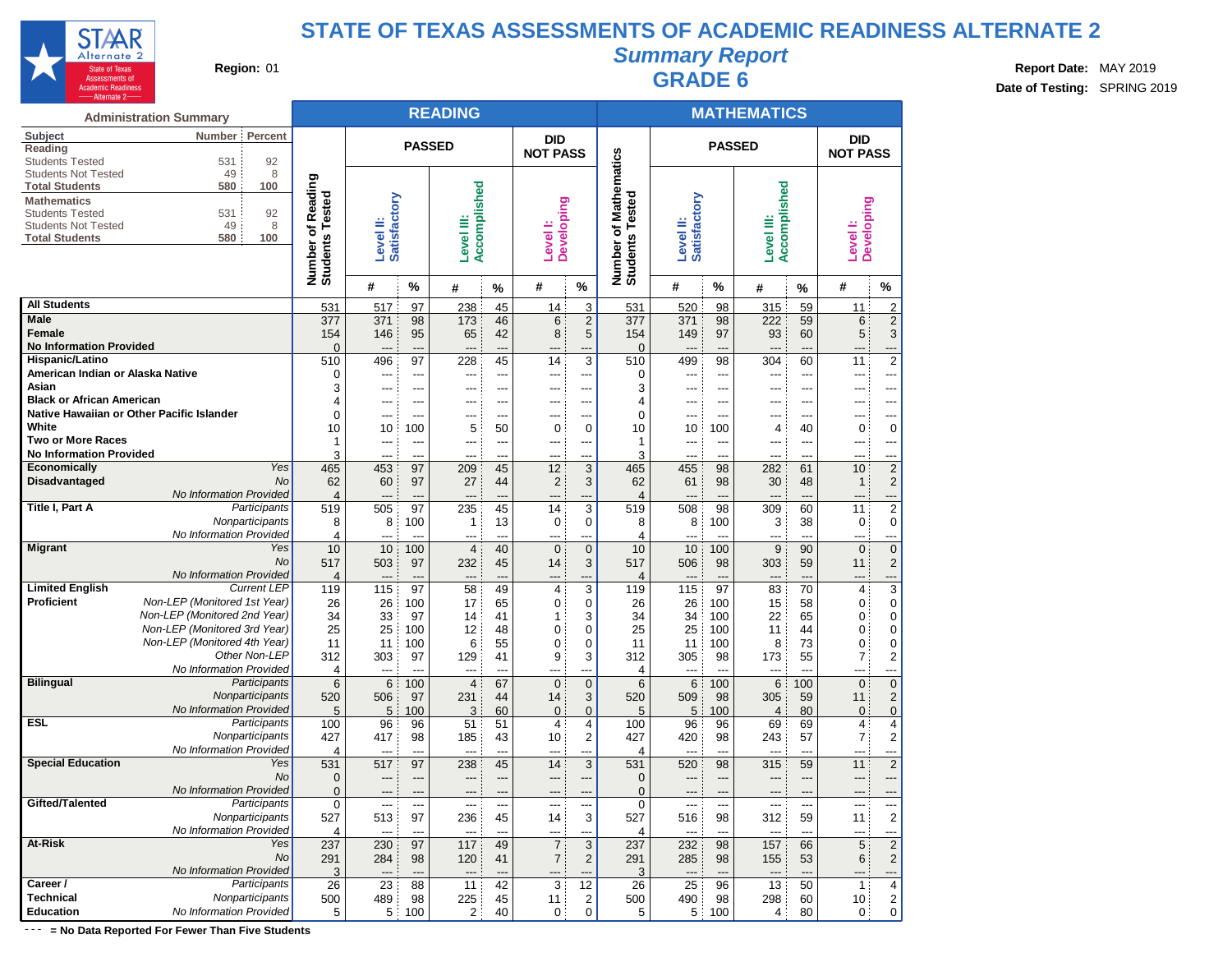

### **Summary Report Region:** 01 **Region:** 01 **Region:** 01 **Report Date:** MAY 2019 **GRADE 6 Report Date:** MAY 2019 **GRADE 6 Date: CONFING 2019**

**Date of Testing:** SPRING 2019

|                                                                                                                                                                                      | <b>Administration Summary</b>                                            |                                                 |                                 |               | <b>READING</b>                   |              |                                           |                                        |                                                            |                                 |                       | <b>MATHEMATICS</b>              |            |                               |                                        |
|--------------------------------------------------------------------------------------------------------------------------------------------------------------------------------------|--------------------------------------------------------------------------|-------------------------------------------------|---------------------------------|---------------|----------------------------------|--------------|-------------------------------------------|----------------------------------------|------------------------------------------------------------|---------------------------------|-----------------------|---------------------------------|------------|-------------------------------|----------------------------------------|
| Subject<br>Reading                                                                                                                                                                   | Percent<br><b>Number</b>                                                 |                                                 |                                 | <b>PASSED</b> |                                  |              | <b>DID</b><br><b>NOT PASS</b>             |                                        |                                                            |                                 | <b>PASSED</b>         |                                 |            | DID<br><b>NOT PASS</b>        |                                        |
| <b>Students Tested</b><br><b>Students Not Tested</b><br><b>Total Students</b><br><b>Mathematics</b><br><b>Students Tested</b><br><b>Students Not Tested</b><br><b>Total Students</b> | 531<br>92<br>49<br>8<br>100<br>580<br>531<br>92<br>49<br>8<br>580<br>100 | Reading<br>Tested<br>৳<br>Number of<br>Students | Satisfactory<br>Level II:       |               | Accomplished<br>Level III:       |              | <b>Developing</b><br>Level <sub>I</sub> : |                                        | <b>Mathematics</b><br>Tested<br>৳<br>Number of<br>Students | Satisfactory<br>Level II:       |                       | Accomplished<br>Level III:      |            | <b>Developing</b><br>Level I: |                                        |
|                                                                                                                                                                                      |                                                                          |                                                 | #                               | %             | #                                | %            | #                                         | $\%$                                   |                                                            | #                               | %                     | #                               | %          | #                             | %                                      |
| <b>All Students</b>                                                                                                                                                                  |                                                                          | 531                                             | 517                             | 97            | 238                              | 45           | 14                                        | 3                                      | 531                                                        | 520                             | 98                    | 315                             | 59         | 11                            | $\overline{c}$                         |
| <b>Male</b><br>Female                                                                                                                                                                |                                                                          | 377<br>154                                      | 371<br>146                      | 98<br>95      | 173<br>65                        | 46<br>42     | 6<br>8                                    | $\overline{c}$<br>5                    | 377<br>154                                                 | 371<br>149                      | 98<br>97              | 222<br>93                       | 59<br>60   | 6<br>5                        | $\overline{c}$<br>3                    |
| <b>No Information Provided</b><br>Hispanic/Latino                                                                                                                                    |                                                                          | $\mathbf 0$<br>510                              | ---<br>496                      | ---<br>97     | ---<br>228                       | ---<br>45    | ---<br>14                                 | ---<br>3                               | $\mathbf 0$<br>510                                         | $\overline{\phantom{a}}$<br>499 | ---<br>98             | $\overline{\phantom{a}}$<br>304 | ---<br>60  | 11                            | ---<br>$\overline{\mathbf{c}}$         |
| American Indian or Alaska Native<br>Asian                                                                                                                                            |                                                                          | 0                                               | ---                             | ---           | ---                              | ---          | ---                                       | ---                                    | 0                                                          | ---                             | ---                   | ---                             | ---        | ---                           | ---                                    |
| <b>Black or African American</b>                                                                                                                                                     |                                                                          | 3<br>4                                          | ---<br>$\overline{\phantom{a}}$ | ---<br>---    | ---<br>---                       | ---<br>$---$ | ---<br>---                                | $---$<br>---                           | 3<br>4                                                     | ---<br>---                      | ---<br>---            | ---<br>---                      | ---<br>--- | ---<br>$- - -$                | ---<br>---                             |
| White                                                                                                                                                                                | Native Hawaiian or Other Pacific Islander                                | $\mathbf 0$<br>10                               | ---<br>10                       | ---<br>100    | ---<br>5                         | ---<br>50    | ---<br>0                                  | ---<br>0                               | $\mathbf 0$<br>10                                          | ---<br>10                       | ---<br>100            | ---<br>4                        | ---<br>40  | 0                             | ---<br>$\mathbf 0$                     |
| <b>Two or More Races</b>                                                                                                                                                             |                                                                          | 1                                               | $---$                           | ---           | ---                              | ---          | ---                                       | $---$                                  | 1                                                          | ---                             | ---                   | $---$                           | ---        | $---$                         | ---                                    |
| <b>No Information Provided</b><br><b>Economically</b>                                                                                                                                | Yes                                                                      | 3<br>465                                        | ---<br>453                      | ---<br>97     | $---$<br>209                     | ---<br>45    | ---<br>12                                 | ---<br>3                               | 3<br>465                                                   | $---$<br>455                    | $---$<br>98           | $---$<br>282                    | ---<br>61  | $- - -$<br>10                 | ---<br>$\overline{c}$                  |
| <b>Disadvantaged</b>                                                                                                                                                                 | No<br>No Information Provided                                            | 62                                              | 60                              | 97            | 27                               | 44           | $\overline{2}$                            | 3                                      | 62                                                         | 61                              | 98                    | 30                              | 48         | 1                             | $\overline{c}$                         |
| Title I, Part A                                                                                                                                                                      | Participants                                                             | $\overline{4}$<br>519                           | $---$<br>505                    | ---<br>97     | ---<br>235                       | $---$<br>45  | ---<br>14                                 | ---<br>3                               | $\overline{4}$<br>519                                      | ---<br>508                      | ---<br>98             | $\overline{\phantom{a}}$<br>309 | ---<br>60  | $---$<br>11                   | ---<br>$\overline{\mathbf{c}}$         |
|                                                                                                                                                                                      | Nonparticipants<br>No Information Provided                               | 8<br>$\overline{4}$                             | 8<br>$\overline{a}$             | 100<br>---    | 1<br>---                         | 13<br>---    | 0<br>---                                  | 0<br>---                               | 8<br>4                                                     | 8<br>---                        | 100<br>$\overline{a}$ | 3<br>---                        | 38<br>---  | $\mathbf{0}$<br>---           | $\overline{0}$<br>---                  |
| <b>Migrant</b>                                                                                                                                                                       | Yes                                                                      | 10                                              | 10                              | 100           | $\overline{4}$                   | 40           | $\mathbf 0$                               | 0                                      | 10                                                         | 10                              | 100                   | 9                               | 90         | $\mathbf 0$                   | $\overline{0}$                         |
|                                                                                                                                                                                      | <b>No</b><br>No Information Provided                                     | 517<br>4                                        | 503<br>---                      | 97<br>---     | 232<br>$---$                     | 45           | 14<br>---                                 | 3<br>---                               | 517<br>$\overline{4}$                                      | 506<br>$---$                    | 98                    | 303<br>---                      | 59<br>---  | 11<br>$---$                   | $\overline{2}$<br>---                  |
| <b>Limited English</b><br><b>Proficient</b>                                                                                                                                          | <b>Current LEP</b><br>Non-LEP (Monitored 1st Year)                       | 119<br>26                                       | 115<br>26                       | 97<br>100     | 58<br>17                         | 49<br>65     | 4<br>0                                    | 3<br>0                                 | 119<br>26                                                  | 115<br>26                       | 97<br>100             | 83<br>15                        | 70<br>58   | $\overline{4}$<br>0           | 3<br>0                                 |
|                                                                                                                                                                                      | Non-LEP (Monitored 2nd Year)                                             | 34                                              | 33                              | 97            | 14                               | 41           | 1                                         | 3                                      | 34                                                         | 34                              | 100                   | 22                              | 65         | 0                             | 0                                      |
|                                                                                                                                                                                      | Non-LEP (Monitored 3rd Year)<br>Non-LEP (Monitored 4th Year)             | 25<br>11                                        | 25<br>11                        | 100<br>100    | 12<br>6                          | 48<br>55     | 0<br>0                                    | $\mathbf 0$<br>0                       | 25<br>11                                                   | 25<br>11                        | 100<br>100            | 11<br>8                         | 44<br>73   | 0<br>0                        | 0<br>$\mathbf 0$                       |
|                                                                                                                                                                                      | Other Non-LEP                                                            | 312                                             | 303                             | 97            | 129                              | 41           | 9                                         | 3                                      | 312                                                        | 305                             | 98                    | 173                             | 55         | $\overline{7}$                | $\overline{c}$                         |
| <b>Bilingual</b>                                                                                                                                                                     | No Information Provided<br>Participants                                  | 4<br>6                                          | $\overline{a}$<br>6             | $---$<br>100  | $\overline{a}$<br>$\overline{4}$ | $---$<br>67  | ---<br>$\mathbf 0$                        | ---<br>0                               | $\overline{4}$<br>6                                        | $\overline{a}$<br>6             | 100                   | $---$<br>6                      | ---<br>100 | ---<br>$\mathbf{0}$           | ---<br>$\mathbf 0$                     |
|                                                                                                                                                                                      | Nonparticipants                                                          | 520                                             | 506                             | 97            | 231                              | 44           | 14                                        | 3                                      | 520                                                        | 509                             | 98                    | 305                             | 59         | 11 <sup>1</sup>               | $\overline{c}$                         |
| <b>ESL</b>                                                                                                                                                                           | No Information Provided<br>Participants                                  | 5<br>100                                        | 5<br>96                         | 100<br>96     | 3<br>51                          | 60<br>51     | $\mathbf 0$<br>$\overline{4}$             | $\overline{0}$<br>$\overline{4}$       | 5<br>100                                                   | 5<br>96                         | 100<br>96             | 4<br>69                         | 80<br>69   | $\mathbf{0}$<br>4:            | $\mathbf 0$<br>4                       |
|                                                                                                                                                                                      | Nonparticipants<br>No Information Provided                               | 427                                             | 417                             | 98            | 185                              | 43           | 10                                        | $\overline{2}$                         | 427                                                        | 420                             | 98                    | 243                             | 57         | $\overline{7}$                | $\overline{\mathbf{c}}$                |
| <b>Special Education</b>                                                                                                                                                             | Yes                                                                      | 4<br>531                                        | ---<br>517                      | ---<br>97     | 238                              | ---<br>45    | ---<br>14                                 | ---<br>3                               | 4<br>531                                                   | ---<br>520                      | ---<br>98             | ---<br>315                      | ---<br>59  | 11                            | ---<br>$\overline{2}$                  |
|                                                                                                                                                                                      | No<br>No Information Provided                                            | $\mathbf 0$<br>$\mathbf{0}$                     | ---<br>$---$                    | ---<br>---    | ---<br>$---$                     | ---<br>---   | ---<br>---                                | ---<br>---                             | $\mathbf 0$<br>$\Omega$                                    | ---<br>$---$                    | ---<br>---            | ---<br>$---$                    | ---<br>--- | $---$<br>$---$                | ---<br>---                             |
| Gifted/Talented                                                                                                                                                                      | Participants                                                             | 0                                               |                                 | ---           |                                  | ---          |                                           |                                        | 0                                                          |                                 | ---                   | ---                             |            |                               | ---                                    |
|                                                                                                                                                                                      | Nonparticipants<br>No Information Provided                               | 527<br>4                                        | 513<br>---                      | 97<br>---     | 236<br>---                       | 45<br>---    | 14<br>---                                 | 3<br>---                               | 527<br>4                                                   | 516<br>---                      | 98<br>---             | 312<br>---                      | 59<br>---  | 11<br>$---$                   | 2                                      |
| At-Risk                                                                                                                                                                              | Yes                                                                      | 237                                             | 230                             | 97            | 117                              | 49           | $\overline{7}$                            | $\sqrt{3}$                             | 237                                                        | 232                             | 98                    | 157                             | 66         | 5:                            | ---<br>$\overline{\mathbf{c}}$         |
|                                                                                                                                                                                      | No<br>No Information Provided                                            | 291<br>3                                        | 284                             | 98<br>---     | 120:<br>---                      | 41           | $\overline{7}$                            | $\sqrt{2}$                             | 291<br>3                                                   | 285                             | 98<br>---             | 155                             | 53         | 6                             | $\overline{\mathbf{c}}$<br>---         |
| Career /                                                                                                                                                                             | Participants                                                             | 26                                              | ---<br>23                       | 88            | 11                               | 42           | ---<br>3                                  | 12                                     | 26                                                         | ---<br>25                       | 96                    | ---<br>13                       | 50         | $\mathbf{1}$                  | 4                                      |
| <b>Technical</b><br><b>Education</b>                                                                                                                                                 | Nonparticipants<br>No Information Provided                               | 500<br>5                                        | 489                             | 98<br>5:100   | 225:<br>2:                       | 45<br>40     | 11<br>0:                                  | $\overline{\mathbf{c}}$<br>$\mathbf 0$ | 500<br>5                                                   | 490                             | 98<br>5:100           | 298 :<br>4 :                    | 60<br>80   | 10:<br>0:                     | $\overline{\mathbf{c}}$<br>$\mathsf 0$ |
|                                                                                                                                                                                      |                                                                          |                                                 |                                 |               |                                  |              |                                           |                                        |                                                            |                                 |                       |                                 |            |                               |                                        |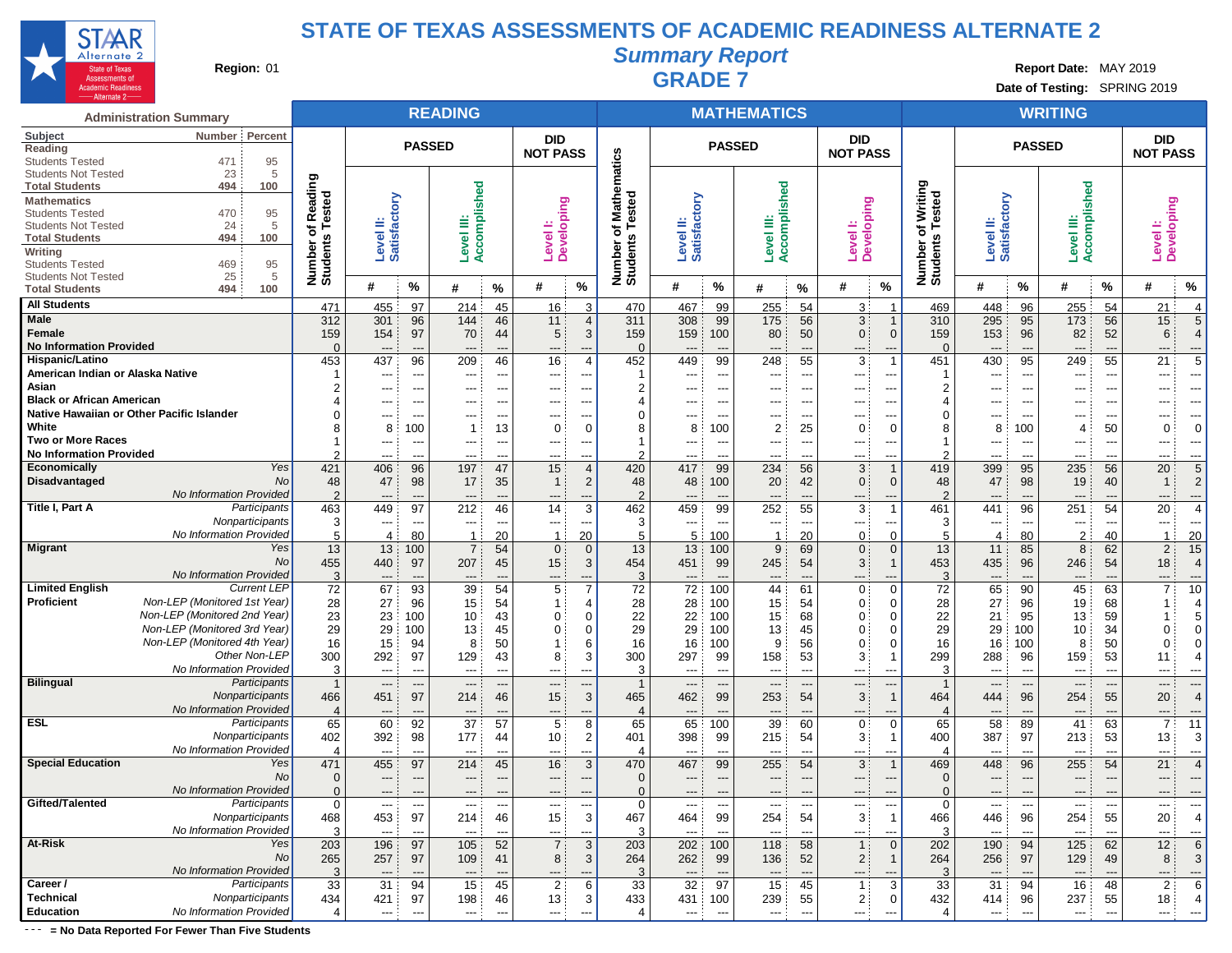

**Summary Report**

**Region:** 01 **Region:** 01 **Region:** 01 **Report Date:** MAY 2019 **GRADE 7 Report Date:** MAY 2019 **GRADE 7 Date: Report Date: MAY 2019** 

**Date of Testing:** SPRING 2019

| <b>Administration Summary</b>                                                |                      |                              |                                | <b>READING</b>                 |                      |                                   |                |                          |                           |                          | <b>MATHEMATICS</b>             |                          |                                               |                                     |                           |                | <b>WRITING</b>             |                                |                       |                          |
|------------------------------------------------------------------------------|----------------------|------------------------------|--------------------------------|--------------------------------|----------------------|-----------------------------------|----------------|--------------------------|---------------------------|--------------------------|--------------------------------|--------------------------|-----------------------------------------------|-------------------------------------|---------------------------|----------------|----------------------------|--------------------------------|-----------------------|--------------------------|
| Subject<br>Number Percent<br>Reading                                         |                      |                              | <b>PASSED</b>                  |                                |                      | <b>DID</b>                        |                |                          |                           | <b>PASSED</b>            |                                |                          | <b>DID</b>                                    |                                     |                           | <b>PASSED</b>  |                            |                                | DID                   |                          |
| 95<br>471<br><b>Students Tested</b>                                          |                      |                              |                                |                                |                      | <b>NOT PASS</b>                   |                | <b>Mathematics</b>       |                           |                          |                                |                          | <b>NOT PASS</b>                               |                                     |                           |                |                            |                                | <b>NOT PASS</b>       |                          |
| 5<br><b>Students Not Tested</b><br>23                                        |                      |                              |                                |                                |                      |                                   |                |                          |                           |                          |                                |                          |                                               |                                     |                           |                |                            |                                |                       |                          |
| 100<br><b>Total Students</b><br>494                                          | Reading              |                              |                                |                                |                      |                                   |                |                          |                           |                          |                                |                          |                                               | Writing                             |                           |                |                            |                                |                       |                          |
| <b>Mathematics</b>                                                           | ested                |                              |                                |                                |                      |                                   |                | ested                    |                           |                          |                                |                          |                                               |                                     |                           |                |                            |                                |                       |                          |
| 95<br>470<br><b>Students Tested</b>                                          |                      | ≝                            |                                | Ë                              |                      | 4                                 |                |                          |                           |                          | Ë                              |                          |                                               |                                     |                           |                |                            |                                |                       |                          |
| <b>Students Not Tested</b><br>24<br>5<br><b>Total Students</b><br>494<br>100 | ⊢<br>৳               |                              |                                | $\overline{\bullet}$           |                      |                                   |                | ⊢<br>৳                   |                           |                          |                                |                          |                                               |                                     |                           |                |                            |                                | ÷.                    |                          |
| Writing                                                                      | Number o<br>Students | Satisfactory<br><b>Level</b> |                                | Accomplished<br>Š              |                      | <b>Developing</b><br><b>Level</b> |                | Number o<br>Students     | Level II:<br>Satisfactory |                          | Accomplished<br>Level          |                          | Level I:<br>Developing                        | Number of Writin<br>Students Tested | Level II:<br>Satisfactory |                | Accomplished<br>Level III: |                                | Developing<br>Level   |                          |
| 469<br>95<br><b>Students Tested</b>                                          |                      |                              |                                |                                |                      |                                   |                |                          |                           |                          |                                |                          |                                               |                                     |                           |                |                            |                                |                       |                          |
| 25<br>5<br><b>Students Not Tested</b>                                        |                      |                              |                                |                                |                      |                                   |                |                          |                           |                          |                                |                          |                                               |                                     |                           |                |                            |                                |                       |                          |
| 494<br>100<br><b>Total Students</b>                                          |                      | #                            | %                              | #                              | %                    | #                                 | $\%$           |                          | $\pmb{\#}$                | $\%$                     | #                              | %                        | $\%$<br>#                                     |                                     | #                         | $\%$           | #                          | %                              | #                     | %                        |
| <b>All Students</b>                                                          | 471                  | 455                          | 97                             | 214                            | 45                   | 16                                | 3              | 470                      | 467                       | 99                       | 255                            | 54                       | 3 <sup>3</sup><br>-1                          | 469                                 | 448                       | 96             | 255                        | 54                             | 21                    | $\overline{4}$           |
| Male                                                                         | 312                  | 301                          | 96                             | 144                            | 46                   | 11                                | $\overline{4}$ | 311                      | 308                       | 99                       | 175                            | 56                       | 3 <sup>3</sup><br>$\mathbf{1}$                | 310                                 | 295                       | 95             | 173                        | 56                             | 15                    | 5                        |
| Female                                                                       | 159                  | 154                          | 97                             | 70                             | 44                   | 5                                 | 3              | 159                      | 159                       | 100                      | 80                             | 50                       | 0:<br>$\mathbf{0}$                            | 159                                 | 153                       | 96             | 82                         | 52                             | 6                     | $\overline{4}$           |
| <b>No Information Provided</b>                                               | $\Omega$             | $---$                        | $\overline{a}$                 | $\overline{\phantom{a}}$       | ---                  | ---                               |                | $\Omega$                 | ---                       |                          | $\overline{a}$                 | $\overline{a}$           | $\overline{\phantom{a}}$<br>$---$             | $\Omega$                            | $---$                     | ---            | $\overline{a}$             | $-$                            | ---                   | ---                      |
| Hispanic/Latino<br>American Indian or Alaska Native                          | 453                  | 437                          | 96                             | 209                            | 46                   | 16                                | $\overline{4}$ | 452                      | 449                       | 99                       | 248                            | 55                       | 3                                             | 451                                 | 430                       | 95             | 249                        | 55                             | 21                    | 5                        |
| Asian                                                                        |                      | ---                          | ---                            | ---                            | ---                  | ---                               | ---            | -1<br>$\overline{2}$     | $---$                     | $\overline{\phantom{a}}$ | $\overline{\phantom{a}}$       | $\overline{\phantom{a}}$ | $\overline{\phantom{a}}$<br>---               | $\mathbf{1}$                        | $\overline{\phantom{a}}$  | ---            | $\qquad \qquad \cdots$     | $\overline{a}$                 | ---                   | ---                      |
| <b>Black or African American</b>                                             | $\overline{2}$       | ---<br>---                   | ---<br>---                     | $\overline{a}$<br>---          | ---<br>---           | ---<br>---                        |                | 4                        |                           |                          | ---<br>---                     | $\overline{a}$<br>---    | ---<br>---<br>$\overline{\phantom{a}}$        | $\overline{2}$<br>$\overline{4}$    | ---<br>$---$              | ---<br>---     | ---                        | ---                            | ---<br>---            | ---<br>---               |
| Native Hawaiian or Other Pacific Islander                                    |                      | ---                          |                                | ---                            | $\overline{a}$       |                                   |                | $\Omega$                 |                           |                          | ---                            | $\overline{a}$           | $\overline{a}$                                | $\Omega$                            | ---                       | $\overline{a}$ |                            |                                | ---                   | ---                      |
| White                                                                        | 8                    | 8                            | 100                            | 1                              | 13                   | $\mathbf 0$                       | $\Omega$       | 8                        | 8                         | 100                      | $\overline{2}$                 | 25                       | $\mathbf 0$<br>$\Omega$                       | 8                                   | 8                         | 100            | 4                          | 50                             | $\mathbf 0$           | $\overline{0}$           |
| <b>Two or More Races</b>                                                     |                      | ---                          | $\overline{a}$                 | ---                            | ---                  | ---                               |                | $\mathbf{1}$             |                           |                          | $\overline{a}$                 | $\overline{\phantom{a}}$ | $\overline{\phantom{a}}$                      | $\mathbf{1}$                        |                           | --             |                            | $\overline{\phantom{a}}$       | ---                   | ---                      |
| <b>No Information Provided</b>                                               | $\mathcal{P}$        |                              | $\overline{a}$                 |                                | $\overline{a}$       |                                   |                | $\mathcal{P}$            |                           |                          |                                | $\overline{\phantom{a}}$ | $\overline{\phantom{a}}$                      | $\mathcal{P}$                       |                           | $\overline{a}$ |                            | $\overline{a}$                 |                       | ---                      |
| <b>Economically</b><br>Yes                                                   | 421                  | 406                          | 96                             | 197                            | 47                   | 15                                | $\overline{4}$ | 420                      | 417                       | 99                       | 234                            | 56                       | 3                                             | 419                                 | 399                       | 95             | 235                        | 56                             | 20                    | 5                        |
| Disadvantaged<br>No                                                          | 48                   | 47                           | 98                             | 17                             | 35                   | 1:                                | $\overline{2}$ | 48                       | 48                        | 100                      | 20                             | 42                       | 0:<br>$\mathbf{0}$                            | 48                                  | 47                        | 98             | 19                         | 40                             | $\mathbf{1}$          | $\overline{2}$           |
| No Information Provided                                                      | $\overline{2}$       | $---$                        | $-$                            | $\overline{a}$                 | ---                  | ---                               |                | $\overline{2}$           | $---$                     |                          | $\overline{a}$                 | $\overline{a}$           | $\overline{\phantom{a}}$                      | $\overline{2}$                      | $---$                     | $-$            | $\overline{a}$             |                                | ---                   | ---                      |
| Title I, Part A<br>Participants                                              | 463                  | 449                          | 97                             | 212                            | 46                   | 14                                | 3              | 462                      | 459                       | 99                       | 252                            | 55                       | 3<br>$\overline{1}$                           | 461                                 | 441                       | 96             | 251                        | 54                             | 20                    | $\overline{4}$           |
| Nonparticipants                                                              | 3                    | $---$                        | $\overline{a}$                 | $\overline{\phantom{a}}$       | $\overline{a}$       | $---$                             | $---$          | 3                        | $---$                     | $\overline{a}$           | $---$                          | $---$                    | $\overline{\phantom{a}}$<br>$---$             | 3                                   | $---$                     | $\overline{a}$ | $---$                      | $\overline{a}$                 | $\overline{a}$        | $\overline{\phantom{a}}$ |
| No Information Provided                                                      | 5                    | $\overline{4}$               | 80                             | $\mathbf{1}$                   | 20                   | $1$ :                             | 20             | 5                        | 5                         | 100                      | $\mathbf{1}$                   | 20                       | $\mathbf{0}$<br>$\Omega$                      | 5                                   | $\overline{4}$            | 80             | 2                          | 40                             | $\mathbf{1}$          | 20                       |
| <b>Migrant</b><br>Yes<br>No                                                  | 13                   | 13                           | 100                            | $\overline{7}$                 | 54                   | $\mathbf 0$                       | $\Omega$       | 13                       | 13                        | 100                      | 9                              | 69                       | 0<br>$\Omega$                                 | 13                                  | 11                        | 85             | 8                          | 62                             | $\overline{2}$        | 15                       |
| No Information Provided                                                      | 455<br>3             | 440<br>$---$                 | 97<br>$\overline{a}$           | 207<br>---                     | 45<br>$\overline{a}$ | 15<br>---                         | 3              | 454<br>3                 | 451<br>$---$              | 99                       | 245<br>$---$                   | 54<br>$---$              | 3:<br>---                                     | 453<br>3                            | 435<br>$---$              | 96<br>---      | 246<br>---                 | 54<br>$---$                    | 18<br>---             | $\overline{4}$<br>---    |
| <b>Limited English</b><br><b>Current LEP</b>                                 | 72                   | 67                           | 93                             | 39                             | 54                   | 5                                 | 7              | 72                       | 72                        | 100                      | 44                             | 61                       | $\mathbf 0$<br>$\Omega$                       | 72                                  | 65                        | 90             | 45                         | 63                             | $\overline{7}$        | 10                       |
| Non-LEP (Monitored 1st Year)<br>Proficient                                   | 28                   | 27                           | 96                             | 15                             | 54                   | 1:                                | $\overline{4}$ | 28                       | 28                        | 100                      | 15                             | 54                       | $\mathbf{0}$<br>0                             | 28                                  | 27                        | 96             | 19                         | 68                             | $\mathbf 1$           | $\overline{4}$           |
| Non-LEP (Monitored 2nd Year)                                                 | 23                   | 23                           | 100                            | 10                             | 43                   | 0                                 | 0              | 22                       | 22                        | 100                      | 15                             | 68                       | $\mathbf{0}$<br>$\Omega$                      | 22                                  | 21                        | 95             | 13                         | 59                             | 1:                    | 5                        |
| Non-LEP (Monitored 3rd Year)                                                 | 29                   | 29                           | 100                            | 13                             | 45                   | $\Omega$                          | $\Omega$       | 29                       | 29                        | 100                      | 13                             | 45                       | $\Omega$<br>$\Omega$                          | 29                                  | 29                        | 100            | 10                         | 34                             | $\Omega$              | $\Omega$                 |
| Non-LEP (Monitored 4th Year)                                                 | 16                   | 15                           | 94                             | 8                              | 50                   | 1:                                | 6              | 16                       | 16                        | 100                      | 9                              | 56                       | $\Omega$<br>$\Omega$                          | 16                                  | 16                        | 100            | 8                          | 50                             | $\Omega$              | $\Omega$                 |
| Other Non-LEP                                                                | 300                  | 292                          | 97                             | 129                            | 43                   | 8                                 | 3              | 300                      | 297                       | 99                       | 158                            | 53                       | 3:                                            | 299                                 | 288                       | 96             | 159                        | 53                             | 11                    | $\overline{4}$           |
| No Information Provided                                                      | 3                    | $\overline{\phantom{a}}$     | ---                            | ---                            | ---                  | ---                               | ---            | 3                        | ---                       | $\overline{a}$           | ---                            | $\overline{\phantom{a}}$ | ---<br>---                                    | 3                                   |                           | ---            | ---                        | ---                            | ---                   | ---                      |
| <b>Bilingual</b><br>Participants                                             | $\mathbf{1}$         | ---                          | ---                            | ---                            | ---                  | ---                               |                | $\overline{1}$           |                           | $\overline{\phantom{a}}$ | $\overline{\phantom{a}}$       | $\overline{\phantom{a}}$ | ---<br>$\overline{\phantom{a}}$               | $\overline{1}$                      | ---                       | ---            | ---                        | $\overline{\phantom{a}}$       | ---                   | ---                      |
| Nonparticipants<br>No Information Provided                                   | 466                  | 451                          | 97                             | 214                            | 46                   | 15                                | 3              | 465<br>$\overline{4}$    | 462                       | 99                       | 253                            | 54                       | $\mathbf{3}$<br>-1                            | 464<br>$\overline{4}$               | 444                       | 96             | 254                        | 55                             | 20                    | $\overline{4}$           |
| ESL<br>Participants                                                          | $\overline{4}$<br>65 | 60                           | $\overline{\phantom{a}}$<br>92 | $\overline{\phantom{a}}$<br>37 | ---<br>57            | 5                                 | 8              | 65                       | 65                        | 100                      | $\overline{\phantom{a}}$<br>39 | --<br>60                 | $\overline{\phantom{a}}$<br>0:<br>$\mathbf 0$ | 65                                  | 58                        | ---<br>89      | 41                         | $\overline{\phantom{a}}$<br>63 | ---<br>$\overline{7}$ | ---<br>11                |
| Nonparticipants                                                              | 402                  | 392                          | 98                             | 177                            | 44                   | 10                                | $\overline{c}$ | 401                      | 398                       | 99                       | 215                            | 54                       | 3                                             | 400                                 | 387                       | 97             | 213                        | 53                             | 13                    | 3                        |
| No Information Provided                                                      | $\overline{4}$       | $---$                        | $\overline{a}$                 | $\overline{a}$                 | $\overline{a}$       | ---                               | $---$          | $\boldsymbol{\varDelta}$ | $---$                     | $---$                    | $---$                          | $\overline{a}$           | $\overline{a}$<br>$- - -$                     | $\boldsymbol{\Delta}$               | $---$                     | $\overline{a}$ | $---$                      | $-$ --                         | ---                   | ---                      |
| <b>Special Education</b><br>Yes                                              | 471                  | 455                          | 97                             | 214                            | 45                   | 16                                | 3              | 470                      | 467                       | 99                       | 255                            | 54                       | 3<br>$\overline{1}$                           | 469                                 | 448                       | 96             | 255                        | 54                             | 21                    | $\overline{4}$           |
| <b>No</b>                                                                    | $\mathbf{0}$         | $---$                        | ---                            | ---                            | ---                  | ---                               |                | $\mathbf 0$              | $---$                     | ---                      | $---$                          | $---$                    | $---$<br>---                                  | $\overline{0}$                      | $---$                     | ---            | $---$                      | $---$                          | ---                   | ---                      |
| No Information Provided                                                      | $\Omega$             | $---$                        | $\overline{a}$                 | $\overline{a}$                 | $---$                | ---                               |                | $\mathbf 0$              | ---                       | $\overline{\phantom{a}}$ | $---$                          | $---$                    | $\overline{\phantom{a}}$                      | $\Omega$                            | $---$                     | $---$          | $---$                      | $---$                          | $\overline{a}$        | ---                      |
| Gifted/Talented<br>Participants                                              | $\mathbf 0$          | $\overline{\phantom{a}}$     | $\overline{a}$                 | ---                            | $\overline{a}$       | $---$                             | ---            | 0                        | $---$                     | $\overline{\phantom{a}}$ | $---$                          | $\overline{\phantom{a}}$ | $---$<br>$\overline{a}$                       | 0                                   | $---$                     | ---            | $---$                      | $---$                          | $---$                 | $\overline{a}$           |
| Nonparticipants                                                              | 468                  | 453                          | 97                             | 214                            | 46                   | 15                                | 3              | 467                      | 464                       | 99                       | 254                            | 54                       | 3<br>$\overline{\phantom{a}}$                 | 466                                 | 446                       | 96             | 254                        | 55                             | 20                    | $\overline{4}$           |
| No Information Provided                                                      | 3                    | ---                          | ---                            | ---                            | ---                  | ---                               |                | 3                        | ---                       |                          | ---                            | $\overline{a}$           | $\overline{\phantom{a}}$<br>---               | 3                                   | $\overline{a}$            | $\overline{a}$ | $---$                      | $\overline{a}$                 | ---                   | ---                      |
| At-Risk<br>Yes                                                               | 203                  | 196                          | 97                             | 105                            | 52                   | 7:                                | 3              | 203                      | 202                       | 100                      | 118                            | 58                       | $\overline{1}$ :<br>$\mathbf{0}$              | 202                                 | 190                       | 94             | 125                        | 62                             | 12                    | 6                        |
| No<br>No Information Provided                                                | 265<br>3             | 257                          | 97                             | 109                            | 41<br>$\overline{a}$ | 8<br>---                          | 3              | 264<br>3                 | 262<br>---                | 99                       | 136                            | 52<br>$\overline{a}$     | 2 <sup>3</sup>                                | 264<br>3                            | 256                       | 97             | 129                        | 49                             | 8<br>---              | 3<br>---                 |
| Career /<br>Participants                                                     | 33                   | 31                           | 94                             | 15                             | 45                   | 2:                                | 6              | 33                       | 32                        | 97                       | 15                             | 45                       | $\mathbf{1}$ :<br>3                           | 33                                  | 31                        | 94             | 16                         | 48                             | $\overline{2}$        | 6                        |
| <b>Technical</b><br>Nonparticipants                                          | 434                  | 421                          | 97                             | 198                            | 46                   | 13                                | 3              | 433                      | 431                       | 100                      | 239                            | 55                       | 2:<br>$\mathbf 0$                             | 432                                 | 414                       | 96             | 237                        | 55                             | 18                    | $\overline{4}$           |
| No Information Provided<br><b>Education</b>                                  | 4                    | $\overline{\phantom{a}}$     | $\overline{a}$                 | ---                            | ---                  | ---                               | ---            | $\overline{4}$           | $\overline{\phantom{a}}$  | $\overline{\phantom{a}}$ | $\overline{\phantom{a}}$       | $\overline{\phantom{a}}$ | ---<br>---                                    | $\overline{4}$                      | $\overline{a}$            | ---            | $\overline{a}$             | $\overline{a}$                 | ---                   | ---                      |
|                                                                              |                      |                              |                                |                                |                      |                                   |                |                          |                           |                          |                                |                          |                                               |                                     |                           |                |                            |                                |                       |                          |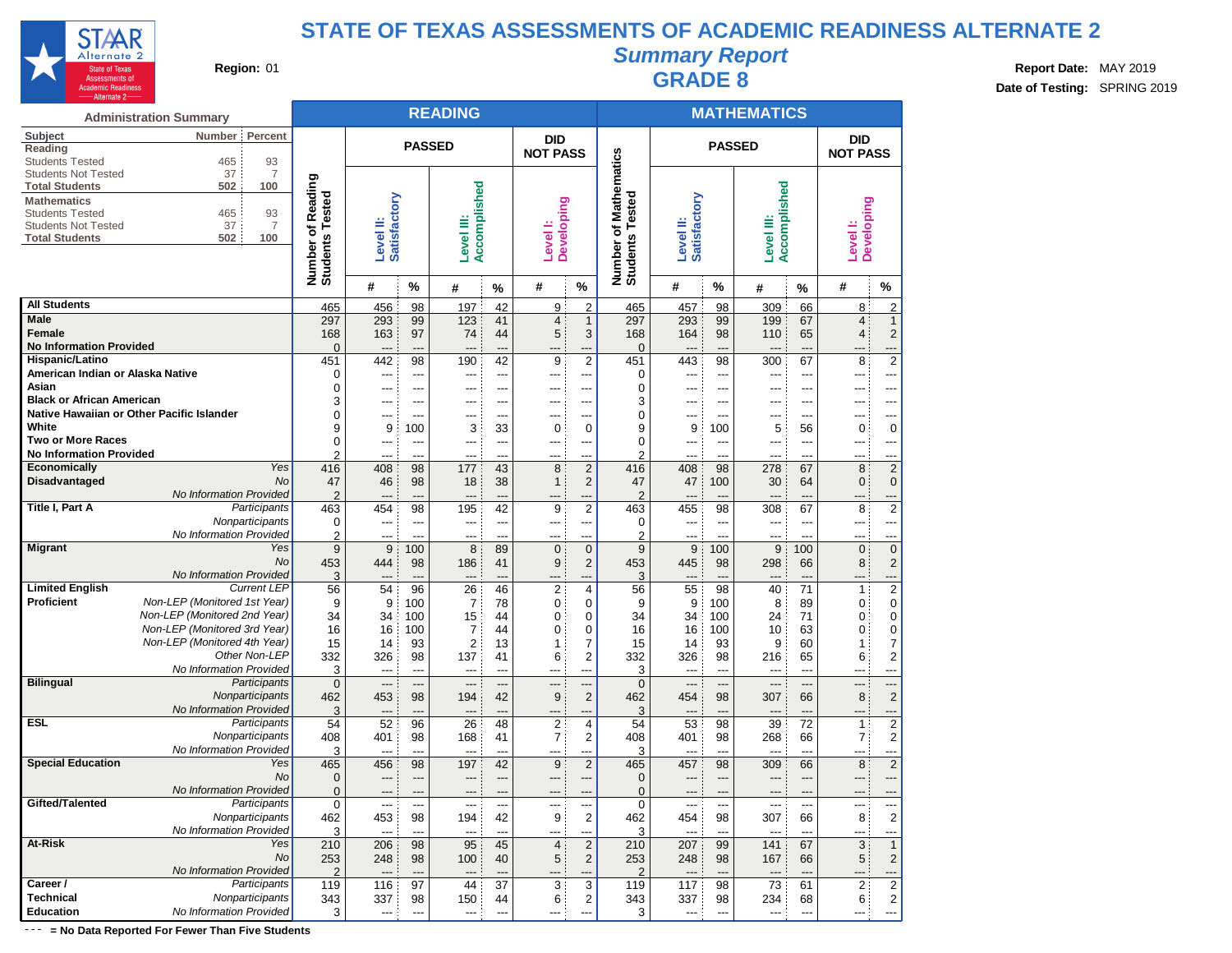

### **Summary Report Region:** 01 **Region:** 01 **Region:** 01 **Report Date:** MAY 2019 **GRADE 8 Report Date:** MAY 2019 **GRADE 8 Date: CONFING 2019**

**Date of Testing:** SPRING 2019

|                                                      | <b>Administration Summary</b>                                |                       |                           |                | <b>READING</b>                            |              |                                           |                               |                                    |                           |               | <b>MATHEMATICS</b>       |            |                                           |                                |
|------------------------------------------------------|--------------------------------------------------------------|-----------------------|---------------------------|----------------|-------------------------------------------|--------------|-------------------------------------------|-------------------------------|------------------------------------|---------------------------|---------------|--------------------------|------------|-------------------------------------------|--------------------------------|
| Subject<br>Reading                                   | Percent<br><b>Number</b>                                     |                       |                           | <b>PASSED</b>  |                                           |              | <b>DID</b><br><b>NOT PASS</b>             |                               |                                    |                           | <b>PASSED</b> |                          |            | DID<br><b>NOT PASS</b>                    |                                |
| <b>Students Tested</b><br><b>Students Not Tested</b> | 93<br>465<br>$\overline{7}$<br>37                            |                       |                           |                |                                           |              |                                           |                               |                                    |                           |               |                          |            |                                           |                                |
| <b>Total Students</b><br><b>Mathematics</b>          | 100<br>502                                                   | Reading               |                           |                | Accomplished                              |              |                                           |                               | <b>Mathematics</b>                 |                           |               | Accomplished             |            |                                           |                                |
| <b>Students Tested</b><br><b>Students Not Tested</b> | 93<br>465<br>37<br>$\overline{7}$                            | ested                 |                           |                |                                           |              |                                           |                               |                                    |                           |               |                          |            |                                           |                                |
| <b>Total Students</b>                                | 502<br>100                                                   | ⊢<br>৳                | Satisfactory<br>Level II: |                | Level III:                                |              | <b>Developing</b><br>Level <sup>1</sup> : |                               |                                    | Satisfactory<br>Level II: |               | Level III:               |            | <b>Developing</b><br>Level <sup>1</sup> : |                                |
|                                                      |                                                              | Number of<br>Students |                           |                |                                           |              |                                           |                               | Number of Mathe<br>Students Tested |                           |               |                          |            |                                           |                                |
|                                                      |                                                              |                       | #                         | %              | #                                         | %            | #                                         | $\%$                          |                                    | #                         | %             | #                        | %          | #                                         | %                              |
| <b>All Students</b>                                  |                                                              | 465                   | 456                       | 98             | 197                                       | 42           | 9                                         | 2                             | 465                                | 457                       | 98            | 309                      | 66         | 8                                         | $\overline{c}$                 |
| <b>Male</b><br>Female                                |                                                              | 297<br>168            | 293<br>163                | 99<br>97       | 123<br>74                                 | 41<br>44     | $\overline{4}$<br>5                       | $\mathbf{1}$<br>3             | 297<br>168                         | 293<br>164                | 99<br>98      | 199<br>110               | 67<br>65   | 4:<br>4                                   | $\mathbf{1}$<br>$\overline{2}$ |
| <b>No Information Provided</b>                       |                                                              | $\mathbf 0$           | $\overline{\phantom{a}}$  | ---            | ---                                       | ---          | ---                                       | ---                           | $\overline{0}$                     | ---                       | ---           | ---                      | ---        |                                           | ---                            |
| Hispanic/Latino                                      |                                                              | 451                   | 442                       | 98             | 190                                       | 42           | 9                                         | $\overline{2}$                | 451                                | 443                       | 98            | 300                      | 67         | 8                                         | $\overline{\mathbf{c}}$        |
| American Indian or Alaska Native<br>Asian            |                                                              | 0                     | ---                       | ---            | ---                                       | ---          | ---                                       | ---                           | 0                                  | ---                       | ---           | ---                      | ---        |                                           | ---                            |
| <b>Black or African American</b>                     |                                                              | 0<br>3                | ---<br>$---$              | ---<br>---     | ---<br>---                                | ---<br>$---$ | ---<br>---                                | $---$<br>---                  | 0<br>3                             | ---                       | ---<br>---    | $---$<br>$---$           | ---<br>--- | ---                                       | ---<br>---                     |
|                                                      | Native Hawaiian or Other Pacific Islander                    | $\mathbf 0$           | $---$                     | ---            | ---                                       | ---          | ---                                       | ---                           | 0                                  | ---                       | ---           | ---                      | ---        |                                           | ---                            |
| White                                                |                                                              | 9                     | 9                         | 100            | 3                                         | 33           | 0                                         | $\mathbf 0$                   | 9                                  | 9                         | 100           | 5                        | 56         | 0                                         | $\mathbf 0$                    |
| <b>Two or More Races</b>                             |                                                              | 0                     | $---$                     | ---            | ---                                       | $---$        | ---                                       | ---                           | 0                                  | ---                       | ---           | $---$                    | ---        | $---$                                     | ---                            |
| <b>No Information Provided</b>                       | Yes                                                          | $\overline{2}$        | $---$                     | $---$          | ---                                       | $---$        | ---                                       | $---$                         | 2                                  | ---                       | ---           | $---$                    | ---        | ---                                       | ---                            |
| Economically<br><b>Disadvantaged</b>                 | No                                                           | 416<br>47             | 408<br>46                 | 98<br>98       | 177<br>18                                 | 43<br>38     | 8<br>$\mathbf{1}$                         | $\mathbf 2$<br>$\overline{2}$ | 416<br>47                          | 408<br>47                 | 98<br>100     | 278<br>30                | 67<br>64   | 8<br>$\mathbf{0}$                         | $\overline{c}$<br>$\mathbf 0$  |
|                                                      | No Information Provided                                      | $\overline{2}$        | $---$                     | ---            | ---                                       | $---$        | ---                                       | $---$                         | 2                                  | ---                       | ---           | $\overline{\phantom{a}}$ | ---        |                                           | ---                            |
| Title I, Part A                                      | Participants                                                 | 463                   | 454                       | 98             | 195                                       | 42           | 9                                         | $\overline{2}$                | 463                                | 455                       | 98            | 308                      | 67         | 8                                         | $\overline{\mathbf{c}}$        |
|                                                      | Nonparticipants                                              | 0                     | ---                       | ---            | ---                                       | ---          | ---                                       | ---                           | 0                                  | ---                       | ---           | ---                      | ---        | ---                                       | ---                            |
| <b>Migrant</b>                                       | No Information Provided<br>Yes                               | $\overline{2}$<br>9   | ---<br>9                  | ---<br>100     | ---<br>8                                  | ---<br>89    | ---<br>$\mathbf 0$                        | ---<br>$\mathbf 0$            | 2<br>9                             | ---<br>9                  | ---<br>100    | ---<br>9                 | ---<br>100 | ---<br>0                                  | ---<br>$\mathbf 0$             |
|                                                      | <b>No</b>                                                    | 453                   | 444                       | 98             | 186                                       | 41           | 9                                         | $\overline{2}$                | 453                                | 445                       | 98            | 298                      | 66         | 8                                         | $\overline{2}$                 |
|                                                      | No Information Provided                                      | 3                     | ---                       | $---$          | ---                                       | $---$        | ---                                       | ---                           | 3                                  | $\overline{\phantom{a}}$  |               | $\overline{a}$           |            |                                           | ---                            |
| <b>Limited English</b>                               | <b>Current LEP</b>                                           | 56                    | 54                        | 96             | 26                                        | 46           | $\overline{2}$                            | 4                             | 56                                 | 55                        | 98            | 40                       | 71         | 1                                         | $\overline{\mathbf{c}}$        |
| <b>Proficient</b>                                    | Non-LEP (Monitored 1st Year)                                 | 9                     | 9                         | 100            | 7                                         | 78           | 0                                         | $\mathbf 0$                   | 9                                  | 9                         | 100           | 8                        | 89         | 0:                                        | 0                              |
|                                                      | Non-LEP (Monitored 2nd Year)                                 | 34                    | 34                        | 100            | 15                                        | 44           | 0                                         | 0                             | 34                                 | 34                        | 100           | 24                       | 71         | 0                                         | 0                              |
|                                                      | Non-LEP (Monitored 3rd Year)<br>Non-LEP (Monitored 4th Year) | 16<br>15              | 16<br>14                  | 100<br>93      | $\overline{7}$<br>$\overline{\mathbf{c}}$ | 44<br>13     | 0<br>1                                    | 0<br>7                        | 16<br>15                           | 16<br>14                  | 100<br>93     | 10<br>9                  | 63<br>60   | 0<br>$\mathbf{1}$                         | 0<br>$\overline{7}$            |
|                                                      | Other Non-LEP                                                | 332                   | 326                       | 98             | 137                                       | 41           | 6                                         | 2                             | 332                                | 326                       | 98            | 216                      | 65         | 6                                         | $\overline{c}$                 |
|                                                      | No Information Provided                                      | 3                     | $---$                     | $\overline{a}$ | ---                                       | $---$        | ---                                       | $---$                         | 3                                  | $---$                     | $---$         | $---$                    | ---        | ---                                       | ---                            |
| <b>Bilingual</b>                                     | Participants                                                 | $\mathbf 0$           | ---                       | ---            | ---                                       | ---          | ---                                       | ---                           | $\mathbf 0$                        | ---                       | ---           | $\overline{\phantom{a}}$ | ---        | ---                                       | ---                            |
|                                                      | Nonparticipants                                              | 462                   | 453                       | 98             | 194                                       | 42           | 9                                         | $\overline{2}$                | 462                                | 454                       | 98            | 307                      | 66         | 8                                         | $\overline{c}$                 |
| <b>ESL</b>                                           | No Information Provided<br>Participants                      | 3<br>54               | ---<br>52                 | ---<br>96      | ---<br>26                                 | ---<br>48    | ---<br>$\overline{2}$                     | ---<br>$\overline{4}$         | 3<br>54                            | ---<br>53                 | ---<br>98     | ---<br>39                | ---<br>72  | ---<br>1                                  | ---<br>$\overline{2}$          |
|                                                      | Nonparticipants                                              | 408                   | 401                       | 98             | 168                                       | 41           | $\overline{7}$                            | $\overline{2}$                | 408                                | 401                       | 98            | 268                      | 66         | $\overline{7}$                            | $\overline{\mathbf{c}}$        |
|                                                      | No Information Provided                                      | 3                     | $\overline{a}$            | ---            |                                           | ---          | ---                                       | ---                           | 3                                  | ---                       | ---           | ---                      | ---        |                                           | ---                            |
| <b>Special Education</b>                             | Yes                                                          | 465                   | 456                       | 98             | 197                                       | 42           | 9                                         | $\overline{2}$                | 465                                | 457                       | 98            | 309                      | 66         | 8                                         | $\overline{2}$                 |
|                                                      | No                                                           | 0                     | $---$                     | ---            | ---                                       | $---$        | ---                                       | ---                           | $\mathbf 0$                        | ---                       | ---           | ---                      | ---        | ---                                       | ---                            |
| Gifted/Talented                                      | <b>No Information Provided</b><br>Participants               | $\overline{0}$<br>0   | $---$<br>---              | $---$<br>---   | ---                                       | $---$<br>--- | ---<br>---                                | ---<br>---                    | $\Omega$<br>0                      | ---                       | ---<br>---    | $---$<br>$---$           | ---        | $---$                                     | ---<br>---                     |
|                                                      | Nonparticipants                                              | 462                   | 453                       | 98             | 194                                       | 42           | 9                                         | $\overline{c}$                | 462                                | 454                       | 98            | 307                      | 66         | 8                                         | 2                              |
|                                                      | No Information Provided                                      | 3                     | ---                       | ---            | ---                                       | ---          | ---                                       | ---                           | 3                                  | $\overline{\phantom{a}}$  | ---           | $\overline{\phantom{a}}$ | ---        |                                           | ---                            |
| At-Risk                                              | Yes                                                          | 210                   | 206                       | 98             | 95                                        | 45           | $\overline{4}$                            | $\sqrt{2}$                    | 210                                | 207                       | 99            | 141                      | 67         | 3:                                        | $\mathbf{1}$                   |
|                                                      | No                                                           | 253                   | 248                       | 98             | 100:                                      | 40           | 5                                         | $\mathbf 2$                   | 253                                | 248                       | 98            | 167:                     | 66         | 5:                                        | $\overline{\mathbf{c}}$        |
| Career /                                             | No Information Provided<br>Participants                      | $\overline{2}$        | ---                       |                | ---                                       | ---<br>37    | ---                                       |                               | 2                                  | ---                       | ---           | ---<br>73                |            | 2:                                        | ---<br>$\overline{2}$          |
| <b>Technical</b>                                     | Nonparticipants                                              | 119<br>343            | 116<br>337                | 97<br>98       | 44<br>150:                                | 44           | 3<br>6                                    | 3<br>2                        | 119<br>343                         | 117<br>337                | 98<br>98      | 234 :                    | 61<br>68   | 6                                         | $\overline{\mathbf{c}}$        |
| <b>Education</b>                                     | No Information Provided                                      | 3                     | $\overline{\phantom{a}}$  |                | ---                                       |              |                                           |                               | 3                                  | $\overline{a}$            |               | $\overline{a}$           |            |                                           | ---                            |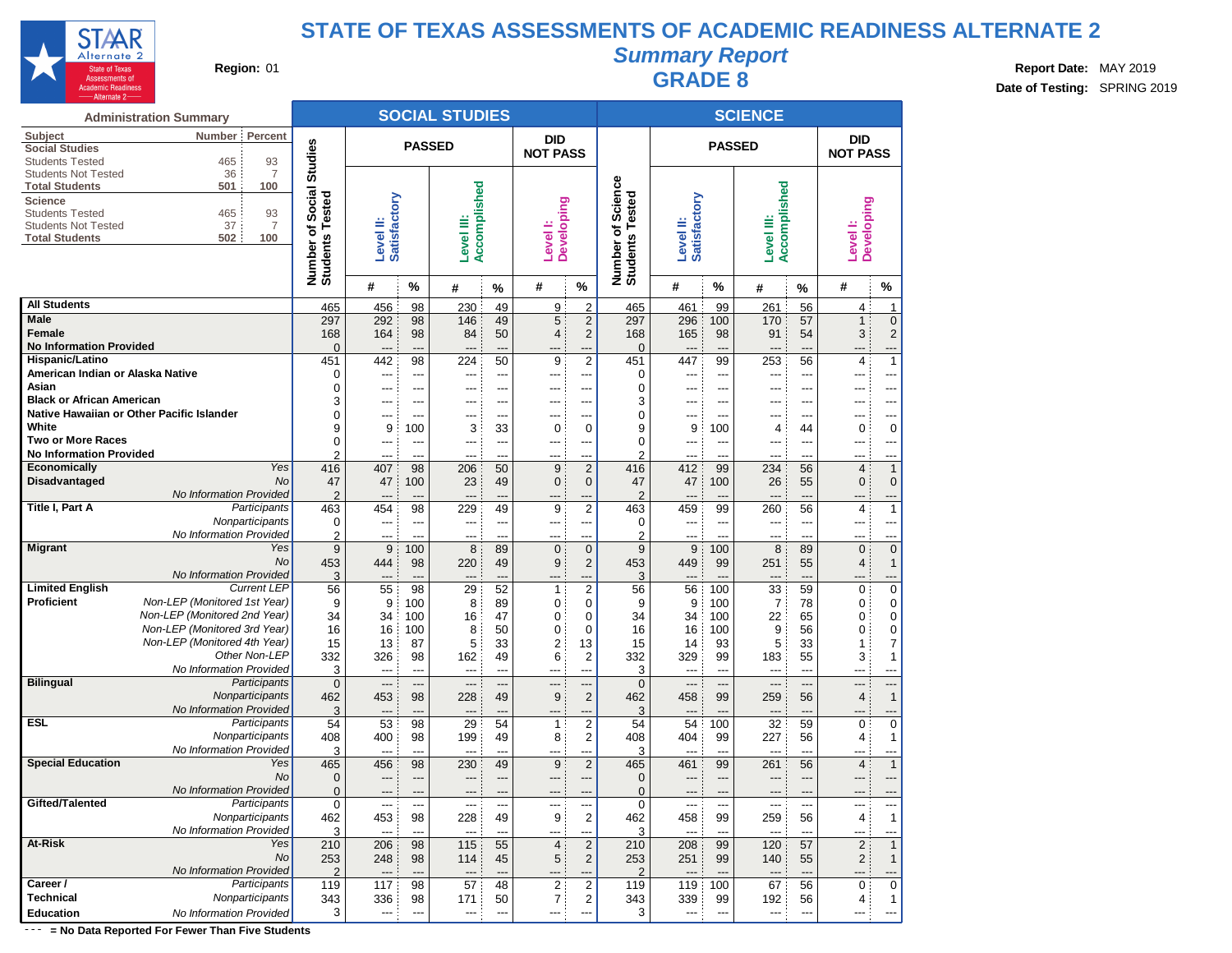

# **Summary Report**

**Region:** 01 **Region:** 01 **Region:** 01 **Report Date:** MAY 2019 **GRADE 8 Report Date:** MAY 2019 **GRADE 8 Date: CONFING 2019 Date of Testing:** SPRING 2019

|                                                                                                 | <b>Administration Summary</b>                   |                                                       |                           |                          | <b>SOCIAL STUDIES</b>      |             |                                           |                         |                                 |                           |               | <b>SCIENCE</b>             |            |                                           |                     |
|-------------------------------------------------------------------------------------------------|-------------------------------------------------|-------------------------------------------------------|---------------------------|--------------------------|----------------------------|-------------|-------------------------------------------|-------------------------|---------------------------------|---------------------------|---------------|----------------------------|------------|-------------------------------------------|---------------------|
| Subject<br><b>Social Studies</b>                                                                | Percent<br>Number                               |                                                       |                           | <b>PASSED</b>            |                            |             | <b>DID</b><br><b>NOT PASS</b>             |                         |                                 |                           | <b>PASSED</b> |                            |            | <b>DID</b><br><b>NOT PASS</b>             |                     |
| <b>Students Tested</b><br><b>Students Not Tested</b><br><b>Total Students</b>                   | 93<br>465<br>36<br>7<br>501<br>100              |                                                       |                           |                          |                            |             |                                           |                         |                                 |                           |               |                            |            |                                           |                     |
| <b>Science</b><br><b>Students Tested</b><br><b>Students Not Tested</b><br><b>Total Students</b> | 93<br>465<br>$\overline{7}$<br>37<br>502<br>100 | Social Studies<br>ested<br>Number of 3<br>Students Te | Satisfactory<br>Level II: |                          | Accomplished<br>Level III: |             | <b>Developing</b><br>Level <sup>1</sup> : |                         | Science<br>ested<br>Number of 9 | Satisfactory<br>Level II: |               | Accomplished<br>Level III: |            | <b>Developing</b><br>Level <sup>1</sup> : |                     |
|                                                                                                 |                                                 |                                                       | #                         | %                        | #                          | %           | #                                         | $\%$                    |                                 | #                         | %             | #                          | %          | #                                         | ℅                   |
| <b>All Students</b>                                                                             |                                                 | 465                                                   | 456                       | 98                       | 230                        | 49          | 9                                         | $\overline{2}$          | 465                             | 461                       | 99            | 261                        | 56         | 4                                         | 1                   |
| <b>Male</b>                                                                                     |                                                 | 297                                                   | 292                       | 98                       | 146                        | 49          | 5                                         | $\sqrt{2}$              | 297                             | 296                       | 100           | 170                        | 57         | $\mathbf{1}$                              | $\mathbf 0$         |
| <b>Female</b>                                                                                   |                                                 | 168                                                   | 164                       | 98                       | 84                         | 50          | 4                                         | $\sqrt{2}$              | 168                             | 165                       | 98            | 91                         | 54         | 3                                         | $\overline{c}$      |
| <b>No Information Provided</b>                                                                  |                                                 | $\overline{0}$                                        | ---                       | ---                      | ---                        | ---         |                                           | ---                     | 0                               | ---                       | ---           | ---                        | ---        |                                           | ---                 |
| Hispanic/Latino<br>American Indian or Alaska Native                                             |                                                 | 451                                                   | 442                       | 98                       | 224                        | 50          | 9                                         | $\overline{2}$          | 451                             | 447                       | 99            | 253                        | 56         | 4                                         | $\mathbf{1}$        |
| Asian                                                                                           |                                                 | 0<br>$\mathbf 0$                                      | ---<br>---                | $---$                    | ---                        | ---         | ---<br>---                                | ---<br>---              | 0<br>0                          | $---$                     | ---<br>---    | $---$<br>---               | ---<br>--- | ---                                       | ---<br>---          |
| <b>Black or African American</b>                                                                |                                                 | 3                                                     |                           |                          |                            | ---         |                                           | ---                     | 3                               |                           | ---           |                            |            |                                           | ---                 |
|                                                                                                 | Native Hawaiian or Other Pacific Islander       | $\mathbf 0$                                           | ---                       |                          | ---                        | ---         | ---                                       | ---                     | 0                               |                           | ---           | $---$                      |            |                                           | ---                 |
| White                                                                                           |                                                 | 9                                                     | 9                         | 100                      | 3                          | 33          | 0                                         | 0                       | 9                               | 9                         | 100           | 4                          | 44         | 0                                         | 0                   |
| <b>Two or More Races</b>                                                                        |                                                 | $\mathbf 0$                                           | ---                       | ---                      | ---                        | ---         | ---                                       | ---                     | 0                               | ---                       | ---           | $---$                      | ---        | ---                                       | ---                 |
| <b>No Information Provided</b>                                                                  |                                                 | $\overline{2}$                                        | ---                       | ---                      | ---                        | ---         | ---                                       | ---                     | 2                               | ---                       | ---           | ---                        | ---        |                                           | ---                 |
| <b>Economically</b>                                                                             | Yes                                             | 416                                                   | 407                       | 98                       | 206                        | 50          | 9                                         | 2                       | 416                             | 412                       | 99            | 234                        | 56         | $\overline{4}$                            | $\mathbf{1}$        |
| Disadvantaged                                                                                   | <b>No</b>                                       | 47                                                    | 47                        | 100                      | 23                         | 49          | $\mathbf{0}$                              | $\mathbf 0$             | 47                              | 47                        | 100           | 26                         | 55         | 0                                         | $\mathbf 0$         |
|                                                                                                 | No Information Provided                         | $\overline{2}$                                        |                           |                          | ---                        |             | ---                                       | ---                     | $\overline{2}$                  | ---                       | ---           | ---                        | ---        |                                           | ---                 |
| Title I, Part A                                                                                 | Participants<br>Nonparticipants                 | 463<br>0                                              | 454<br>$---$              | 98<br>---                | 229<br>---                 | 49<br>$---$ | 9<br>---                                  | $\overline{2}$<br>---   | 463<br>0                        | 459<br>---                | 99<br>---     | 260<br>---                 | 56<br>---  | 4<br>---                                  | $\mathbf{1}$<br>--- |
|                                                                                                 | No Information Provided                         | $\overline{2}$                                        | ---                       | $---$                    | ---                        | ---         | ---                                       | ---                     | 2                               | $---$                     | ---           | $---$                      | ---        | ---                                       | ---                 |
| <b>Migrant</b>                                                                                  | Yes                                             | 9                                                     | 9                         | 100                      | 8                          | 89          | $\mathbf 0$                               | $\mathbf 0$             | 9                               | 9                         | 100           | 8                          | 89         | $\mathbf{0}$                              | $\mathbf 0$         |
|                                                                                                 | No                                              | 453                                                   | 444                       | 98                       | 220                        | 49          | 9                                         | $\overline{2}$          | 453                             | 449                       | 99            | 251                        | 55         | 4                                         | $\mathbf{1}$        |
|                                                                                                 | No Information Provided                         | 3                                                     | ---                       |                          | ---                        | ---         | ---                                       | ---                     | 3                               | ---                       |               | ---                        | ---        |                                           | ---                 |
| <b>Limited English</b>                                                                          | <b>Current LEP</b>                              | 56                                                    | 55                        | 98                       | 29                         | 52          | $\mathbf{1}$                              | $\overline{2}$          | 56                              | 56                        | 100           | 33                         | 59         | 0                                         | 0                   |
| <b>Proficient</b>                                                                               | Non-LEP (Monitored 1st Year)                    | 9                                                     | 9                         | 100                      | 8                          | 89          | 0                                         | 0                       | 9                               | 9                         | 100           | 7                          | 78         | 0                                         | 0                   |
|                                                                                                 | Non-LEP (Monitored 2nd Year)                    | 34                                                    | 34                        | 100                      | 16                         | 47          | 0                                         | 0                       | 34                              | 34                        | 100           | 22                         | 65         | 0                                         | 0                   |
|                                                                                                 | Non-LEP (Monitored 3rd Year)                    | 16                                                    | 16                        | 100                      | 8                          | 50          | 0                                         | 0                       | 16                              | 16                        | 100           | 9                          | 56         | 0                                         | 0                   |
|                                                                                                 | Non-LEP (Monitored 4th Year)<br>Other Non-LEP   | 15                                                    | 13                        | 87                       | 5                          | 33          | 2                                         | 13                      | 15                              | 14                        | 93            | 5                          | 33         | 1                                         | 7                   |
|                                                                                                 | No Information Provided                         | 332<br>3                                              | 326<br>---                | 98<br>---                | 162<br>---                 | 49<br>---   | 6<br>---                                  | $\overline{2}$<br>---   | 332<br>3                        | 329<br>---                | 99<br>---     | 183<br>$---$               | 55<br>---  | 3<br>---                                  | 1<br>---            |
| <b>Bilingual</b>                                                                                | Participants                                    | $\overline{0}$                                        | ---                       | ---                      | ---                        | ---         | ---                                       | ---                     | $\mathbf{0}$                    | ---                       | ---           | ---                        | ---        | ---                                       | ---                 |
|                                                                                                 | Nonparticipants                                 | 462                                                   | 453                       | 98                       | 228                        | 49          | 9                                         | 2                       | 462                             | 458                       | 99            | 259                        | 56         | 4                                         | $\mathbf{1}$        |
|                                                                                                 | No Information Provided                         | 3                                                     | ---                       | ---                      | ---                        | ---         | ---                                       | ---                     | 3                               | $---$                     | ---           | $---$                      | ---        | ---                                       | ---                 |
| <b>ESL</b>                                                                                      | Participants                                    | 54                                                    | 53                        | 98                       | 29                         | 54          | $\mathbf{1}$                              | $\overline{c}$          | 54                              | 54                        | 100           | 32                         | 59         | 0                                         | 0                   |
|                                                                                                 | Nonparticipants                                 | 408                                                   | 400                       | 98                       | 199                        | 49          | 8                                         | 2                       | 408                             | 404                       | 99            | 227                        | 56         | 4                                         | 1                   |
|                                                                                                 | No Information Provided                         | 3                                                     | $---$                     | $---$                    | ---                        | ---         | ---                                       | ---                     | 3                               | $---$                     | ---           | $---$                      | ---        |                                           | ---                 |
| <b>Special Education</b>                                                                        | Yes                                             | 465                                                   | 456                       | 98                       | 230                        | 49          | 9                                         | $\overline{2}$          | 465                             | 461                       | 99            | 261                        | 56         | $\overline{4}$                            | $\mathbf{1}$        |
|                                                                                                 | No<br>No Information Provided                   | $\overline{0}$                                        | ---                       | ---                      | ---                        | ---         | ---                                       | ---                     | 0                               | ---                       | ---           | $---$                      | ---        | ---                                       | ---                 |
| Gifted/Talented                                                                                 | Participants                                    | $\Omega$<br>$\pmb{0}$                                 | ---                       |                          | ---<br>---                 | ---         | ---                                       | ---                     | $\Omega$<br>0                   | $---$                     |               | $---$                      |            | ---                                       | ---                 |
|                                                                                                 | Nonparticipants                                 | 462                                                   | ---<br>453                | ---<br>98                | 228                        | 49          | ---<br>9                                  | ---<br>$\overline{2}$   | 462                             | 458                       | ---<br>99     | ---<br>259                 | ---<br>56  | 4                                         | 1                   |
|                                                                                                 | No Information Provided                         | 3                                                     | $\overline{a}$            | ---                      | ---                        |             | ---                                       | ---                     | 3                               | $\overline{a}$            | ---           | $\overline{a}$             | ---        |                                           |                     |
| At-Risk                                                                                         | Yes                                             | 210                                                   | 206                       | 98                       | 115                        | 55          | $\overline{4}$                            | $\sqrt{2}$              | 210                             | 208                       | 99            | 120                        | 57         | $\overline{2}$                            | $\mathbf{1}$        |
|                                                                                                 | No                                              | 253                                                   | 248                       | 98                       | 114                        | 45          | 5:                                        | $\overline{c}$          | 253                             | 251                       | 99            | 140                        | 55         | 2:                                        | 1                   |
|                                                                                                 | No Information Provided                         | $\overline{c}$                                        | ---                       |                          | ---                        | ---         | ---                                       | ---                     | 2                               | ---                       | ---           | ---                        |            | ---                                       |                     |
| Career /                                                                                        | Participants                                    | 119                                                   | 117                       | 98                       | 57                         | 48          | $\overline{c}$                            | $\boldsymbol{2}$        | 119                             | 119                       | 100           | 67                         | 56         | 0                                         | 0                   |
| Technical                                                                                       | Nonparticipants                                 | 343                                                   | 336                       | 98                       | 171:                       | 50          | 7:                                        | $\overline{\mathbf{c}}$ | 343                             | 339                       | 99            | 192                        | 56         | 4 :                                       | 1                   |
| <b>Education</b>                                                                                | No Information Provided                         | 3                                                     | ---                       | $\overline{\phantom{a}}$ | ---                        | ---         | ---                                       | ---                     | 3                               | ---                       | ---           | ---                        | ---        | ---                                       |                     |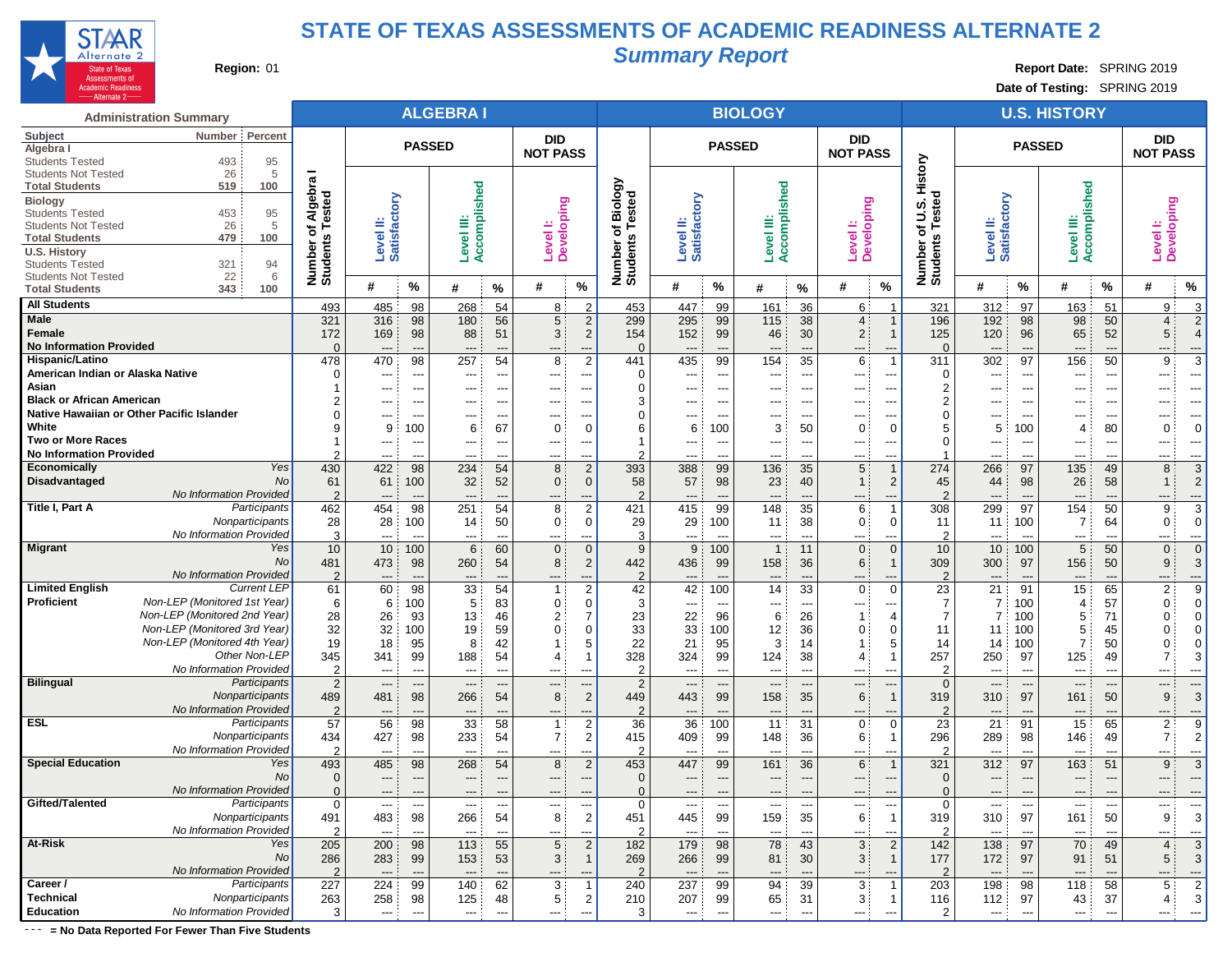

# **Summary Report**

**Region:** 01 **Region:** 01 **Report Date:** SPRING 2019

**Date of Testing:** SPRING 2019

| <b>Administration Summary</b>                                                |                                  |                                 |                                 | <b>ALGEBRAI</b>                 |                                 |                                  |                                                      |                                  |                           |                                | <b>BIOLOGY</b>           |                                 |                                                 |                               |                               |                                 | <b>U.S. HISTORY</b> |                                   |                               |                                 |
|------------------------------------------------------------------------------|----------------------------------|---------------------------------|---------------------------------|---------------------------------|---------------------------------|----------------------------------|------------------------------------------------------|----------------------------------|---------------------------|--------------------------------|--------------------------|---------------------------------|-------------------------------------------------|-------------------------------|-------------------------------|---------------------------------|---------------------|-----------------------------------|-------------------------------|---------------------------------|
| Number Percent<br>Subject                                                    |                                  |                                 |                                 |                                 |                                 | <b>DID</b>                       |                                                      |                                  |                           |                                |                          |                                 | <b>DID</b>                                      |                               |                               |                                 |                     |                                   | DID                           |                                 |
| Algebra                                                                      |                                  |                                 | <b>PASSED</b>                   |                                 |                                 | <b>NOT PASS</b>                  |                                                      |                                  |                           | <b>PASSED</b>                  |                          |                                 | <b>NOT PASS</b>                                 |                               |                               | <b>PASSED</b>                   |                     |                                   | <b>NOT PASS</b>               |                                 |
| <b>Students Tested</b><br>95<br>493<br>5<br><b>Students Not Tested</b><br>26 |                                  |                                 |                                 |                                 |                                 |                                  |                                                      |                                  |                           |                                |                          |                                 |                                                 | History                       |                               |                                 |                     |                                   |                               |                                 |
| <b>Total Students</b><br>519<br>100                                          |                                  |                                 |                                 |                                 |                                 |                                  |                                                      |                                  |                           |                                |                          |                                 |                                                 |                               |                               |                                 |                     |                                   |                               |                                 |
| <b>Biology</b>                                                               | Algebra<br>ested                 | Level II:<br>Satisfactory       |                                 | Accomplished                    |                                 | Level I:<br>Developing           |                                                      | Biology<br>ested                 | Level II:<br>Satisfactory |                                | Accomplished             |                                 |                                                 | ested<br>ဟ                    | Level II:<br>Satisfactory     |                                 | Accomplished        |                                   |                               |                                 |
| 453<br>95<br><b>Students Tested</b>                                          |                                  |                                 |                                 |                                 |                                 |                                  |                                                      |                                  |                           |                                |                          |                                 |                                                 | ⇒                             |                               |                                 |                     |                                   |                               |                                 |
| 5<br>26<br><b>Students Not Tested</b>                                        | ⊢<br>৳                           |                                 |                                 |                                 |                                 |                                  |                                                      | ⊢<br>৳                           |                           |                                | Ξ                        |                                 | ÷                                               | ⊢<br>৳                        |                               |                                 |                     |                                   |                               |                                 |
| 479<br>100<br><b>Total Students</b><br><b>U.S. History</b>                   | Number o<br>Students             |                                 |                                 | Level III:                      |                                 |                                  |                                                      | Number o<br>Students             |                           |                                | Level                    |                                 | Developing<br>Level                             | Number of<br>Students         |                               |                                 | Level III:          |                                   | <b>Developing</b><br>Level I: |                                 |
| 321<br>94<br><b>Students Tested</b>                                          |                                  |                                 |                                 |                                 |                                 |                                  |                                                      |                                  |                           |                                |                          |                                 |                                                 |                               |                               |                                 |                     |                                   |                               |                                 |
| 22<br><b>Students Not Tested</b><br>6                                        |                                  |                                 |                                 |                                 |                                 |                                  |                                                      |                                  |                           |                                |                          |                                 |                                                 |                               |                               |                                 |                     |                                   |                               |                                 |
| <b>Total Students</b><br>343<br>100                                          |                                  | #                               | %                               | #                               | %                               | #                                | $\%$                                                 |                                  | #                         | %                              | #                        | %                               | $\%$<br>#                                       |                               | #                             | $\%$                            | #                   | $\%$                              | #                             | $\%$                            |
| <b>All Students</b>                                                          | 493                              | 485                             | 98                              | 268                             | 54                              | 8                                |                                                      | 453                              | 447                       | 99                             | 161                      | 36                              | 6<br>-1                                         | 321                           | 312                           | 97                              | 163                 | 51                                | 9                             | 3                               |
| Male                                                                         | 321                              | 316                             | 98                              | 180                             | 56                              | 5 <sup>1</sup>                   | $\overline{2}$                                       | 299                              | 295                       | 99                             | 115                      | 38                              | 4:<br>$\overline{1}$                            | 196                           | 192                           | 98                              | 98                  | 50                                | 4:                            | $\overline{2}$                  |
| Female<br><b>No Information Provided</b>                                     | 172                              | 169                             | 98                              | 88                              | 51                              | 3                                | $\overline{2}$                                       | 154                              | 152                       | 99                             | 46                       | 30                              | $\overline{2}$<br>-1                            | 125                           | 120                           | 96                              | 65                  | 52                                | 5                             | $\overline{4}$                  |
| Hispanic/Latino                                                              | $\Omega$<br>478                  | $---$<br>470                    | $---$<br>98                     | $\overline{\phantom{a}}$<br>257 | $\overline{\phantom{a}}$<br>54  | $---$<br>8                       | $\overline{\phantom{a}}$<br>$\overline{2}$           | $\Omega$<br>441                  | $---$<br>435              | ---<br>99                      | $---$                    | ---<br>35                       | $---$<br>$\overline{\phantom{a}}$<br>6<br>-1    | $\mathbf 0$<br>311            | ---<br>302                    | ---<br>97                       | ---<br>156          | $---$<br>50                       | ---<br>9                      | ---<br>3                        |
| American Indian or Alaska Native                                             | -0                               | ---                             | $---$                           | ---                             | ---                             | $---$                            | $\overline{\phantom{a}}$                             | $\Omega$                         | $---$                     | $\overline{\phantom{a}}$       | 154<br>---               | ---                             | $---$<br>---                                    | 0                             | ---                           | $\overline{\phantom{a}}$        | ---                 | ---                               | ---                           | ---                             |
| Asian                                                                        |                                  |                                 | ---                             | ---                             | ---                             |                                  |                                                      | 0                                |                           | ---                            |                          | ---                             | ---<br>$\overline{\phantom{a}}$                 | $\overline{c}$                | ---                           | --                              |                     | ---                               | ---                           | $\overline{a}$                  |
| <b>Black or African American</b>                                             |                                  |                                 |                                 |                                 | ---                             |                                  |                                                      | 3                                |                           |                                |                          | ---                             | $---$                                           | $\overline{2}$                | ---                           |                                 |                     |                                   | ---                           | ---                             |
| Native Hawaiian or Other Pacific Islander                                    | O                                | ---                             | $---$                           | ---                             | $---$                           | $\overline{\phantom{a}}$         | $\overline{\phantom{a}}$                             | $\Omega$                         | $---$                     | $\overline{\phantom{a}}$       | ---                      | $---$                           | $---$<br>---                                    | $\mathbf 0$                   | ---                           | ---                             | ---                 | $\overline{\phantom{a}}$          | ---                           | ---                             |
| White                                                                        |                                  | 9                               | 100                             | 6                               | 67                              | $\Omega$                         |                                                      | 6                                | 6                         | 00                             | 3                        | 50                              | $\Omega$<br>$\Omega$                            | 5                             | 5                             | 100                             | 4                   | 80                                | 0                             | $\Omega$                        |
| Two or More Races                                                            |                                  |                                 | $\overline{\phantom{a}}$        | ---                             | ---                             | $\overline{\phantom{a}}$         | $\overline{\phantom{a}}$                             |                                  |                           | $\overline{\phantom{a}}$       | ---                      | ---                             | ---<br>$\overline{\phantom{a}}$                 | $\Omega$                      | ---                           | $\overline{\phantom{a}}$        |                     |                                   | ---                           | ---                             |
| <b>No Information Provided</b><br><b>Economically</b><br>Yes                 | 2<br>430                         | ---<br>422                      | $---$<br>98                     | ---<br>234                      | ---<br>54                       | ---<br>8                         | $\overline{\phantom{a}}$<br>2                        | $\overline{2}$<br>393            | $---$<br>388              | ---<br>99                      | $---$<br>136             | ---<br>35                       | $---$<br>--<br>5<br>$\overline{\mathbf{1}}$     | 1<br>274                      | ---<br>266                    | ---<br>97                       | ---<br>135          | $---$<br>49                       | ---<br>8                      | ---<br>3                        |
| Disadvantaged<br>No                                                          | 61                               | 61                              | 100                             | 32                              | 52                              | $\mathbf{0}$                     | $\Omega$                                             | 58                               | 57                        | 98                             | 23                       | 40                              | $\overline{2}$<br>1                             | 45                            | 44                            | 98                              | 26                  | 58                                | $\mathbf{1}$                  | $\overline{2}$                  |
| No Information Provided                                                      | $\overline{2}$                   | ---                             | ---                             | ---                             | ---                             | ---                              |                                                      | $\overline{2}$                   | ---                       | ---                            |                          | ---                             | ---<br>$---$                                    | $\overline{2}$                | ---                           | ---                             | ---                 | ---                               | ---                           | ---                             |
| Title I, Part A<br>Participants                                              | 462                              | 454                             | 98                              | 251                             | 54                              | 8                                | $\overline{2}$                                       | 421                              | 415                       | 99                             | 148                      | 35                              | 6<br>-1                                         | 308                           | 299                           | 97                              | 154                 | 50                                | 9                             | 3                               |
| Nonparticipants                                                              | 28                               | 28                              | 100                             | 14                              | 50                              | $\mathbf 0$                      | $\Omega$                                             | 29                               | 29                        | 100                            | 11                       | 38                              | $\mathbf{0}$<br>$\Omega$                        | 11                            | 11                            | 100                             | 7                   | 64                                | 0                             | $\Omega$                        |
| No Information Provided                                                      | 3                                | ---                             | $---$                           | ---                             | ---                             | $---$                            | $\overline{\phantom{a}}$                             | 3                                | $---$                     | ---                            | ---                      | ---                             | $---$<br>---                                    | $\overline{2}$                | ---                           | ---                             | ---                 | ---                               | ---                           | ---                             |
| <b>Migrant</b><br>Yes                                                        | 10                               | 10                              | 100                             | 6                               | 60                              | $\overline{0}$                   | $\Omega$                                             | 9                                | 9                         | 100                            | $\mathbf{1}$             | 11                              | $\mathbf{0}$<br>$\mathbf{0}$                    | 10 <sup>1</sup>               | 10 <sup>1</sup>               | 100                             | 5                   | 50                                | $\mathbf{0}$                  | $\Omega$                        |
| No<br>No Information Provided                                                | 481<br>$\overline{2}$            | 473                             | 98                              | 260<br>---                      | 54<br>$\overline{\phantom{a}}$  | 8                                | $\overline{2}$                                       | 442<br>$\overline{2}$            | 436                       | 99<br>$\overline{\phantom{a}}$ | 158                      | 36<br>---                       | 6<br>--<br>$-$                                  | 309<br>$\overline{2}$         | 300                           | 97                              | 156<br>---          | 50<br>$\overline{\phantom{a}}$    | 9<br>---                      | 3                               |
| <b>Limited English</b><br><b>Current LEP</b>                                 | 61                               | 60                              | 98                              | 33                              | 54                              | $\mathbf{1}$                     | $\overline{2}$                                       | 42                               | 42                        | 100                            | 14                       | 33                              | $\Omega$<br>$\mathbf{0}$                        | 23                            | 21                            | 91                              | 15                  | 65                                | $\overline{2}$                | ---<br>9                        |
| <b>Proficient</b><br>Non-LEP (Monitored 1st Year)                            | 6                                | 6                               | 100                             | 5                               | 83                              | 0                                | $\Omega$                                             | 3                                |                           | ---                            | ---                      | ---                             | $---$<br>$\overline{\phantom{a}}$               | $\overline{7}$                | 7:                            | 100                             | 4                   | 57                                | 0                             | $\mathbf 0$                     |
| Non-LEP (Monitored 2nd Year)                                                 | 28                               | 26                              | 93                              | 13                              | 46                              | 2                                |                                                      | 23                               | 22                        | 96                             | 6                        | 26                              | -13<br>4                                        | $\overline{7}$                | 7:                            | 100                             | 5                   | 71                                | 0                             | $\Omega$                        |
| Non-LEP (Monitored 3rd Year)                                                 | 32                               | 32                              | 100                             | 19                              | 59                              | 0                                | $\Omega$                                             | 33                               | 33                        | 100                            | 12                       | 36                              | $\mathbf{0}$<br>0                               | 11                            | 11                            | 100                             | 5                   | 45                                | 0                             | 0                               |
| Non-LEP (Monitored 4th Year)                                                 | 19                               | 18                              | 95                              | 8                               | 42                              | 1                                | 5                                                    | 22                               | 21                        | 95                             | 3                        | 14                              | 5                                               | 14                            | 14                            | 100                             | $\overline{7}$      | 50                                | 0                             | 0                               |
| Other Non-LEP<br>No Information Provided                                     | 345                              | 341                             | 99                              | 188                             | 54                              | $\overline{4}$                   |                                                      | 328                              | 324                       | 99                             | 124                      | 38                              | $\overline{4}$<br>-1                            | 257                           | 250                           | 97                              | 125                 | 49                                | $\overline{7}$                | 3                               |
| <b>Bilingual</b><br>Participants                                             | $\overline{2}$<br>$\overline{2}$ | ---<br>$\hspace{0.05cm} \ldots$ | ---<br>$---$                    | ---<br>---                      | ---<br>$\overline{\phantom{a}}$ | ---<br>$---$                     | $\overline{\phantom{a}}$<br>$\overline{\phantom{a}}$ | $\overline{2}$<br>$\overline{2}$ | ---<br>$---$              | ---<br>---                     | ---<br>$---$             | ---<br>$\overline{\phantom{a}}$ | ---<br>---<br>$---$<br>$\overline{\phantom{a}}$ | $\overline{2}$<br>$\mathbf 0$ | ---<br>$\qquad \qquad \cdots$ | ---<br>$\overline{\phantom{a}}$ | ---<br>---          | $\overline{\phantom{a}}$<br>$---$ | ---<br>---                    | ---<br>$\overline{\phantom{a}}$ |
| Nonparticipants                                                              | 489                              | 481                             | 98                              | 266                             | 54                              | 8                                | $\overline{2}$                                       | 449                              | 443                       | 99                             | 158                      | 35                              | 6<br>$\overline{1}$                             | 319                           | 310                           | 97                              | 161                 | 50                                | 9                             | 3                               |
| No Information Provided                                                      | $\overline{2}$                   | ---                             | $---$                           | ---                             | ---                             | ---                              | $\overline{\phantom{a}}$                             | $\overline{2}$                   | $\overline{\phantom{a}}$  | ---                            | $---$                    | $\overline{\phantom{a}}$        | ---<br>$---$                                    | $\overline{2}$                | ---                           | ---                             | $---$               | $---$                             | ---                           | ---                             |
| ESL<br>Participants                                                          | 57                               | 56                              | 98                              | 33                              | 58                              | $\overline{1}$ :                 | $\overline{2}$                                       | 36                               | 36                        | 100                            | 11                       | 31                              | 0:<br>$\mathbf 0$                               | 23                            | 21                            | 91                              | 15                  | 65                                | $\overline{2}$                | 9                               |
| Nonparticipants                                                              | 434                              | 427                             | 98                              | 233                             | 54                              | 7                                | 2                                                    | 415                              | 409                       | 99                             | 148                      | 36                              | 6<br>-1                                         | 296                           | 289                           | 98                              | 146                 | 49                                | $\overline{7}$                | 2                               |
| No Information Provided                                                      | $\overline{2}$                   | $\overline{\phantom{a}}$        | $---$                           | $\overline{\phantom{a}}$        | $---$                           | $\hspace{0.05cm} \ldots$         | $---$                                                | $\overline{2}$                   | $---$                     | ---                            | $---$                    | $---$                           | ---<br>$---$                                    | $\overline{2}$                | $---$                         | $---$                           | $---$               | $---$                             | $---$                         | ---                             |
| <b>Special Education</b><br>Yes<br>No                                        | 493                              | 485                             | 98                              | 268                             | 54                              | 8                                | $\overline{2}$                                       | 453                              | 447                       | 99                             | 161                      | 36                              | 6                                               | 321                           | 312                           | 97                              | 163                 | 51                                | 9                             | 3                               |
| No Information Provided                                                      | $\mathbf 0$<br>$\Omega$          | ---<br>$---$                    | ---<br>$\overline{\phantom{a}}$ | ---<br>---                      | ---<br>$---$                    | $---$<br>$---$                   | $\overline{\phantom{a}}$<br>$\overline{\phantom{a}}$ | $\mathbf 0$<br>$\Omega$          | $---$                     | ---<br>---                     | ---<br>$---$             | ---<br>$---$                    | ---<br>---<br>$---$<br>---                      | $\mathbf 0$<br>$\Omega$       | ---<br>$---$                  | $\overline{\phantom{a}}$<br>--- | ---<br>---          | ---<br>---                        | ---<br>---                    | ---<br>---                      |
| Gifted/Talented<br>Participants                                              | 0                                | $\hspace{0.05cm} \ldots$        | $\overline{\phantom{a}}$        | $---$                           | $---$                           | $\qquad \qquad \cdots$           | $\overline{\phantom{a}}$                             | 0                                | $---$                     | ---                            | $---$                    | $\overline{\phantom{a}}$        | $\qquad \qquad \cdots$<br>---                   | 0                             | ---                           | $\overline{\phantom{a}}$        | ---                 | $\overline{\phantom{a}}$          | ---                           | $\overline{\phantom{a}}$        |
| Nonparticipants                                                              | 491                              | 483                             | 98                              | 266                             | 54                              | 8                                | $\overline{2}$                                       | 451                              | 445                       | 99                             | 159                      | 35                              | 6<br>-1                                         | 319                           | 310:                          | 97                              | 161                 | 50                                | 9                             | 3                               |
| No Information Provided                                                      | $\overline{2}$                   | $\qquad \qquad \cdots$          | ---                             | $\overline{\phantom{a}}$        | ---                             | ---                              | ---                                                  | $\overline{2}$                   | $\overline{\phantom{a}}$  | ---                            | $\overline{\phantom{a}}$ | ---                             | ---<br>---                                      | $\overline{2}$                | ---                           | ---                             | ---                 | $\overline{\phantom{a}}$          | ---                           | ---                             |
| At-Risk<br>Yes                                                               | 205                              | 200                             | 98                              | 113:                            | 55                              | 5 <sup>1</sup>                   | 2                                                    | 182                              | 179                       | 98                             | 78                       | 43                              | 3:<br>$\overline{2}$                            | 142                           | 138                           | 97                              | 70                  | 49                                | $\overline{4}$                | 3                               |
| No                                                                           | 286                              | 283                             | 99                              | 153                             | 53                              | 3                                |                                                      | 269                              | 266                       | 99                             | 81                       | 30                              | 3:<br>$\mathbf{1}$                              | 177                           | 172:                          | 97                              | 91                  | 51                                | 5                             | 3                               |
| No Information Provided                                                      | $\overline{2}$                   | $\hspace{0.05cm} \ldots$        | $---$                           | $---$                           | $---$                           | $\qquad \qquad \cdots$           | $\overline{\phantom{a}}$                             | $\overline{2}$                   | $---$                     | ---                            | $---$                    | ---                             | $\overline{\phantom{a}}$<br>$---$               | $\overline{2}$                | $\qquad \qquad \cdots$        | ---                             | $---$               | $---$                             | ---                           | ---                             |
| Participants<br>Career /<br><b>Technical</b><br>Nonparticipants              | 227<br>263                       | 224<br>258                      | 99                              | 140<br>125                      | 62                              | 3 <sup>5</sup><br>5 <sub>5</sub> | $\overline{1}$<br>2                                  | 240<br>210                       | 237<br>207                | 99                             | 94                       | 39                              | 3:<br>$\mathbf{1}$                              | 203<br>116                    | 198                           | 98                              | 118<br>43           | 58<br>37                          | 5                             | $\overline{\mathbf{c}}$         |
| No Information Provided<br><b>Education</b>                                  | 3                                | ---                             | 98                              | $\hspace{0.05cm} \ldots$        | 48                              |                                  |                                                      | 3                                |                           | 99                             | 65<br>---                | 31                              | 3 <sup>1</sup><br>---                           | 2                             | 112<br>---                    | 97<br>---                       | ---                 |                                   | 4:<br>---                     | 3<br>$\overline{\phantom{a}}$   |
|                                                                              |                                  |                                 |                                 |                                 |                                 |                                  |                                                      |                                  |                           |                                |                          |                                 |                                                 |                               |                               |                                 |                     |                                   |                               |                                 |